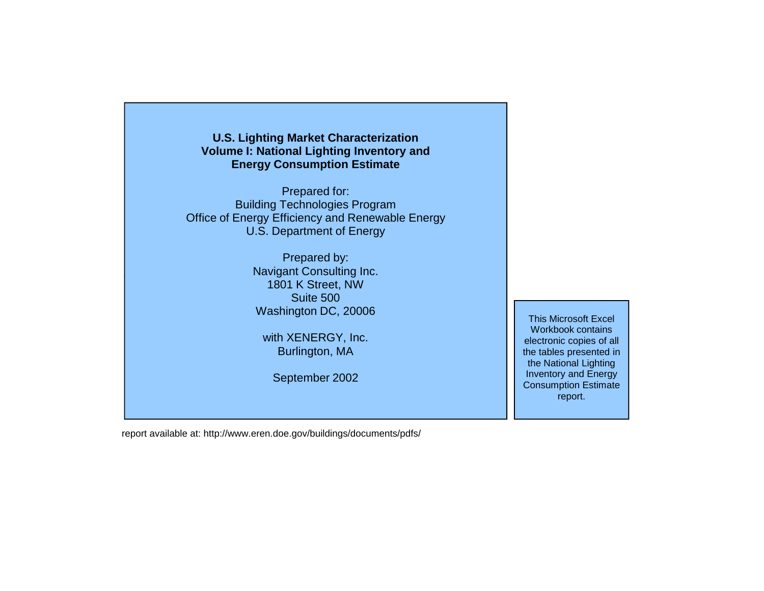#### **U.S. Lighting Market Characterization Volume I: National Lighting Inventory and Energy Consumption Estimate**

Prepared for: Building Technologies Program Office of Energy Efficiency and Renewable Energy U.S. Department of Energy

> Prepared by: Navigant Consulting Inc. 1801 K Street, NW Suite 500Washington DC, 20006

with XENERGY, Inc. Burlington, MA

September 2002

This Microsoft Excel Workbook contains electronic copies of all the tables presented in the National Lighting Inventory and Energy Consumption Estimate report.

report available at: http://www.eren.doe.gov/buildings/documents/pdfs/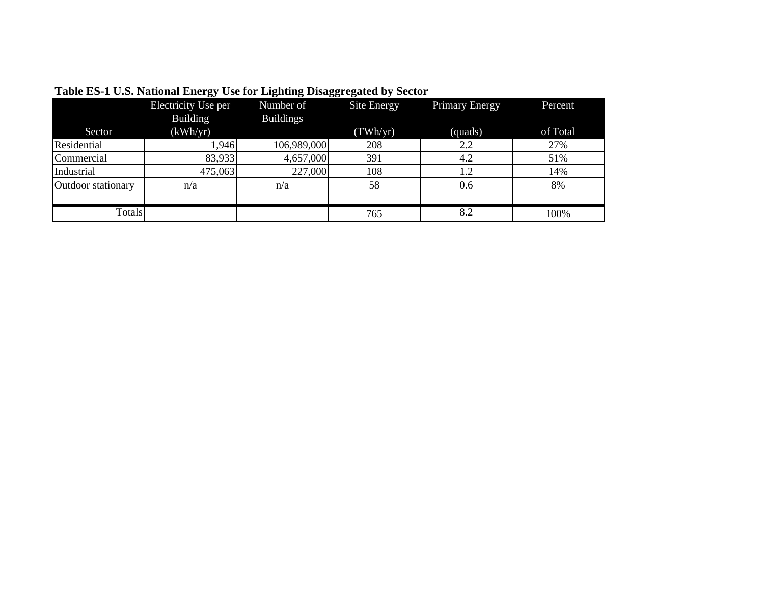|                    | − ⊃•<br>Electricity Use per<br>Building | Number of<br><b>Buildings</b> | Site Energy | <b>Primary Energy</b> | Percent  |
|--------------------|-----------------------------------------|-------------------------------|-------------|-----------------------|----------|
| Sector             | (kWh/yr)                                |                               | (TWh/yr)    | (quads)               | of Total |
| Residential        | 1,946                                   | 106,989,000                   | 208         | 2.2                   | 27%      |
| Commercial         | 83,933                                  | 4,657,000                     | 391         | 4.2                   | 51%      |
| Industrial         | 475,063                                 | 227,000                       | 108         | 1.2                   | 14%      |
| Outdoor stationary | n/a                                     | n/a                           | 58          | 0.6                   | 8%       |
| <b>Totals</b>      |                                         |                               | 765         | 8.2                   | 100%     |

**Table ES-1 U.S. National Energy Use for Lighting Disaggregated by Sector**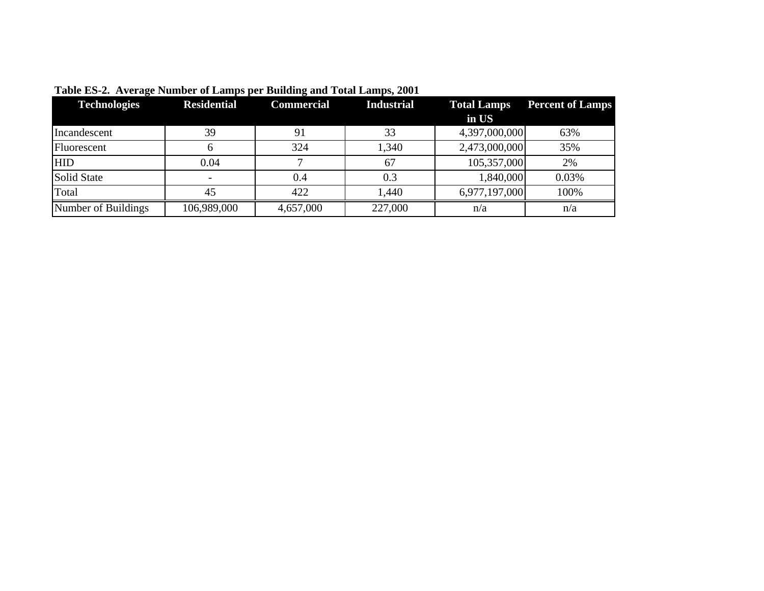| <b>Technologies</b> | <b>Residential</b> | <b>Commercial</b> | <b>Industrial</b> | <b>Total Lamps</b> | <b>Percent of Lamps</b> |
|---------------------|--------------------|-------------------|-------------------|--------------------|-------------------------|
|                     |                    |                   |                   | in US              |                         |
| Incandescent        | 39                 | 91                | 33                | 4,397,000,000      | 63%                     |
| Fluorescent         |                    | 324               | 1,340             | 2,473,000,000      | 35%                     |
| <b>HID</b>          | 0.04               |                   | 67                | 105,357,000        | 2%                      |
| Solid State         |                    | 0.4               | 0.3               | 1,840,000          | 0.03%                   |
| Total               | 45                 | 422               | 1,440             | 6,977,197,000      | 100%                    |
| Number of Buildings | 106,989,000        | 4,657,000         | 227,000           | n/a                | n/a                     |

**Table ES-2. Average Number of Lamps per Building and Total Lamps, 2001**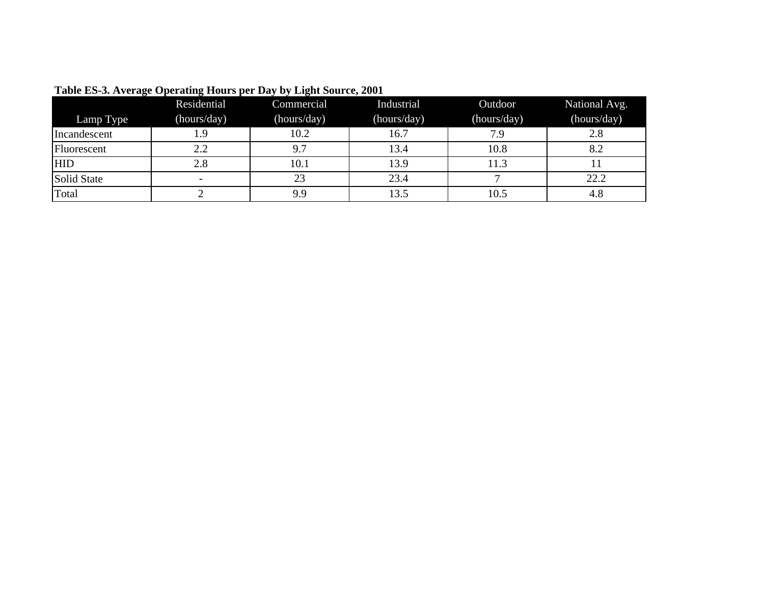| . .          | Residential              | Commercial  | Industrial  | Outdoor     | National Avg. |
|--------------|--------------------------|-------------|-------------|-------------|---------------|
| Lamp Type    | (hours/day)              | (hours/day) | (hours/day) | (hours/day) | (hours/day)   |
| Incandescent | 1.9                      | 10.2        | 16.7        | 7.9         | 2.8           |
| Fluorescent  | 2.2                      | 9.7         | 13.4        | 10.8        | 8.2           |
| <b>HID</b>   | 2.8                      | 10.1        | 13.9        | 11.3        |               |
| Solid State  | $\overline{\phantom{0}}$ | 23          | 23.4        |             | 22.2          |
| Total        |                          | 9.9         | 13.5        | 10.5        | 4.8           |

**Table ES-3. Average Operating Hours per Day by Light Source, 2001**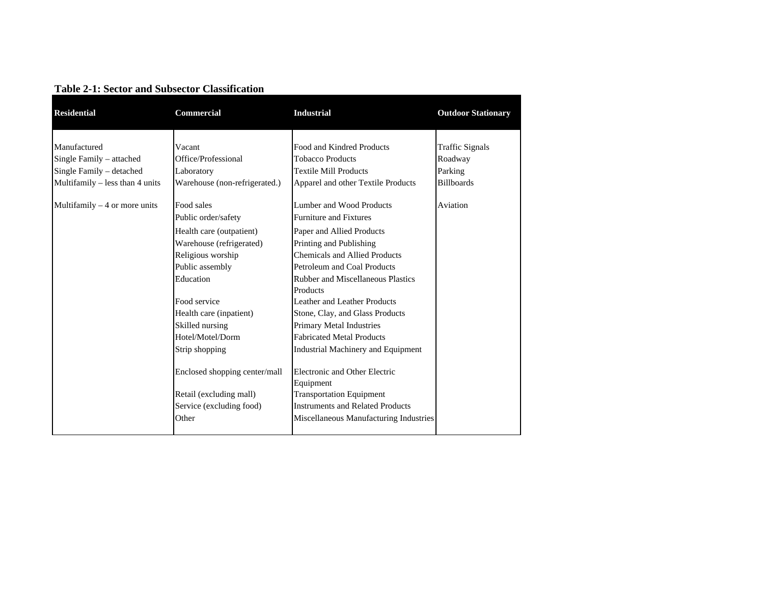| <b>Residential</b>              | Commercial                    | <b>Industrial</b>                          | <b>Outdoor Stationary</b> |
|---------------------------------|-------------------------------|--------------------------------------------|---------------------------|
|                                 |                               |                                            |                           |
| Manufactured                    | Vacant                        | Food and Kindred Products                  | <b>Traffic Signals</b>    |
| Single Family – attached        | Office/Professional           | <b>Tobacco Products</b>                    | Roadway                   |
| Single Family - detached        | Laboratory                    | <b>Textile Mill Products</b>               | Parking                   |
| Multifamily - less than 4 units | Warehouse (non-refrigerated.) | Apparel and other Textile Products         | <b>Billboards</b>         |
| Multifamily $-4$ or more units  | Food sales                    | Lumber and Wood Products                   | Aviation                  |
|                                 | Public order/safety           | <b>Furniture and Fixtures</b>              |                           |
|                                 | Health care (outpatient)      | Paper and Allied Products                  |                           |
|                                 | Warehouse (refrigerated)      | Printing and Publishing                    |                           |
|                                 | Religious worship             | <b>Chemicals and Allied Products</b>       |                           |
|                                 | Public assembly               | Petroleum and Coal Products                |                           |
|                                 | Education                     | <b>Rubber and Miscellaneous Plastics</b>   |                           |
|                                 |                               | Products                                   |                           |
|                                 | Food service                  | Leather and Leather Products               |                           |
|                                 | Health care (inpatient)       | Stone, Clay, and Glass Products            |                           |
|                                 | Skilled nursing               | Primary Metal Industries                   |                           |
|                                 | Hotel/Motel/Dorm              | <b>Fabricated Metal Products</b>           |                           |
|                                 | Strip shopping                | <b>Industrial Machinery and Equipment</b>  |                           |
|                                 | Enclosed shopping center/mall | Electronic and Other Electric<br>Equipment |                           |
|                                 | Retail (excluding mall)       | <b>Transportation Equipment</b>            |                           |
|                                 | Service (excluding food)      | <b>Instruments and Related Products</b>    |                           |
|                                 | Other                         | Miscellaneous Manufacturing Industries     |                           |
|                                 |                               |                                            |                           |

#### **Table 2-1: Sector and Subsector Classification**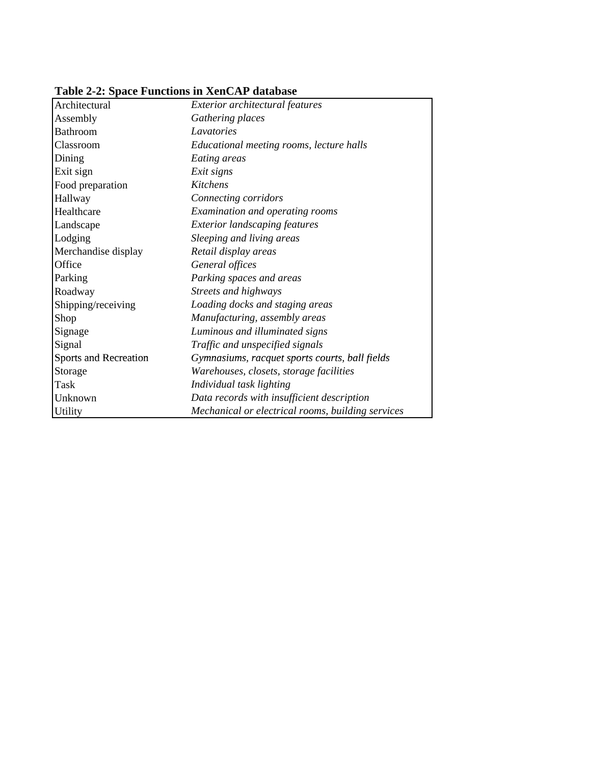| Table 2-2: Space Functions in XenCAP database |
|-----------------------------------------------|
|-----------------------------------------------|

| Architectural                | Exterior architectural features                   |
|------------------------------|---------------------------------------------------|
| Assembly                     | Gathering places                                  |
| <b>Bathroom</b>              | Lavatories                                        |
| Classroom                    | Educational meeting rooms, lecture halls          |
| Dining                       | Eating areas                                      |
| Exit sign                    | Exit signs                                        |
| Food preparation             | Kitchens                                          |
| Hallway                      | Connecting corridors                              |
| Healthcare                   | Examination and operating rooms                   |
| Landscape                    | <b>Exterior landscaping features</b>              |
| Lodging                      | Sleeping and living areas                         |
| Merchandise display          | Retail display areas                              |
| Office                       | General offices                                   |
| Parking                      | Parking spaces and areas                          |
| Roadway                      | Streets and highways                              |
| Shipping/receiving           | Loading docks and staging areas                   |
| Shop                         | Manufacturing, assembly areas                     |
| Signage                      | Luminous and illuminated signs                    |
| Signal                       | Traffic and unspecified signals                   |
| <b>Sports and Recreation</b> | Gymnasiums, racquet sports courts, ball fields    |
| Storage                      | Warehouses, closets, storage facilities           |
| Task                         | Individual task lighting                          |
| Unknown                      | Data records with insufficient description        |
| <b>Utility</b>               | Mechanical or electrical rooms, building services |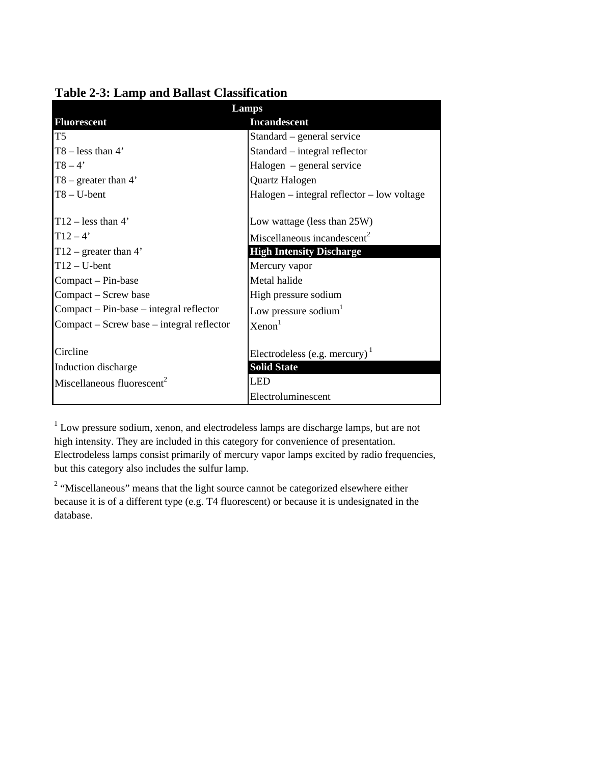|                                           | Lamps                                        |  |  |
|-------------------------------------------|----------------------------------------------|--|--|
| <b>Fluorescent</b>                        | <b>Incandescent</b>                          |  |  |
| T <sub>5</sub>                            | Standard – general service                   |  |  |
| $T8 - less than 4'$                       | Standard – integral reflector                |  |  |
| $T8 - 4'$                                 | Halogen – general service                    |  |  |
| $T8$ – greater than 4'                    | Quartz Halogen                               |  |  |
| $T8 - U$ -bent                            | $Halogen$ – integral reflector – low voltage |  |  |
|                                           |                                              |  |  |
| $T12$ – less than 4'                      | Low wattage (less than 25W)                  |  |  |
| $T12 - 4'$                                | Miscellaneous incandescent <sup>2</sup>      |  |  |
| $T12$ – greater than 4'                   | <b>High Intensity Discharge</b>              |  |  |
| $T12-U-bent$                              | Mercury vapor                                |  |  |
| Compact – Pin-base                        | Metal halide                                 |  |  |
| Compact – Screw base                      | High pressure sodium                         |  |  |
| $Compact - Pin-base - integral reflector$ | Low pressure sodium <sup>1</sup>             |  |  |
| Compact – Screw base – integral reflector | Xenon <sup>1</sup>                           |  |  |
|                                           |                                              |  |  |
| Circline                                  | Electrodeless (e.g. mercury) $\frac{1}{1}$   |  |  |
| Induction discharge                       | <b>Solid State</b>                           |  |  |
| Miscellaneous fluorescent <sup>2</sup>    | LED                                          |  |  |
|                                           | Electroluminescent                           |  |  |

## **Table 2-3: Lamp and Ballast Classification**

<sup>1</sup> Low pressure sodium, xenon, and electrodeless lamps are discharge lamps, but are not high intensity. They are included in this category for convenience of presentation. Electrodeless lamps consist primarily of mercury vapor lamps excited by radio frequencies, but this category also includes the sulfur lamp.

<sup>2</sup> "Miscellaneous" means that the light source cannot be categorized elsewhere either because it is of a different type (e.g. T4 fluorescent) or because it is undesignated in the database.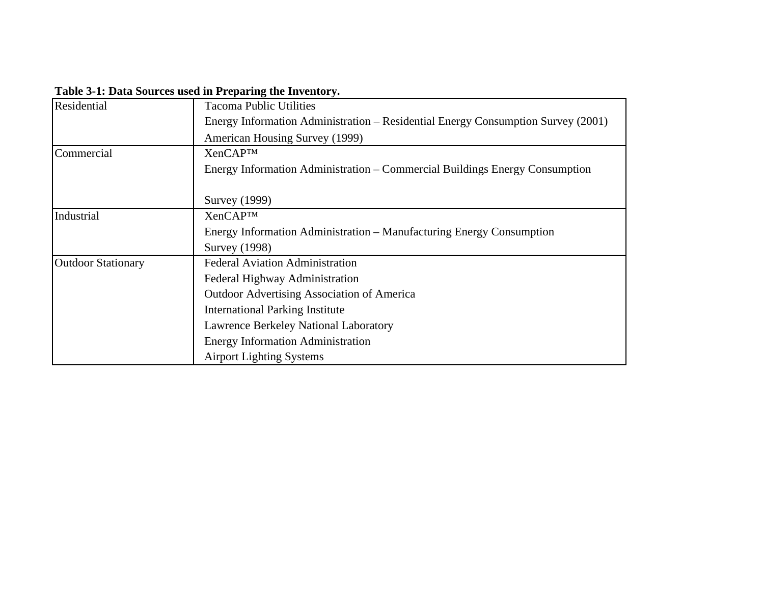| Residential               | <b>Tacoma Public Utilities</b>                                                   |
|---------------------------|----------------------------------------------------------------------------------|
|                           | Energy Information Administration – Residential Energy Consumption Survey (2001) |
|                           | American Housing Survey (1999)                                                   |
| Commercial                | <b>XenCAPTM</b>                                                                  |
|                           | Energy Information Administration – Commercial Buildings Energy Consumption      |
|                           |                                                                                  |
|                           | <b>Survey</b> (1999)                                                             |
| Industrial                | <b>XenCAP™</b>                                                                   |
|                           | Energy Information Administration – Manufacturing Energy Consumption             |
|                           | <b>Survey</b> (1998)                                                             |
| <b>Outdoor Stationary</b> | <b>Federal Aviation Administration</b>                                           |
|                           | Federal Highway Administration                                                   |
|                           | <b>Outdoor Advertising Association of America</b>                                |
|                           | <b>International Parking Institute</b>                                           |
|                           | Lawrence Berkeley National Laboratory                                            |
|                           | <b>Energy Information Administration</b>                                         |
|                           | <b>Airport Lighting Systems</b>                                                  |

**Table 3-1: Data Sources used in Preparing the Inventory.**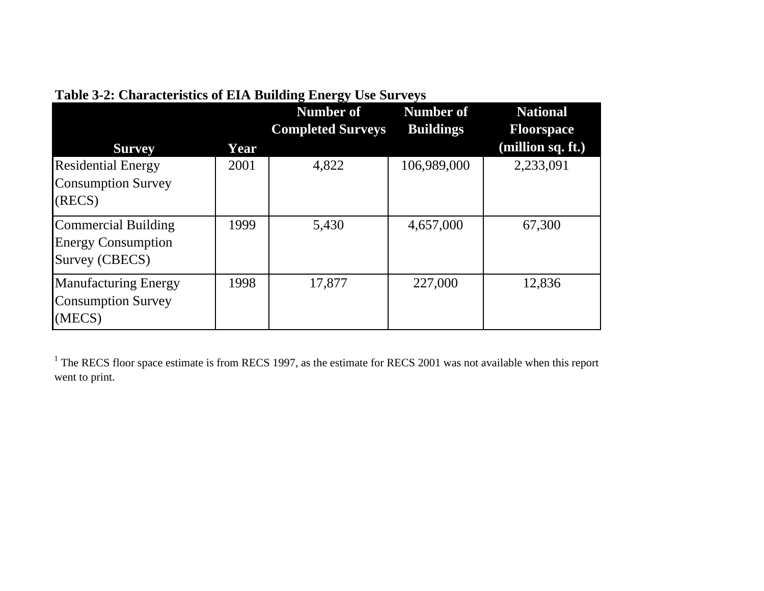| <b>Survey</b>                                                      | Year | $\overline{\phantom{a}}$<br>Number of<br><b>Completed Surveys</b> | <b>Number of</b><br><b>Buildings</b> | <b>National</b><br><b>Floorspace</b><br>(million sq. ft.) |
|--------------------------------------------------------------------|------|-------------------------------------------------------------------|--------------------------------------|-----------------------------------------------------------|
| <b>Residential Energy</b><br><b>Consumption Survey</b><br>(RECS)   | 2001 | 4,822                                                             | 106,989,000                          | 2,233,091                                                 |
| Commercial Building<br><b>Energy Consumption</b><br>Survey (CBECS) | 1999 | 5,430                                                             | 4,657,000                            | 67,300                                                    |
| <b>Manufacturing Energy</b><br><b>Consumption Survey</b><br>(MECS) | 1998 | 17,877                                                            | 227,000                              | 12,836                                                    |

# **Table 3-2: Characteristics of EIA Building Energy Use Surveys**

 $1$  The RECS floor space estimate is from RECS 1997, as the estimate for RECS 2001 was not available when this report went to print.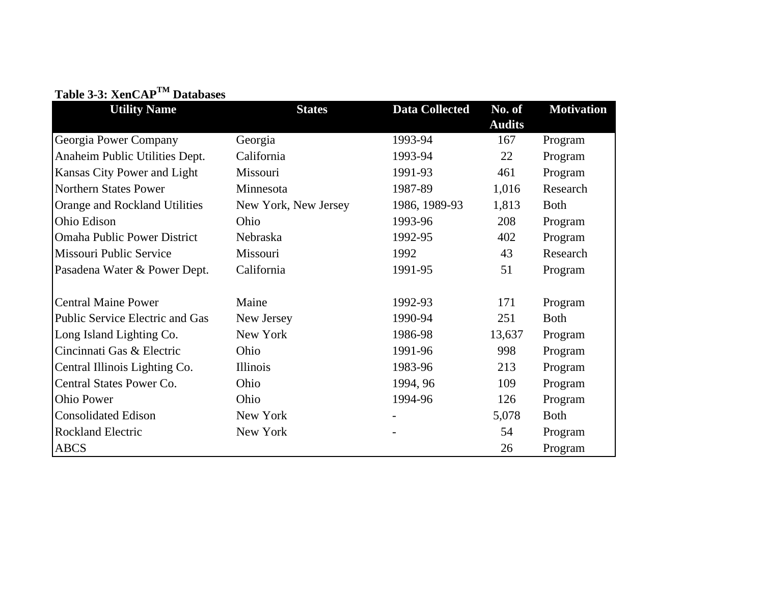|  | Table 3-3: XenCAP <sup>TM</sup> Databases |
|--|-------------------------------------------|
|--|-------------------------------------------|

| <b>Utility Name</b>                | <b>States</b>        | <b>Data Collected</b> | No. of        | <b>Motivation</b> |
|------------------------------------|----------------------|-----------------------|---------------|-------------------|
|                                    |                      |                       | <b>Audits</b> |                   |
| Georgia Power Company              | Georgia              | 1993-94               | 167           | Program           |
| Anaheim Public Utilities Dept.     | California           | 1993-94               | 22            | Program           |
| Kansas City Power and Light        | Missouri             | 1991-93               | 461           | Program           |
| Northern States Power              | Minnesota            | 1987-89               | 1,016         | Research          |
| Orange and Rockland Utilities      | New York, New Jersey | 1986, 1989-93         | 1,813         | <b>Both</b>       |
| Ohio Edison                        | Ohio                 | 1993-96               | 208           | Program           |
| <b>Omaha Public Power District</b> | Nebraska             | 1992-95               | 402           | Program           |
| Missouri Public Service            | Missouri             | 1992                  | 43            | Research          |
| Pasadena Water & Power Dept.       | California           | 1991-95               | 51            | Program           |
|                                    |                      |                       |               |                   |
| <b>Central Maine Power</b>         | Maine                | 1992-93               | 171           | Program           |
| Public Service Electric and Gas    | New Jersey           | 1990-94               | 251           | <b>Both</b>       |
| Long Island Lighting Co.           | New York             | 1986-98               | 13,637        | Program           |
| Cincinnati Gas & Electric          | Ohio                 | 1991-96               | 998           | Program           |
| Central Illinois Lighting Co.      | Illinois             | 1983-96               | 213           | Program           |
| Central States Power Co.           | Ohio                 | 1994, 96              | 109           | Program           |
| <b>Ohio Power</b>                  | Ohio                 | 1994-96               | 126           | Program           |
| <b>Consolidated Edison</b>         | New York             |                       | 5,078         | <b>Both</b>       |
| <b>Rockland Electric</b>           | New York             |                       | 54            | Program           |
| <b>ABCS</b>                        |                      |                       | 26            | Program           |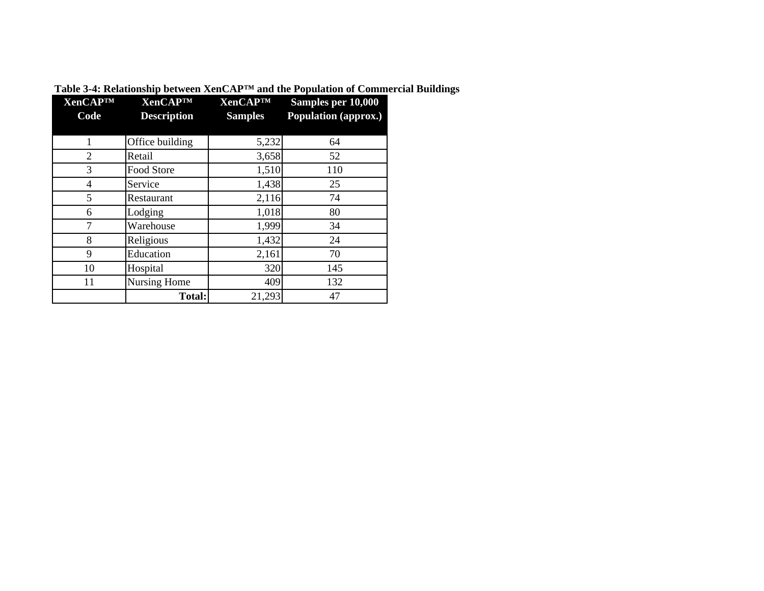| <b>XenCAPTM</b><br>Code | <b>XenCAPTM</b><br><b>Description</b> | <b>XenCAPTM</b><br><b>Samples</b> | Samples per 10,000<br>Population (approx.) |
|-------------------------|---------------------------------------|-----------------------------------|--------------------------------------------|
|                         |                                       |                                   |                                            |
| 1                       | Office building                       | 5,232                             | 64                                         |
| $\overline{2}$          | Retail                                | 3,658                             | 52                                         |
| 3                       | Food Store                            | 1,510                             | 110                                        |
| 4                       | Service                               | 1,438                             | 25                                         |
| 5                       | Restaurant                            | 2,116                             | 74                                         |
| 6                       | Lodging                               | 1,018                             | 80                                         |
| 7                       | Warehouse                             | 1,999                             | 34                                         |
| 8                       | Religious                             | 1,432                             | 24                                         |
| 9                       | Education                             | 2,161                             | 70                                         |
| 10                      | Hospital                              | 320                               | 145                                        |
| 11                      | Nursing Home                          | 409                               | 132                                        |
|                         | <b>Total:</b>                         | 21,293                            | 47                                         |

**Table 3-4: Relationship between XenCAP™ and the Population of Commercial Buildings**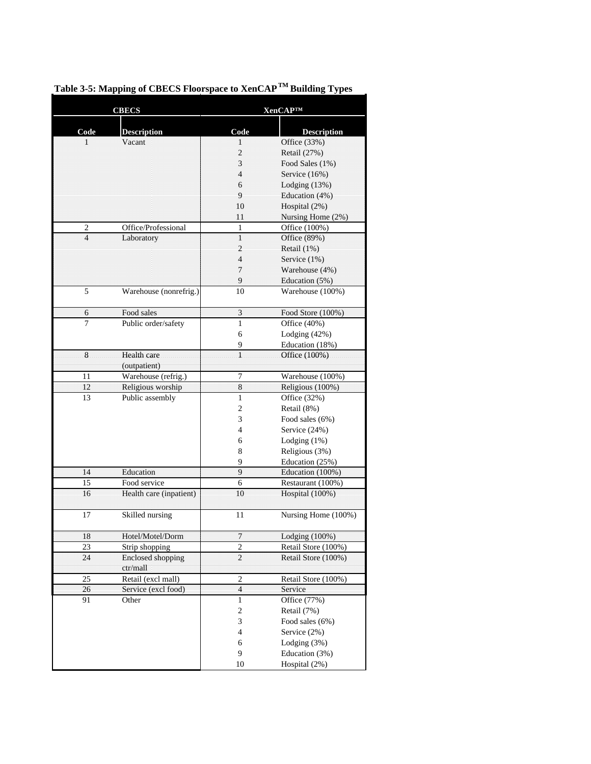|      | <b>CBECS</b>                 |                         | <b>XenCAP™</b>                     |
|------|------------------------------|-------------------------|------------------------------------|
|      |                              |                         |                                    |
| Code | <b>Description</b><br>Vacant | Code                    | <b>Description</b><br>Office (33%) |
| 1    |                              | 1<br>2                  | Retail (27%)                       |
|      |                              | 3                       | Food Sales (1%)                    |
|      |                              | 4                       | Service (16%)                      |
|      |                              | 6                       |                                    |
|      |                              | 9                       | Lodging (13%)<br>Education (4%)    |
|      |                              | 10                      | Hospital (2%)                      |
|      |                              | 11                      | Nursing Home (2%)                  |
| 2    | Office/Professional          | 1                       | Office (100%)                      |
| 4    | Laboratory                   | 1                       | Office (89%)                       |
|      |                              | 2                       | Retail (1%)                        |
|      |                              | $\overline{4}$          | Service (1%)                       |
|      |                              | $\overline{7}$          | Warehouse (4%)                     |
|      |                              | 9                       | Education (5%)                     |
| 5    | Warehouse (nonrefrig.)       | 10                      | Warehouse (100%)                   |
|      |                              |                         |                                    |
| 6    | Food sales                   | 3                       | Food Store (100%)                  |
| 7    | Public order/safety          | 1                       | Office (40%)                       |
|      |                              | 6                       | Lodging $(42%)$                    |
|      |                              | 9                       | Education (18%)                    |
| 8    | Health care                  | Ī                       | Office (100%)                      |
|      | (outpatient)                 |                         |                                    |
| 11   | Warehouse (refrig.)          | 7                       | Warehouse (100%)                   |
| 12   | Religious worship            | 8                       | Religious (100%)                   |
| 13   | Public assembly              | $\mathbf{1}$            | Office $(32%)$                     |
|      |                              | 2                       | Retail (8%)                        |
|      |                              | 3                       | Food sales (6%)                    |
|      |                              | 4                       | Service (24%)                      |
|      |                              | 6                       | Lodging $(1%)$                     |
|      |                              | 8                       | Religious (3%)                     |
|      |                              | 9                       | Education (25%)                    |
| 14   | Education                    | $\overline{q}$          | Education (100%)                   |
| 15   | Food service                 | 6                       | Restaurant (100%)                  |
| 16   | Health care (inpatient)      | 10                      | Hospital (100%)                    |
|      |                              |                         |                                    |
| 17   | Skilled nursing              | 11                      | Nursing Home (100%)                |
| 18   | Hotel/Motel/Dorm             | 7                       | Lodging (100%)                     |
| 23   | Strip shopping               | $\overline{2}$          | Retail Store (100%)                |
| 24   | <b>Enclosed shopping</b>     | $\overline{2}$          | Retail Store (100%)                |
|      | ctr/mall                     |                         |                                    |
| 25   | Retail (excl mall)           | 2                       | Retail Store (100%)                |
| 26   | Service (excl food)          | $\overline{\mathbf{4}}$ | Service                            |
| 91   | Other                        | $\mathbf{1}$            | Office (77%)                       |
|      |                              | $\sqrt{2}$              | Retail (7%)                        |
|      |                              | 3                       | Food sales (6%)                    |
|      |                              | 4                       | Service (2%)                       |
|      |                              | 6                       | Lodging (3%)                       |
|      |                              | 9                       | Education (3%)                     |
|      |                              | 10                      | Hospital (2%)                      |

# **Table 3-5: Mapping of CBECS Floorspace to XenCAP TM Building Types**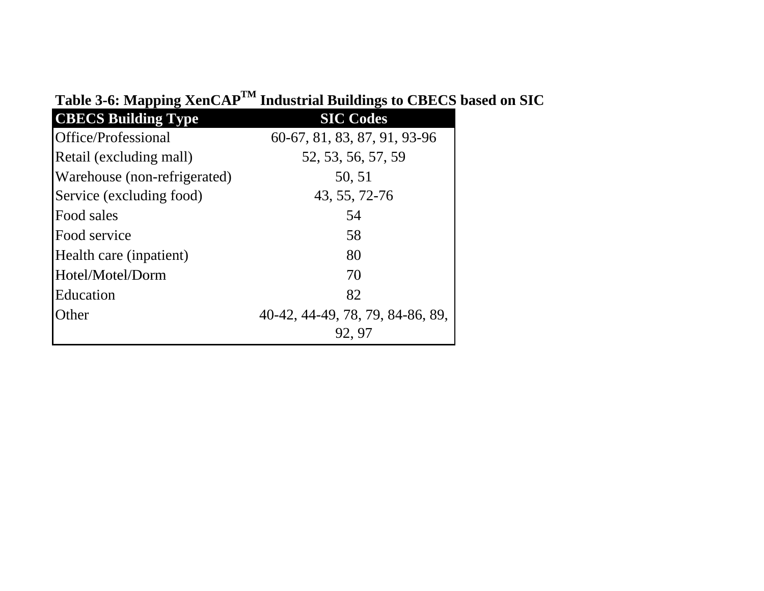| $\sim$ $\sim$ $\sim$ $\sim$ $\sim$ $\sim$ $\sim$ |                                  |
|--------------------------------------------------|----------------------------------|
| <b>CBECS Building Type</b>                       | <b>SIC Codes</b>                 |
| Office/Professional                              | 60-67, 81, 83, 87, 91, 93-96     |
| Retail (excluding mall)                          | 52, 53, 56, 57, 59               |
| Warehouse (non-refrigerated)                     | 50, 51                           |
| Service (excluding food)                         | 43, 55, 72-76                    |
| Food sales                                       | 54                               |
| Food service                                     | 58                               |
| Health care (inpatient)                          | 80                               |
| Hotel/Motel/Dorm                                 | 70                               |
| Education                                        | 82                               |
| Other                                            | 40-42, 44-49, 78, 79, 84-86, 89, |
|                                                  | 92, 97                           |

# **Table 3-6: Mapping XenCAPTM Industrial Buildings to CBECS based on SIC**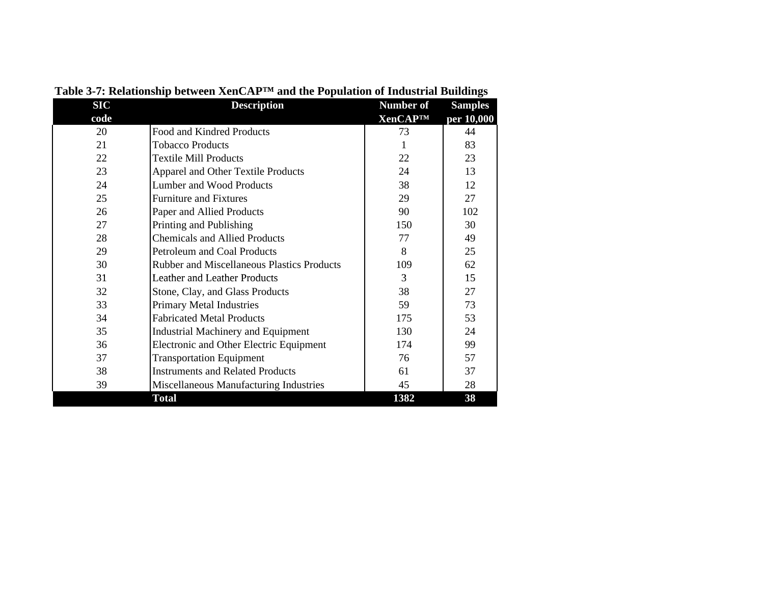| <b>SIC</b> | <b>Description</b>                                | <b>Number of</b> | <b>Samples</b> |
|------------|---------------------------------------------------|------------------|----------------|
| code       |                                                   | <b>XenCAP™</b>   | per 10,000     |
| 20         | Food and Kindred Products                         | 73               | 44             |
| 21         | <b>Tobacco Products</b>                           | 1                | 83             |
| 22         | <b>Textile Mill Products</b>                      | 22               | 23             |
| 23         | <b>Apparel and Other Textile Products</b>         | 24               | 13             |
| 24         | Lumber and Wood Products                          | 38               | 12             |
| 25         | <b>Furniture and Fixtures</b>                     | 29               | 27             |
| 26         | Paper and Allied Products                         | 90               | 102            |
| 27         | Printing and Publishing                           | 150              | 30             |
| 28         | <b>Chemicals and Allied Products</b>              | 77               | 49             |
| 29         | Petroleum and Coal Products                       | 8                | 25             |
| 30         | <b>Rubber and Miscellaneous Plastics Products</b> | 109              | 62             |
| 31         | <b>Leather and Leather Products</b>               | 3                | 15             |
| 32         | Stone, Clay, and Glass Products                   | 38               | 27             |
| 33         | <b>Primary Metal Industries</b>                   | 59               | 73             |
| 34         | <b>Fabricated Metal Products</b>                  | 175              | 53             |
| 35         | <b>Industrial Machinery and Equipment</b>         | 130              | 24             |
| 36         | Electronic and Other Electric Equipment           | 174              | 99             |
| 37         | <b>Transportation Equipment</b>                   | 76               | 57             |
| 38         | <b>Instruments and Related Products</b>           | 61               | 37             |
| 39         | Miscellaneous Manufacturing Industries            | 45               | 28             |
|            | <b>Total</b>                                      | 1382             | 38             |

**Table 3-7: Relationship between XenCAP™ and the Population of Industrial Buildings**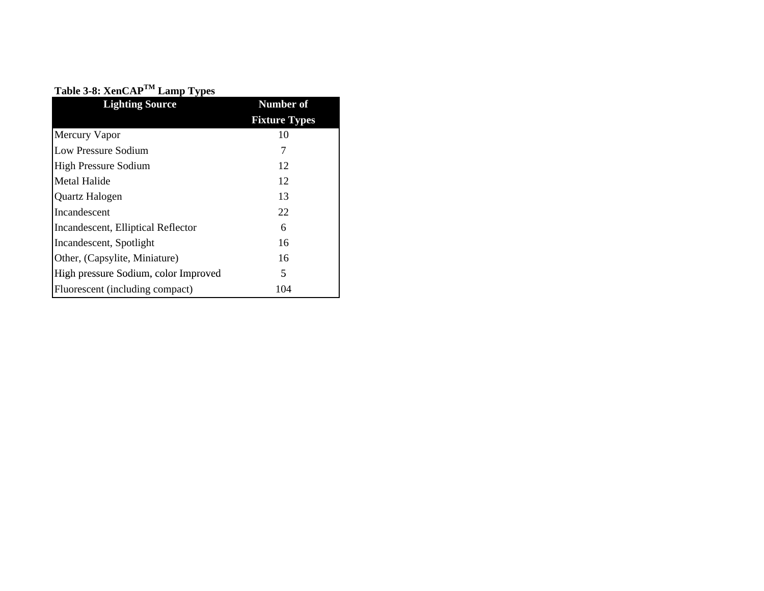| Table 3-8: XenCAP <sup>TM</sup> Lamp Types |                      |
|--------------------------------------------|----------------------|
| <b>Lighting Source</b>                     | <b>Number of</b>     |
|                                            | <b>Fixture Types</b> |
| Mercury Vapor                              | 10                   |
| Low Pressure Sodium                        | 7                    |
| <b>High Pressure Sodium</b>                | 12                   |
| Metal Halide                               | 12                   |
| Quartz Halogen                             | 13                   |
| Incandescent                               | 22                   |
| Incandescent, Elliptical Reflector         | 6                    |
| Incandescent, Spotlight                    | 16                   |
| Other, (Capsylite, Miniature)              | 16                   |
| High pressure Sodium, color Improved       | 5                    |
| Fluorescent (including compact)            | 104                  |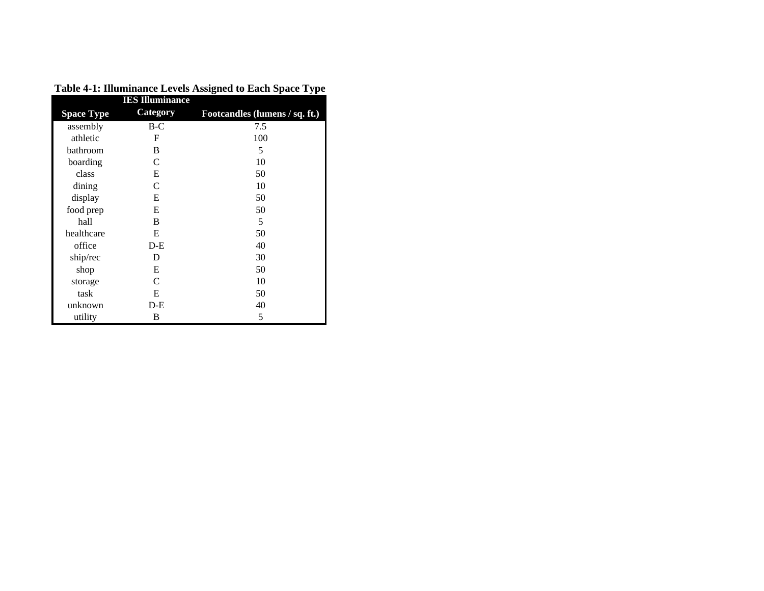|                   | <b>IES</b> Illuminance |                                |
|-------------------|------------------------|--------------------------------|
| <b>Space Type</b> | <b>Category</b>        | Footcandles (lumens / sq. ft.) |
| assembly          | B-C                    | 7.5                            |
| athletic          | F                      | 100                            |
| bathroom          | B                      | 5                              |
| boarding          | C                      | 10                             |
| class             | E                      | 50                             |
| dining            | $\mathsf{C}$           | 10                             |
| display           | E                      | 50                             |
| food prep         | E                      | 50                             |
| hall              | B                      | 5                              |
| healthcare        | E                      | 50                             |
| office            | $D-E$                  | 40                             |
| ship/rec          | D                      | 30                             |
| shop              | E                      | 50                             |
| storage           | C                      | 10                             |
| task              | E                      | 50                             |
| unknown           | $D-E$                  | 40                             |
| utility           | В                      | 5                              |

**Table 4-1: Illuminance Levels Assigned to Each Space Type**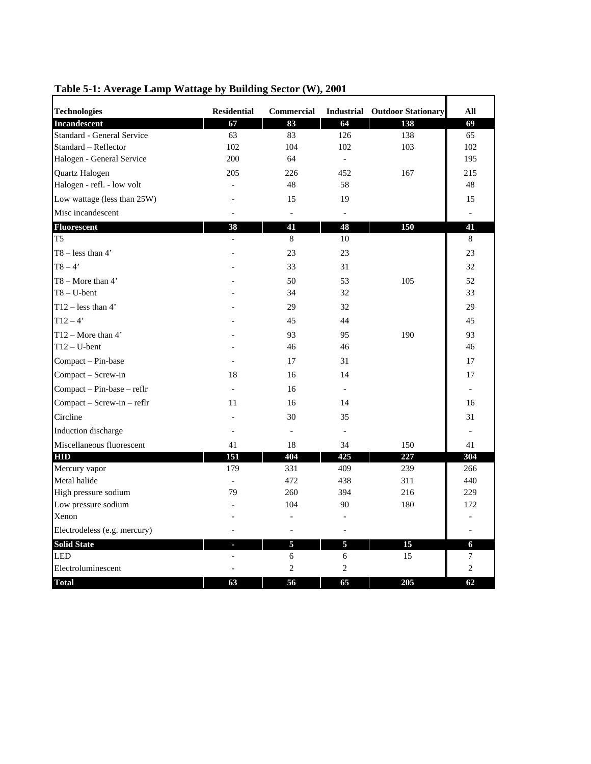| <b>Technologies</b>          | <b>Residential</b> | <b>Commercial</b> |                | <b>Industrial Outdoor Stationary</b> | All            |
|------------------------------|--------------------|-------------------|----------------|--------------------------------------|----------------|
| Incandescent                 | 67                 | 83                | 64             | 138                                  | 69             |
| Standard - General Service   | 63                 | 83                | 126            | 138                                  | 65             |
| Standard - Reflector         | 102                | 104               | 102            | 103                                  | 102            |
| Halogen - General Service    | 200                | 64                | $\overline{a}$ |                                      | 195            |
| Quartz Halogen               | 205                | 226               | 452            | 167                                  | 215            |
| Halogen - refl. - low volt   |                    | 48                | 58             |                                      | 48             |
| Low wattage (less than 25W)  |                    | 15                | 19             |                                      | 15             |
| Misc incandescent            |                    |                   |                |                                      |                |
| Fluorescent                  | 38                 | 41                | 48             | 150                                  | 41             |
| T5                           |                    | 8                 | 10             |                                      | 8              |
| $T8 - less than 4'$          |                    | 23                | 23             |                                      | 23             |
| $T8 - 4'$                    |                    | 33                | 31             |                                      | 32             |
| $T8 - \text{More than } 4$   |                    | 50                | 53             | 105                                  | 52             |
| $T8 - U$ -bent               |                    | 34                | 32             |                                      | 33             |
| $T12 - less than 4'$         |                    | 29                | 32             |                                      | 29             |
| $T12 - 4'$                   |                    | 45                | 44             |                                      | 45             |
| $T12 - \text{More than } 4'$ |                    | 93                | 95             | 190                                  | 93             |
| $T12 - U$ -bent              |                    | 46                | 46             |                                      | 46             |
| Compact - Pin-base           |                    | 17                | 31             |                                      | 17             |
| Compact - Screw-in           | 18                 | 16                | 14             |                                      | 17             |
| Compact - Pin-base - reflr   |                    | 16                | $\overline{a}$ |                                      |                |
| Compact - Screw-in - reflr   | 11                 | 16                | 14             |                                      | 16             |
| Circline                     |                    | 30                | 35             |                                      | 31             |
| Induction discharge          |                    |                   |                |                                      |                |
| Miscellaneous fluorescent    | 41                 | 18                | 34             | 150                                  | 41             |
| <b>HID</b>                   | 151                | 404               | 425            | 227                                  | 304            |
| Mercury vapor                | 179                | 331               | 409            | 239                                  | 266            |
| Metal halide                 | $\overline{a}$     | 472               | 438            | 311                                  | 440            |
| High pressure sodium         | 79                 | 260               | 394            | 216                                  | 229            |
| Low pressure sodium          |                    | 104               | 90             | 180                                  | 172            |
| Xenon                        |                    |                   |                |                                      |                |
| Electrodeless (e.g. mercury) |                    |                   |                |                                      |                |
| <b>Solid State</b>           |                    | 5                 | 5              | 15                                   | 6              |
| <b>LED</b>                   |                    | 6                 | 6              | 15                                   | 7              |
| Electroluminescent           |                    | $\overline{2}$    | $\overline{2}$ |                                      | $\overline{2}$ |
| <b>Total</b>                 | 63                 | 56                | 65             | 205                                  | 62             |

**Table 5-1: Average Lamp Wattage by Building Sector (W), 2001**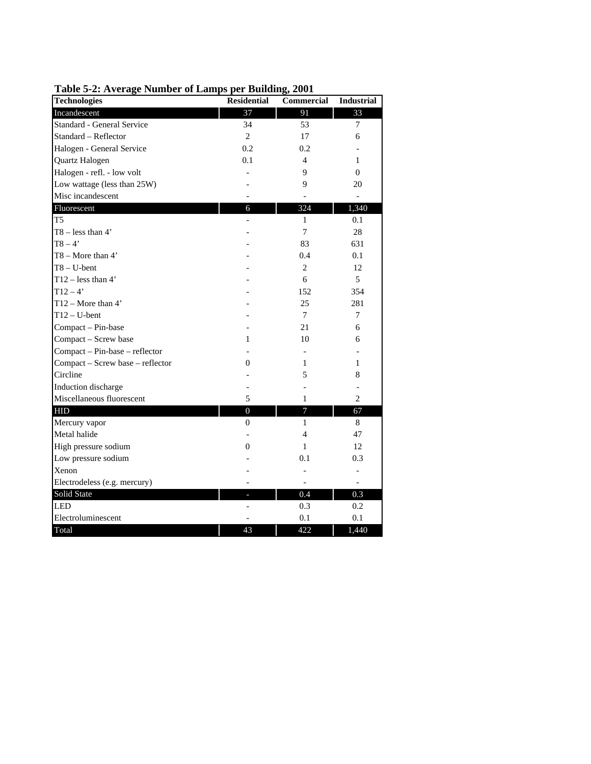| $10000$ $\sigma$ and $1000$<br>единрэ | per panames,       | $\mathbf{A}$      |                   |
|---------------------------------------|--------------------|-------------------|-------------------|
| <b>Technologies</b>                   | <b>Residential</b> | <b>Commercial</b> | <b>Industrial</b> |
| Incandescent                          | 37                 | 91                | 33                |
| Standard - General Service            | 34                 | 53                | 7                 |
| Standard - Reflector                  | $\overline{2}$     | 17                | 6                 |
| Halogen - General Service             | 0.2                | 0.2               |                   |
| Quartz Halogen                        | 0.1                | $\overline{4}$    | 1                 |
| Halogen - refl. - low volt            |                    | 9                 | $\Omega$          |
| Low wattage (less than 25W)           |                    | 9                 | 20                |
| Misc incandescent                     |                    |                   |                   |
| Fluorescent                           | 6                  | 324               | 1,340             |
| T <sub>5</sub>                        |                    | 1                 | 0.1               |
| $T8 - less than 4'$                   |                    | $\tau$            | 28                |
| $T8 - 4'$                             |                    | 83                | 631               |
| $T8 -$ More than 4'                   |                    | 0.4               | 0.1               |
| $T8 - U$ -bent                        |                    | 2                 | 12                |
| $T12 - less than 4'$                  |                    | 6                 | 5                 |
| $T12 - 4'$                            |                    | 152               | 354               |
| T12 - More than 4'                    |                    | 25                | 281               |
| $T12 - U$ -bent                       |                    | $\overline{7}$    | 7                 |
| Compact - Pin-base                    |                    | 21                | 6                 |
| Compact - Screw base                  | 1                  | 10                | 6                 |
| Compact - Pin-base - reflector        |                    |                   |                   |
| Compact - Screw base - reflector      | $\overline{0}$     | 1                 | 1                 |
| Circline                              |                    | 5                 | 8                 |
| Induction discharge                   |                    |                   |                   |
| Miscellaneous fluorescent             | 5                  | 1                 | $\overline{c}$    |
| <b>HID</b>                            | $\overline{0}$     | 7                 | 67                |
| Mercury vapor                         | $\overline{0}$     | $\mathbf{1}$      | 8                 |
| Metal halide                          |                    | 4                 | 47                |
| High pressure sodium                  | $\boldsymbol{0}$   | 1                 | 12                |
| Low pressure sodium                   |                    | 0.1               | 0.3               |
| Xenon                                 |                    |                   |                   |
| Electrodeless (e.g. mercury)          |                    |                   |                   |
| Solid State                           |                    | 0.4               | 0.3               |
| <b>LED</b>                            |                    | 0.3               | 0.2               |
| Electroluminescent                    |                    | 0.1               | 0.1               |
| Total                                 | 43                 | 422               | 1,440             |

**Table 5-2: Average Number of Lamps per Building, 2001**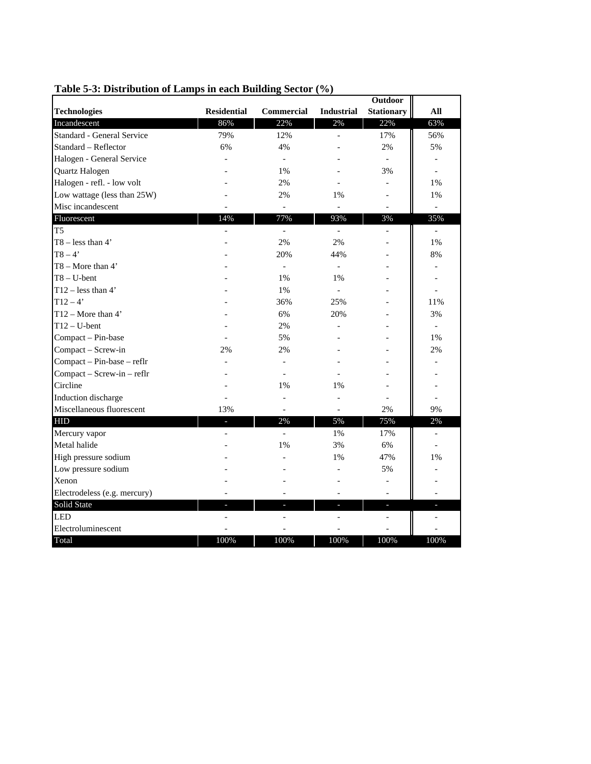|                              |                    |                          |                          | <b>Outdoor</b>           |                          |
|------------------------------|--------------------|--------------------------|--------------------------|--------------------------|--------------------------|
| <b>Technologies</b>          | <b>Residential</b> | <b>Commercial</b>        | <b>Industrial</b>        | <b>Stationary</b>        | All                      |
| Incandescent                 | 86%                | 22%                      | 2%                       | 22%                      | 63%                      |
| Standard - General Service   | 79%                | 12%                      |                          | 17%                      | 56%                      |
| Standard - Reflector         | 6%                 | 4%                       |                          | 2%                       | 5%                       |
| Halogen - General Service    |                    | $\overline{\phantom{a}}$ |                          | $\overline{\phantom{a}}$ |                          |
| Quartz Halogen               |                    | 1%                       |                          | 3%                       |                          |
| Halogen - refl. - low volt   |                    | 2%                       |                          |                          | 1%                       |
| Low wattage (less than 25W)  |                    | 2%                       | 1%                       |                          | 1%                       |
| Misc incandescent            |                    | $\overline{\phantom{m}}$ | $\overline{\phantom{0}}$ | $\overline{a}$           | $\overline{\phantom{a}}$ |
| Fluorescent                  | 14%                | 77%                      | 93%                      | 3%                       | 35%                      |
| T <sub>5</sub>               |                    | $\overline{\phantom{m}}$ | $\overline{a}$           | $\overline{a}$           | $\sim$                   |
| $T8 - less than 4'$          |                    | 2%                       | 2%                       |                          | 1%                       |
| $T8 - 4'$                    |                    | 20%                      | 44%                      |                          | 8%                       |
| T8 - More than 4'            |                    | $\overline{\phantom{0}}$ | $\blacksquare$           |                          | $\overline{\phantom{a}}$ |
| $T8 - U$ -bent               |                    | 1%                       | 1%                       |                          |                          |
| $T12 - less than 4'$         |                    | 1%                       |                          |                          |                          |
| $T12 - 4'$                   |                    | 36%                      | 25%                      |                          | 11%                      |
| T12 - More than 4'           |                    | 6%                       | 20%                      |                          | 3%                       |
| $T12 - U$ -bent              |                    | 2%                       |                          |                          | $\overline{a}$           |
| Compact - Pin-base           |                    | 5%                       |                          |                          | 1%                       |
| Compact - Screw-in           | 2%                 | 2%                       |                          |                          | 2%                       |
| Compact - Pin-base - reflr   |                    |                          |                          |                          |                          |
| Compact - Screw-in - reflr   |                    |                          |                          |                          |                          |
| Circline                     |                    | 1%                       | 1%                       |                          |                          |
| Induction discharge          |                    | $\overline{a}$           | $\overline{a}$           |                          | $\overline{\phantom{a}}$ |
| Miscellaneous fluorescent    | 13%                | $\overline{\phantom{a}}$ | $\overline{a}$           | 2%                       | 9%                       |
| <b>HID</b>                   | ٠                  | 2%                       | 5%                       | 75%                      | 2%                       |
| Mercury vapor                |                    |                          | 1%                       | 17%                      | $\overline{\phantom{a}}$ |
| Metal halide                 |                    | 1%                       | 3%                       | 6%                       |                          |
| High pressure sodium         |                    |                          | 1%                       | 47%                      | 1%                       |
| Low pressure sodium          |                    |                          |                          | 5%                       |                          |
| Xenon                        |                    |                          |                          |                          |                          |
| Electrodeless (e.g. mercury) |                    |                          |                          |                          |                          |
| Solid State                  |                    |                          |                          | н                        |                          |
| <b>LED</b>                   |                    |                          |                          |                          |                          |
| Electroluminescent           |                    |                          |                          |                          |                          |
| Total                        | 100%               | 100%                     | 100%                     | 100%                     | 100%                     |

#### **Table 5-3: Distribution of Lamps in each Building Sector (%)**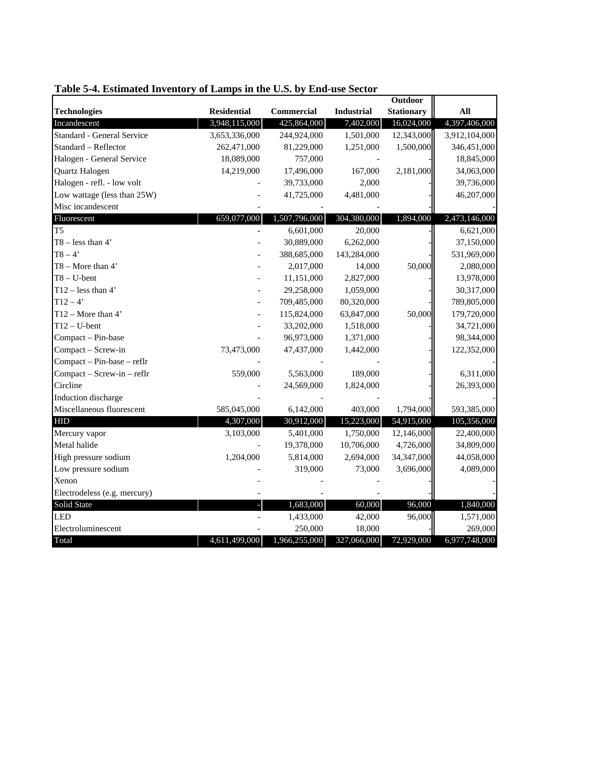|                              |                    |                   |                   | <b>Outdoor</b>    |               |
|------------------------------|--------------------|-------------------|-------------------|-------------------|---------------|
| <b>Technologies</b>          | <b>Residential</b> | <b>Commercial</b> | <b>Industrial</b> | <b>Stationary</b> | All           |
| Incandescent                 | 3,948,115,000      | 425,864,000       | 7,402,000         | 16,024,000        | 4,397,406,000 |
| Standard - General Service   | 3,653,336,000      | 244,924,000       | 1,501,000         | 12,343,000        | 3,912,104,000 |
| Standard - Reflector         | 262,471,000        | 81,229,000        | 1,251,000         | 1,500,000         | 346,451,000   |
| Halogen - General Service    | 18,089,000         | 757,000           |                   |                   | 18,845,000    |
| Quartz Halogen               | 14,219,000         | 17,496,000        | 167,000           | 2,181,000         | 34,063,000    |
| Halogen - refl. - low volt   |                    | 39,733,000        | 2,000             |                   | 39,736,000    |
| Low wattage (less than 25W)  |                    | 41,725,000        | 4,481,000         |                   | 46,207,000    |
| Misc incandescent            |                    |                   |                   |                   |               |
| Fluorescent                  | 659,077,000        | 1,507,796,000     | 304,380,000       | 1,894,000         | 2,473,146,000 |
| T <sub>5</sub>               |                    | 6,601,000         | 20,000            |                   | 6,621,000     |
| $T8 - less than 4'$          |                    | 30,889,000        | 6,262,000         |                   | 37,150,000    |
| $T8 - 4'$                    |                    | 388,685,000       | 143,284,000       |                   | 531,969,000   |
| $T8 - More than 4'$          |                    | 2,017,000         | 14,000            | 50,000            | 2,080,000     |
| $T8 - U$ -bent               |                    | 11,151,000        | 2,827,000         |                   | 13,978,000    |
| T12 – less than $4'$         |                    | 29,258,000        | 1,059,000         |                   | 30,317,000    |
| $T12 - 4'$                   |                    | 709,485,000       | 80,320,000        |                   | 789,805,000   |
| T12 - More than 4'           |                    | 115,824,000       | 63,847,000        | 50,000            | 179,720,000   |
| $T12 - U$ -bent              |                    | 33,202,000        | 1,518,000         |                   | 34,721,000    |
| Compact - Pin-base           |                    | 96,973,000        | 1,371,000         |                   | 98,344,000    |
| Compact - Screw-in           | 73,473,000         | 47,437,000        | 1,442,000         |                   | 122,352,000   |
| Compact - Pin-base - reflr   |                    |                   |                   |                   |               |
| Compact - Screw-in - reflr   | 559,000            | 5,563,000         | 189,000           |                   | 6,311,000     |
| Circline                     |                    | 24,569,000        | 1,824,000         |                   | 26,393,000    |
| Induction discharge          |                    |                   |                   |                   |               |
| Miscellaneous fluorescent    | 585,045,000        | 6,142,000         | 403,000           | 1,794,000         | 593,385,000   |
| <b>HID</b>                   | 4,307,000          | 30,912,000        | 15,223,000        | 54,915,000        | 105,356,000   |
| Mercury vapor                | 3,103,000          | 5,401,000         | 1,750,000         | 12,146,000        | 22,400,000    |
| Metal halide                 |                    | 19,378,000        | 10,706,000        | 4,726,000         | 34,809,000    |
| High pressure sodium         | 1,204,000          | 5,814,000         | 2,694,000         | 34,347,000        | 44,058,000    |
| Low pressure sodium          |                    | 319,000           | 73,000            | 3,696,000         | 4,089,000     |
| Xenon                        |                    |                   |                   |                   |               |
| Electrodeless (e.g. mercury) |                    |                   |                   |                   |               |
| Solid State                  |                    | 1,683,000         | 60,000            | 96,000            | 1,840,000     |
| <b>LED</b>                   |                    | 1,433,000         | 42,000            | 96,000            | 1,571,000     |
| Electroluminescent           |                    | 250,000           | 18,000            |                   | 269,000       |
| Total                        | 4,611,499,000      | 1,966,255,000     | 327,066,000       | 72,929,000        | 6,977,748,000 |

# **Table 5-4. Estimated Inventory of Lamps in the U.S. by End-use Sector**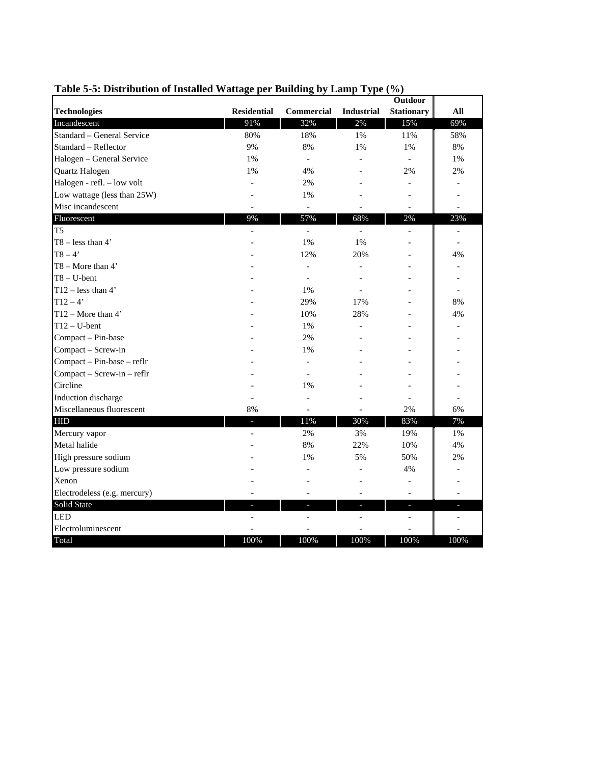| <b>Technologies</b>          | <b>Residential</b> | <b>Commercial</b>        | <b>Industrial</b> | <b>Stationary</b>        | All  |
|------------------------------|--------------------|--------------------------|-------------------|--------------------------|------|
| Incandescent                 | 91%                | 32%                      | 2%                | 15%                      | 69%  |
| Standard - General Service   | 80%                | 18%                      | 1%                | 11%                      | 58%  |
| Standard - Reflector         | 9%                 | 8%                       | 1%                | 1%                       | 8%   |
| Halogen - General Service    | 1%                 | $\overline{a}$           |                   |                          | 1%   |
| Quartz Halogen               | 1%                 | 4%                       |                   | 2%                       | 2%   |
| Halogen - refl. - low volt   |                    | 2%                       |                   | $\overline{\phantom{a}}$ |      |
| Low wattage (less than 25W)  |                    | 1%                       |                   |                          |      |
| Misc incandescent            |                    | $\overline{\phantom{a}}$ |                   |                          |      |
| Fluorescent                  | 9%                 | 57%                      | 68%               | 2%                       | 23%  |
| T <sub>5</sub>               |                    | $\overline{\phantom{m}}$ | $\overline{a}$    |                          |      |
| $T8 - less than 4'$          |                    | 1%                       | 1%                |                          |      |
| $T8 - 4'$                    |                    | 12%                      | 20%               |                          | 4%   |
| T8 - More than 4'            |                    | $\overline{a}$           |                   |                          |      |
| $T8 - U$ -bent               |                    | $\overline{a}$           |                   |                          |      |
| T12 – less than $4'$         |                    | 1%                       |                   |                          |      |
| $T12 - 4'$                   |                    | 29%                      | 17%               |                          | 8%   |
| $T12 - More than 4'$         |                    | 10%                      | 28%               |                          | 4%   |
| $T12 - U$ -bent              |                    | $1\%$                    |                   |                          |      |
| Compact - Pin-base           |                    | 2%                       |                   |                          |      |
| Compact - Screw-in           |                    | 1%                       |                   |                          |      |
| Compact - Pin-base - reflr   |                    |                          |                   |                          |      |
| Compact - Screw-in - reflr   |                    |                          |                   |                          |      |
| Circline                     |                    | 1%                       |                   |                          |      |
| Induction discharge          |                    |                          |                   |                          |      |
| Miscellaneous fluorescent    | 8%                 |                          |                   | 2%                       | 6%   |
| <b>HID</b>                   |                    | 11%                      | 30%               | 83%                      | 7%   |
| Mercury vapor                |                    | 2%                       | 3%                | 19%                      | 1%   |
| Metal halide                 |                    | 8%                       | 22%               | 10%                      | 4%   |
| High pressure sodium         |                    | 1%                       | 5%                | 50%                      | 2%   |
| Low pressure sodium          |                    |                          |                   | 4%                       |      |
| Xenon                        |                    |                          |                   |                          |      |
| Electrodeless (e.g. mercury) |                    |                          |                   |                          |      |
| Solid State                  |                    | $\overline{\phantom{a}}$ | а                 | $\overline{\phantom{a}}$ |      |
| <b>LED</b>                   |                    |                          |                   |                          |      |
| Electroluminescent           |                    |                          |                   |                          |      |
| Total                        | 100%               | 100%                     | 100%              | 100%                     | 100% |

## **Table 5-5: Distribution of Installed Wattage per Building by Lamp Type (%)**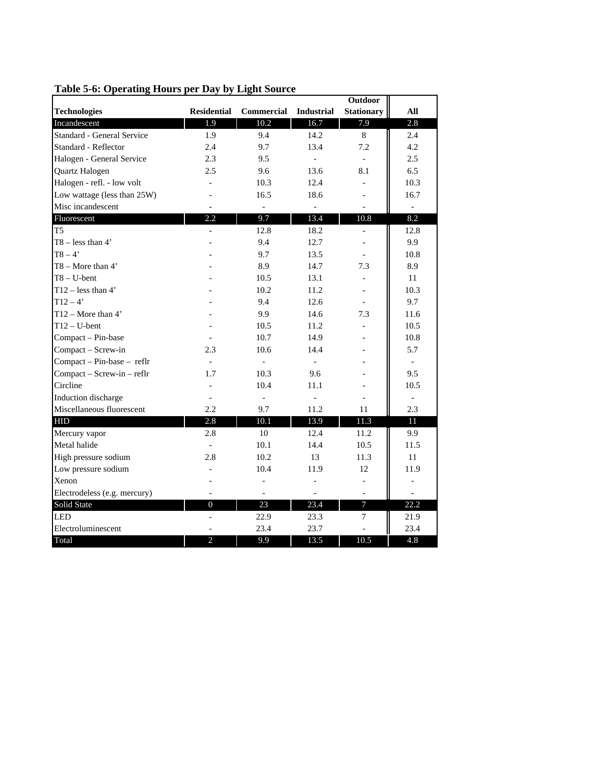|                                   |                          |                          |                          | <b>Outdoor</b>    |                          |
|-----------------------------------|--------------------------|--------------------------|--------------------------|-------------------|--------------------------|
| <b>Technologies</b>               | <b>Residential</b>       | <b>Commercial</b>        | <b>Industrial</b>        | <b>Stationary</b> | All                      |
| Incandescent                      | 1.9                      | 10.2                     | 16.7                     | 7.9               | 2.8                      |
| <b>Standard - General Service</b> | 1.9                      | 9.4                      | 14.2                     | 8                 | 2.4                      |
| Standard - Reflector              | 2.4                      | 9.7                      | 13.4                     | 7.2               | 4.2                      |
| Halogen - General Service         | 2.3                      | 9.5                      | $\overline{a}$           |                   | 2.5                      |
| Quartz Halogen                    | 2.5                      | 9.6                      | 13.6                     | 8.1               | 6.5                      |
| Halogen - refl. - low volt        |                          | 10.3                     | 12.4                     |                   | 10.3                     |
| Low wattage (less than 25W)       |                          | 16.5                     | 18.6                     |                   | 16.7                     |
| Misc incandescent                 |                          | $\overline{\phantom{0}}$ | $\overline{\phantom{0}}$ |                   | $\overline{\phantom{0}}$ |
| Fluorescent                       | 2.2                      | 9.7                      | 13.4                     | 10.8              | 8.2                      |
| T <sub>5</sub>                    |                          | 12.8                     | 18.2                     |                   | 12.8                     |
| $T8 - less than 4'$               |                          | 9.4                      | 12.7                     |                   | 9.9                      |
| $T8 - 4'$                         |                          | 9.7                      | 13.5                     |                   | 10.8                     |
| T8 - More than 4'                 |                          | 8.9                      | 14.7                     | 7.3               | 8.9                      |
| $T8 - U$ -bent                    |                          | 10.5                     | 13.1                     |                   | 11                       |
| $T12 - less than 4'$              |                          | 10.2                     | 11.2                     |                   | 10.3                     |
| $T12 - 4'$                        |                          | 9.4                      | 12.6                     |                   | 9.7                      |
| $T12 - More than 4'$              |                          | 9.9                      | 14.6                     | 7.3               | 11.6                     |
| $T12 - U$ -bent                   |                          | 10.5                     | 11.2                     |                   | 10.5                     |
| Compact - Pin-base                |                          | 10.7                     | 14.9                     |                   | 10.8                     |
| Compact - Screw-in                | 2.3                      | 10.6                     | 14.4                     |                   | 5.7                      |
| Compact - Pin-base - reflr        |                          | $\overline{\phantom{0}}$ | $\overline{a}$           |                   | $\overline{\phantom{a}}$ |
| Compact - Screw-in - reflr        | 1.7                      | 10.3                     | 9.6                      |                   | 9.5                      |
| Circline                          |                          | 10.4                     | 11.1                     |                   | 10.5                     |
| Induction discharge               |                          |                          |                          |                   | $\overline{\phantom{0}}$ |
| Miscellaneous fluorescent         | 2.2                      | 9.7                      | 11.2                     | 11                | 2.3                      |
| <b>HID</b>                        | 2.8                      | 10.1                     | 13.9                     | 11.3              | 11                       |
| Mercury vapor                     | 2.8                      | 10                       | 12.4                     | 11.2              | 9.9                      |
| Metal halide                      | $\overline{\phantom{a}}$ | 10.1                     | 14.4                     | 10.5              | 11.5                     |
| High pressure sodium              | 2.8                      | 10.2                     | 13                       | 11.3              | 11                       |
| Low pressure sodium               |                          | 10.4                     | 11.9                     | 12                | 11.9                     |
| Xenon                             |                          |                          |                          |                   |                          |
| Electrodeless (e.g. mercury)      |                          | $\overline{a}$           | $\overline{a}$           |                   |                          |
| Solid State                       | $\overline{0}$           | 23                       | 23.4                     | 7                 | 22.2                     |
| <b>LED</b>                        |                          | 22.9                     | 23.3                     | $\tau$            | 21.9                     |
| Electroluminescent                |                          | 23.4                     | 23.7                     |                   | 23.4                     |
| Total                             | 2                        | 9.9                      | 13.5                     | 10.5              | 4.8                      |

#### **Table 5-6: Operating Hours per Day by Light Source**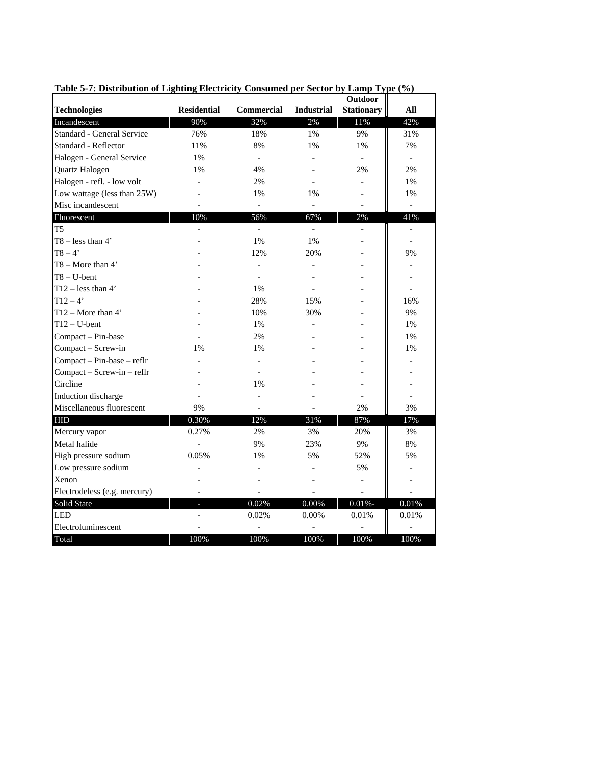|                              |                    |                   |                   | <b>Outdoor</b>    |                          |  |
|------------------------------|--------------------|-------------------|-------------------|-------------------|--------------------------|--|
| <b>Technologies</b>          | <b>Residential</b> | <b>Commercial</b> | <b>Industrial</b> | <b>Stationary</b> | All                      |  |
| Incandescent                 | 90%                | 32%               | 2%                | 11%               | 42%                      |  |
| Standard - General Service   | 76%                | 18%               | 1%                | 9%                | 31%                      |  |
| Standard - Reflector         | 11%                | 8%                | 1%                | 1%                | 7%                       |  |
| Halogen - General Service    | $1\%$              | $\overline{a}$    |                   |                   | $\overline{\phantom{a}}$ |  |
| Quartz Halogen               | 1%                 | 4%                |                   | 2%                | 2%                       |  |
| Halogen - refl. - low volt   |                    | 2%                |                   |                   | 1%                       |  |
| Low wattage (less than 25W)  |                    | 1%                | 1%                |                   | 1%                       |  |
| Misc incandescent            |                    | $\overline{a}$    | $\overline{a}$    |                   |                          |  |
| Fluorescent                  | 10%                | 56%               | 67%               | 2%                | 41%                      |  |
| T <sub>5</sub>               |                    |                   | $\overline{a}$    |                   |                          |  |
| $T8 - less than 4'$          |                    | 1%                | 1%                |                   |                          |  |
| $T8 - 4'$                    |                    | 12%               | 20%               |                   | 9%                       |  |
| $T8 - More than 4'$          |                    |                   | $\overline{a}$    |                   |                          |  |
| $T8 - U$ -bent               |                    |                   |                   |                   |                          |  |
| $T12 - less than 4'$         |                    | 1%                |                   |                   |                          |  |
| $T12 - 4'$                   |                    | 28%               | 15%               |                   | 16%                      |  |
| $T12 - More than 4'$         |                    | 10%               | 30%               |                   | 9%                       |  |
| $T12 - U$ -bent              |                    | 1%                |                   |                   | 1%                       |  |
| Compact - Pin-base           |                    | 2%                |                   |                   | 1%                       |  |
| Compact - Screw-in           | 1%                 | 1%                |                   |                   | 1%                       |  |
| Compact - Pin-base - reflr   |                    |                   |                   |                   |                          |  |
| Compact - Screw-in - reflr   |                    |                   |                   |                   |                          |  |
| Circline                     |                    | 1%                |                   |                   |                          |  |
| Induction discharge          |                    |                   |                   |                   |                          |  |
| Miscellaneous fluorescent    | 9%                 |                   |                   | 2%                | 3%                       |  |
| <b>HID</b>                   | 0.30%              | 12%               | 31%               | 87%               | 17%                      |  |
| Mercury vapor                | 0.27%              | 2%                | 3%                | 20%               | 3%                       |  |
| Metal halide                 | $\frac{1}{2}$      | 9%                | 23%               | 9%                | 8%                       |  |
| High pressure sodium         | 0.05%              | 1%                | 5%                | 52%               | 5%                       |  |
| Low pressure sodium          |                    |                   |                   | 5%                |                          |  |
| Xenon                        |                    |                   |                   |                   |                          |  |
| Electrodeless (e.g. mercury) |                    |                   |                   |                   |                          |  |
| Solid State                  |                    | 0.02%             | 0.00%             | $0.01% -$         | 0.01%                    |  |
| <b>LED</b>                   |                    | 0.02%             | 0.00%             | 0.01%             | 0.01%                    |  |
| Electroluminescent           |                    |                   |                   |                   |                          |  |
| Total                        | 100%               | 100%              | 100%              | 100%              | 100%                     |  |

#### **Table 5-7: Distribution of Lighting Electricity Consumed per Sector by Lamp Type (%)**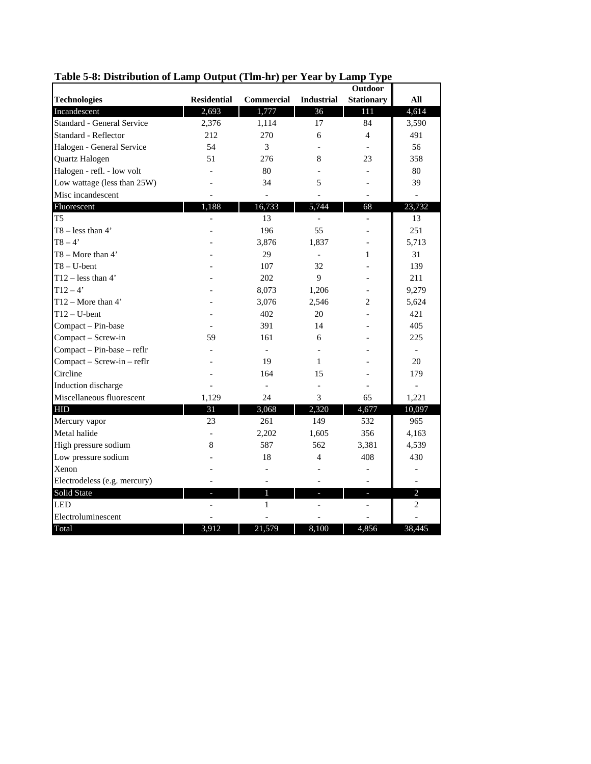|                              |                    |                   |                   | <b>Outdoor</b>    |                |
|------------------------------|--------------------|-------------------|-------------------|-------------------|----------------|
| <b>Technologies</b>          | <b>Residential</b> | <b>Commercial</b> | <b>Industrial</b> | <b>Stationary</b> | All            |
| Incandescent                 | 2,693              | 1,777             | 36                | 111               | 4,614          |
| Standard - General Service   | 2,376              | 1,114             | 17                | 84                | 3,590          |
| Standard - Reflector         | 212                | 270               | 6                 | 4                 | 491            |
| Halogen - General Service    | 54                 | 3                 |                   |                   | 56             |
| Quartz Halogen               | 51                 | 276               | 8                 | 23                | 358            |
| Halogen - refl. - low volt   |                    | 80                |                   |                   | 80             |
| Low wattage (less than 25W)  |                    | 34                | 5                 |                   | 39             |
| Misc incandescent            |                    |                   |                   |                   |                |
| Fluorescent                  | 1,188              | 16,733            | 5,744             | 68                | 23,732         |
| T <sub>5</sub>               |                    | 13                |                   |                   | 13             |
| $T8 - less than 4'$          |                    | 196               | 55                |                   | 251            |
| $T8 - 4'$                    |                    | 3,876             | 1,837             |                   | 5,713          |
| $T8 - \text{More than } 4'$  |                    | 29                | $\overline{a}$    | 1                 | 31             |
| $T8 - U$ -bent               |                    | 107               | 32                |                   | 139            |
| $T12 - less than 4'$         |                    | 202               | 9                 |                   | 211            |
| $T12 - 4'$                   |                    | 8,073             | 1,206             |                   | 9,279          |
| $T12 - \text{More than } 4'$ |                    | 3,076             | 2,546             | 2                 | 5,624          |
| $T12 - U$ -bent              |                    | 402               | 20                |                   | 421            |
| Compact - Pin-base           |                    | 391               | 14                |                   | 405            |
| Compact - Screw-in           | 59                 | 161               | 6                 |                   | 225            |
| Compact - Pin-base - reflr   |                    |                   |                   |                   |                |
| Compact - Screw-in - reflr   |                    | 19                | 1                 |                   | 20             |
| Circline                     |                    | 164               | 15                |                   | 179            |
| Induction discharge          |                    |                   |                   |                   |                |
| Miscellaneous fluorescent    | 1,129              | 24                | 3                 | 65                | 1,221          |
| <b>HID</b>                   | 31                 | 3,068             | 2,320             | 4,677             | 10,097         |
| Mercury vapor                | 23                 | 261               | 149               | 532               | 965            |
| Metal halide                 |                    | 2,202             | 1,605             | 356               | 4,163          |
| High pressure sodium         | 8                  | 587               | 562               | 3,381             | 4,539          |
| Low pressure sodium          |                    | 18                | 4                 | 408               | 430            |
| Xenon                        |                    |                   |                   |                   |                |
| Electrodeless (e.g. mercury) |                    |                   |                   |                   |                |
| Solid State                  |                    | 1                 |                   |                   | $\overline{c}$ |
| <b>LED</b>                   |                    | 1                 |                   |                   | 2              |
| Electroluminescent           |                    |                   |                   |                   |                |
| Total                        | 3,912              | 21,579            | 8,100             | 4,856             | 38,445         |

### **Table 5-8: Distribution of Lamp Output (Tlm-hr) per Year by Lamp Type**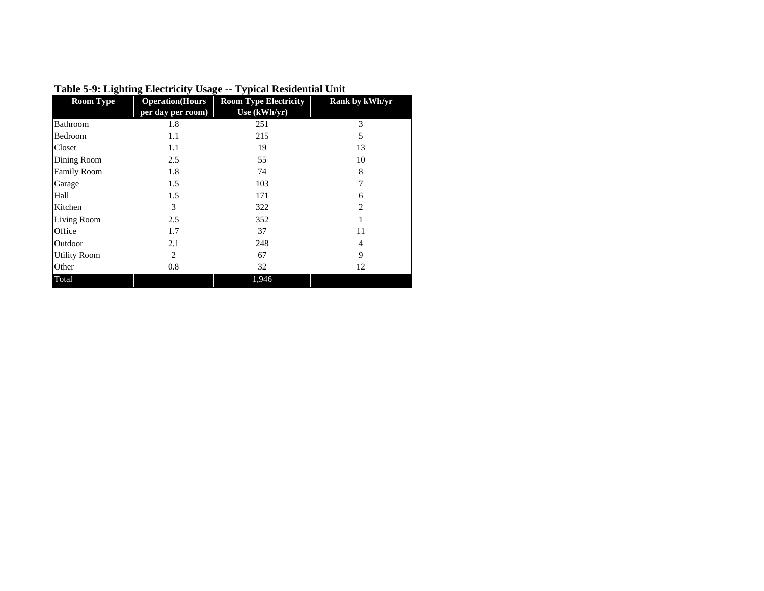| <b>Room Type</b>    | <b>Operation</b> (Hours | <b>Room Type Electricity</b> | Rank by kWh/yr |
|---------------------|-------------------------|------------------------------|----------------|
|                     | per day per room)       | Use (kWh/yr)                 |                |
| Bathroom            | 1.8                     | 251                          | 3              |
| Bedroom             | 1.1                     | 215                          | 5              |
| Closet              | 1.1                     | 19                           | 13             |
| Dining Room         | 2.5                     | 55                           | 10             |
| <b>Family Room</b>  | 1.8                     | 74                           | 8              |
| Garage              | 1.5                     | 103                          | 7              |
| Hall                | 1.5                     | 171                          | 6              |
| Kitchen             | 3                       | 322                          | $\overline{c}$ |
| Living Room         | 2.5                     | 352                          |                |
| Office              | 1.7                     | 37                           | 11             |
| Outdoor             | 2.1                     | 248                          | 4              |
| <b>Utility Room</b> | $\overline{c}$          | 67                           | $\mathbf Q$    |
| Other               | 0.8                     | 32                           | 12             |
| Total               |                         | 1,946                        |                |

### **Table 5-9: Lighting Electricity Usage -- Typical Residential Unit**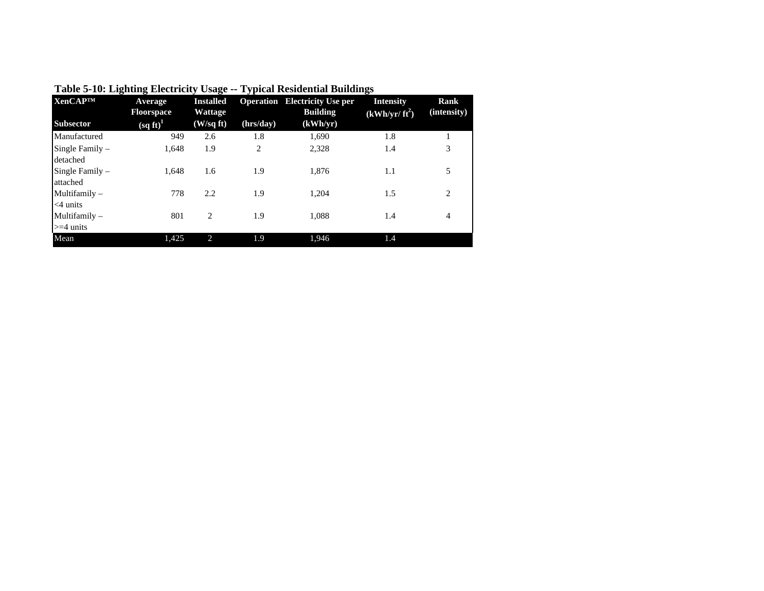| <b>XenCAPTM</b>                 | Average<br><b>Floorspace</b>    | <b>Installed</b><br>Wattage |                | <b>Operation</b> Electricity Use per<br><b>Building</b> | <b>Intensity</b><br>$(kWh/yr/ft^2)$ | Rank<br>(intensity) |
|---------------------------------|---------------------------------|-----------------------------|----------------|---------------------------------------------------------|-------------------------------------|---------------------|
| <b>Subsector</b>                | $\left(\text{sq ft}\right)^{1}$ | (W/sqft)                    | (hrs/day)      | (kWh/yr)                                                |                                     |                     |
| Manufactured                    | 949                             | 2.6                         | 1.8            | 1,690                                                   | 1.8                                 |                     |
| Single Family $-$<br>detached   | 1,648                           | 1.9                         | $\overline{2}$ | 2.328                                                   | 1.4                                 | 3                   |
| Single Family $-$<br>attached   | 1.648                           | 1.6                         | 1.9            | 1,876                                                   | 1.1                                 | 5                   |
| Multifamily $-$<br>$<$ 4 units  | 778                             | 2.2                         | 1.9            | 1.204                                                   | 1.5                                 | 2                   |
| Multifamily $-$<br>$>=$ 4 units | 801                             | 2                           | 1.9            | 1,088                                                   | 1.4                                 | $\overline{4}$      |
| Mean                            | 1,425                           | 2                           | 1.9            | 1.946                                                   | 1.4                                 |                     |

**Table 5-10: Lighting Electricity Usage -- Typical Residential Buildings**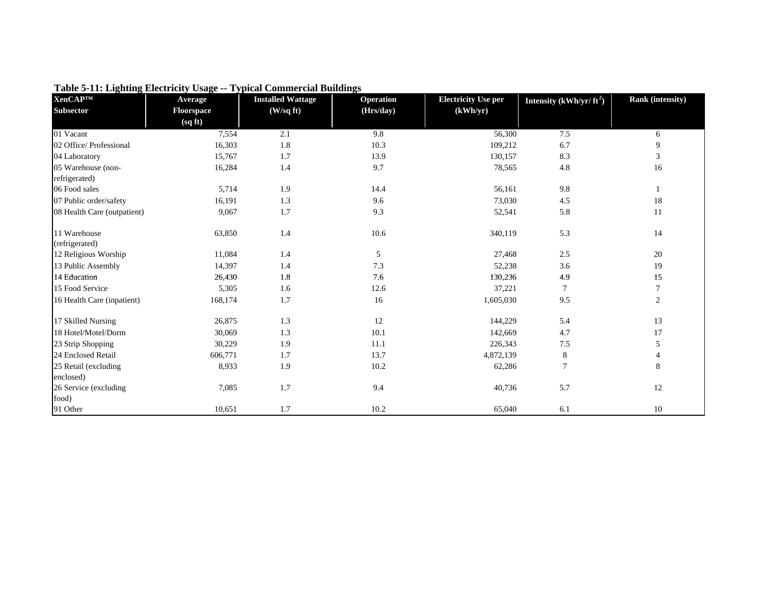| <b>XenCAP™</b>              | Average    | <b>Installed Wattage</b> | <b>Operation</b> | <b>Electricity Use per</b> | Intensity $(kWh/yr/ft^2)$ | Rank (intensity) |
|-----------------------------|------------|--------------------------|------------------|----------------------------|---------------------------|------------------|
| <b>Subsector</b>            | Floorspace | (W/sq ft)                | (Hrs/day)        | (kWh/yr)                   |                           |                  |
|                             | (sqft)     |                          |                  |                            |                           |                  |
| 01 Vacant                   | 7,554      | 2.1                      | 9.8              | 56,300                     | 7.5                       | 6                |
| 02 Office/ Professional     | 16,303     | 1.8                      | 10.3             | 109,212                    | 6.7                       | 9                |
| 04 Laboratory               | 15,767     | 1.7                      | 13.9             | 130,157                    | 8.3                       | 3                |
| 05 Warehouse (non-          | 16,284     | 1.4                      | 9.7              | 78,565                     | 4.8                       | 16               |
| refrigerated)               |            |                          |                  |                            |                           |                  |
| 06 Food sales               | 5,714      | 1.9                      | 14.4             | 56,161                     | 9.8                       | 1                |
| 07 Public order/safety      | 16,191     | 1.3                      | 9.6              | 73,030                     | 4.5                       | 18               |
| 08 Health Care (outpatient) | 9,067      | 1.7                      | 9.3              | 52,541                     | 5.8                       | 11               |
| 11 Warehouse                | 63,850     | 1.4                      | 10.6             | 340,119                    | 5.3                       | 14               |
| (refrigerated)              |            |                          |                  |                            |                           |                  |
| 12 Religious Worship        | 11,084     | 1.4                      | 5                | 27,468                     | 2.5                       | 20               |
| 13 Public Assembly          | 14,397     | 1.4                      | 7.3              | 52,238                     | 3.6                       | 19               |
| 14 Education                | 26,430     | 1.8                      | 7.6              | 130,236                    | 4.9                       | 15               |
| 15 Food Service             | 5,305      | 1.6                      | 12.6             | 37,221                     | 7                         | $\tau$           |
| 16 Health Care (inpatient)  | 168,174    | 1.7                      | 16               | 1,605,030                  | 9.5                       | $\overline{c}$   |
| 17 Skilled Nursing          | 26,875     | 1.3                      | 12               | 144,229                    | 5.4                       | 13               |
| 18 Hotel/Motel/Dorm         | 30,069     | 1.3                      | 10.1             | 142,669                    | 4.7                       | 17               |
| 23 Strip Shopping           | 30,229     | 1.9                      | 11.1             | 226,343                    | 7.5                       | 5                |
| 24 Enclosed Retail          | 606,771    | 1.7                      | 13.7             | 4,872,139                  | 8                         | 4                |
| 25 Retail (excluding        | 8,933      | 1.9                      | 10.2             | 62,286                     | $\overline{7}$            | 8                |
| enclosed)                   |            |                          |                  |                            |                           |                  |
| 26 Service (excluding       | 7,085      | 1.7                      | 9.4              | 40,736                     | 5.7                       | 12               |
| food)                       |            |                          |                  |                            |                           |                  |
| 91 Other                    | 10,651     | 1.7                      | 10.2             | 65,040                     | 6.1                       | 10               |

**Table 5-11: Lighting Electricity Usage -- Typical Commercial Buildings**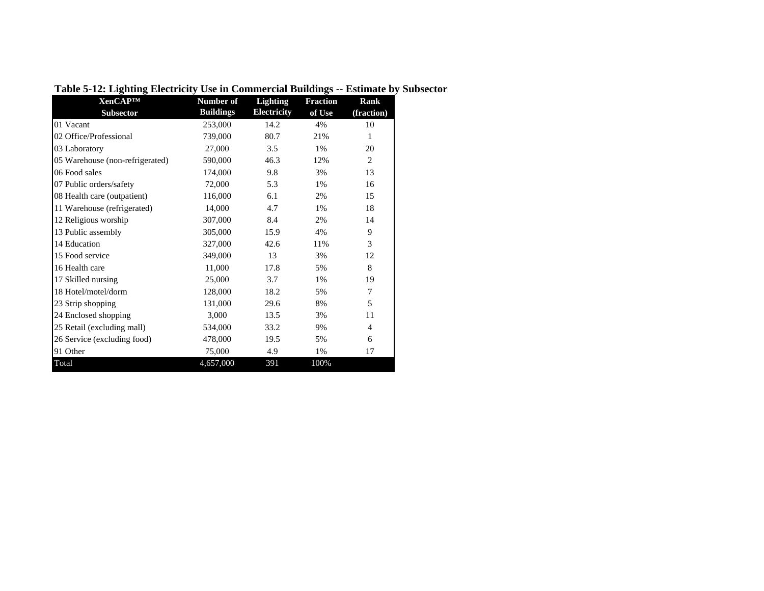| <b>XenCAPTM</b>                 | Number of        | Lighting           | <b>Fraction</b> | Rank           |
|---------------------------------|------------------|--------------------|-----------------|----------------|
| <b>Subsector</b>                | <b>Buildings</b> | <b>Electricity</b> | of Use          | (fraction)     |
| 01 Vacant                       | 253,000          | 14.2               | 4%              | 10             |
| 02 Office/Professional          | 739,000          | 80.7               | 21%             | 1              |
| 03 Laboratory                   | 27,000           | 3.5                | 1%              | 20             |
| 05 Warehouse (non-refrigerated) | 590,000          | 46.3               | 12%             | 2              |
| 06 Food sales                   | 174,000          | 9.8                | 3%              | 13             |
| 07 Public orders/safety         | 72,000           | 5.3                | 1%              | 16             |
| 08 Health care (outpatient)     | 116,000          | 6.1                | 2%              | 15             |
| 11 Warehouse (refrigerated)     | 14,000           | 4.7                | 1%              | 18             |
| 12 Religious worship            | 307,000          | 8.4                | 2%              | 14             |
| 13 Public assembly              | 305,000          | 15.9               | 4%              | 9              |
| 14 Education                    | 327,000          | 42.6               | 11%             | 3              |
| 15 Food service                 | 349,000          | 13                 | 3%              | 12             |
| 16 Health care                  | 11,000           | 17.8               | 5%              | 8              |
| 17 Skilled nursing              | 25,000           | 3.7                | 1%              | 19             |
| 18 Hotel/motel/dorm             | 128,000          | 18.2               | 5%              | 7              |
| 23 Strip shopping               | 131,000          | 29.6               | 8%              | 5              |
| 24 Enclosed shopping            | 3,000            | 13.5               | 3%              | 11             |
| 25 Retail (excluding mall)      | 534,000          | 33.2               | 9%              | $\overline{4}$ |
| 26 Service (excluding food)     | 478,000          | 19.5               | 5%              | 6              |
| 91 Other                        | 75,000           | 4.9                | 1%              | 17             |
| Total                           | 4,657,000        | 391                | 100%            |                |

**Table 5-12: Lighting Electricity Use in Commercial Buildings -- Estimate by Subsector**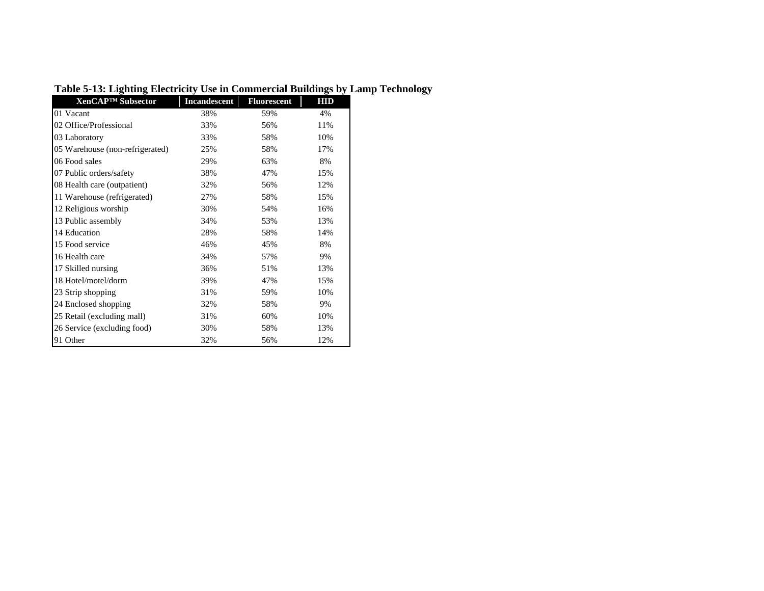| XenCAP <sup>™</sup> Subsector   | <b>Incandescent</b> | <b>Fluorescent</b> | HID |
|---------------------------------|---------------------|--------------------|-----|
| 01 Vacant                       | 38%                 | 59%                | 4%  |
| 02 Office/Professional          | 33%                 | 56%                | 11% |
| 03 Laboratory                   | 33%                 | 58%                | 10% |
| 05 Warehouse (non-refrigerated) | 25%                 | 58%                | 17% |
| 06 Food sales                   | 29%                 | 63%                | 8%  |
| 07 Public orders/safety         | 38%                 | 47%                | 15% |
| 08 Health care (outpatient)     | 32%                 | 56%                | 12% |
| 11 Warehouse (refrigerated)     | 27%                 | 58%                | 15% |
| 12 Religious worship            | 30%                 | 54%                | 16% |
| 13 Public assembly              | 34%                 | 53%                | 13% |
| 14 Education                    | 28%                 | 58%                | 14% |
| 15 Food service                 | 46%                 | 45%                | 8%  |
| 16 Health care                  | 34%                 | 57%                | 9%  |
| 17 Skilled nursing              | 36%                 | 51%                | 13% |
| 18 Hotel/motel/dorm             | 39%                 | 47%                | 15% |
| 23 Strip shopping               | 31%                 | 59%                | 10% |
| 24 Enclosed shopping            | 32%                 | 58%                | 9%  |
| 25 Retail (excluding mall)      | 31%                 | 60%                | 10% |
| 26 Service (excluding food)     | 30%                 | 58%                | 13% |
| 91 Other                        | 32%                 | 56%                | 12% |

# **Table 5-13: Lighting Electricity Use in Commercial Buildings by Lamp Technology**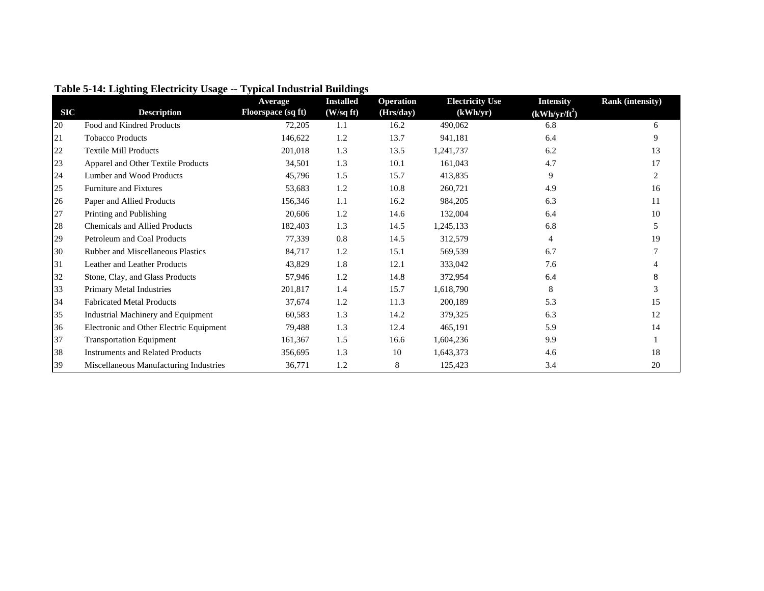|            |                                           | Average            | <b>Installed</b> | <b>Operation</b> | <b>Electricity Use</b> | <b>Intensity</b> | <b>Rank</b> (intensity) |
|------------|-------------------------------------------|--------------------|------------------|------------------|------------------------|------------------|-------------------------|
| <b>SIC</b> | <b>Description</b>                        | Floorspace (sq ft) | (W/sqft)         | (Hrs/day)        | (kWh/yr)               | $(kWh/yr/ft^2)$  |                         |
| 20         | Food and Kindred Products                 | 72,205             | 1.1              | 16.2             | 490,062                | 6.8              | 6                       |
| 21         | <b>Tobacco Products</b>                   | 146,622            | 1.2              | 13.7             | 941,181                | 6.4              | 9                       |
| 22         | <b>Textile Mill Products</b>              | 201,018            | 1.3              | 13.5             | 1,241,737              | 6.2              | 13                      |
| 23         | Apparel and Other Textile Products        | 34,501             | 1.3              | 10.1             | 161,043                | 4.7              | 17                      |
| 24         | Lumber and Wood Products                  | 45,796             | 1.5              | 15.7             | 413,835                | 9                | 2                       |
| 25         | <b>Furniture and Fixtures</b>             | 53,683             | 1.2              | 10.8             | 260,721                | 4.9              | 16                      |
| 26         | Paper and Allied Products                 | 156,346            | 1.1              | 16.2             | 984,205                | 6.3              | 11                      |
| 27         | Printing and Publishing                   | 20,606             | 1.2              | 14.6             | 132,004                | 6.4              | 10                      |
| 28         | <b>Chemicals and Allied Products</b>      | 182,403            | 1.3              | 14.5             | 1,245,133              | 6.8              |                         |
| 29         | Petroleum and Coal Products               | 77,339             | 0.8              | 14.5             | 312,579                | 4                | 19                      |
| 30         | <b>Rubber and Miscellaneous Plastics</b>  | 84,717             | 1.2              | 15.1             | 569,539                | 6.7              |                         |
| 31         | Leather and Leather Products              | 43,829             | 1.8              | 12.1             | 333,042                | 7.6              |                         |
| 32         | Stone, Clay, and Glass Products           | 57,946             | 1.2              | 14.8             | 372,954                | 6.4              |                         |
| 33         | Primary Metal Industries                  | 201,817            | 1.4              | 15.7             | 1,618,790              | 8                |                         |
| 34         | <b>Fabricated Metal Products</b>          | 37,674             | 1.2              | 11.3             | 200,189                | 5.3              | 15                      |
| 35         | <b>Industrial Machinery and Equipment</b> | 60,583             | 1.3              | 14.2             | 379,325                | 6.3              | 12                      |
| 36         | Electronic and Other Electric Equipment   | 79,488             | 1.3              | 12.4             | 465,191                | 5.9              | 14                      |
| 37         | <b>Transportation Equipment</b>           | 161,367            | 1.5              | 16.6             | 1,604,236              | 9.9              |                         |
| 38         | <b>Instruments and Related Products</b>   | 356,695            | 1.3              | 10               | 1,643,373              | 4.6              | 18                      |
| 39         | Miscellaneous Manufacturing Industries    | 36,771             | 1.2              | 8                | 125,423                | 3.4              | 20                      |

### **Table 5-14: Lighting Electricity Usage -- Typical Industrial Buildings**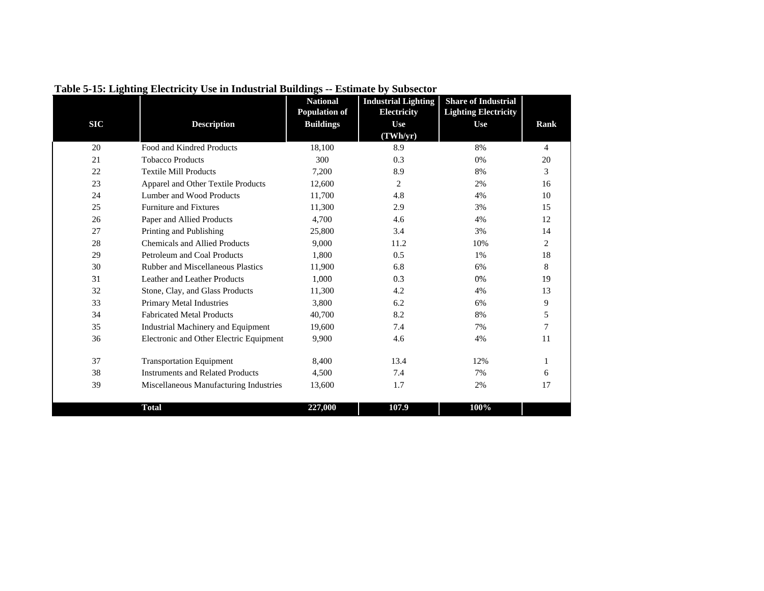|            |                                          | <b>National</b>      | <b>Industrial Lighting</b> | <b>Share of Industrial</b>  |                |
|------------|------------------------------------------|----------------------|----------------------------|-----------------------------|----------------|
|            |                                          | <b>Population of</b> | Electricity                | <b>Lighting Electricity</b> |                |
| <b>SIC</b> | <b>Description</b>                       | <b>Buildings</b>     | Use<br>(TWh/yr)            | <b>Use</b>                  | Rank           |
| 20         | Food and Kindred Products                | 18,100               | 8.9                        | 8%                          | 4              |
| 21         | <b>Tobacco Products</b>                  | 300                  | 0.3                        | 0%                          | 20             |
| 22         | <b>Textile Mill Products</b>             | 7,200                | 8.9                        | 8%                          | 3              |
|            |                                          |                      |                            |                             |                |
| 23         | Apparel and Other Textile Products       | 12,600               | $\overline{2}$             | 2%                          | 16             |
| 24         | Lumber and Wood Products                 | 11,700               | 4.8                        | 4%                          | 10             |
| 25         | <b>Furniture and Fixtures</b>            | 11,300               | 2.9                        | 3%                          | 15             |
| 26         | Paper and Allied Products                | 4,700                | 4.6                        | 4%                          | 12             |
| 27         | Printing and Publishing                  | 25,800               | 3.4                        | 3%                          | 14             |
| 28         | <b>Chemicals and Allied Products</b>     | 9,000                | 11.2                       | 10%                         | $\overline{2}$ |
| 29         | Petroleum and Coal Products              | 1.800                | 0.5                        | 1%                          | 18             |
| 30         | <b>Rubber and Miscellaneous Plastics</b> | 11,900               | 6.8                        | 6%                          | 8              |
| 31         | Leather and Leather Products             | 1,000                | 0.3                        | 0%                          | 19             |
| 32         | Stone, Clay, and Glass Products          | 11,300               | 4.2                        | 4%                          | 13             |
| 33         | Primary Metal Industries                 | 3,800                | 6.2                        | 6%                          | 9              |
| 34         | <b>Fabricated Metal Products</b>         | 40,700               | 8.2                        | 8%                          | 5              |
| 35         | Industrial Machinery and Equipment       | 19,600               | 7.4                        | 7%                          | 7              |
| 36         | Electronic and Other Electric Equipment  | 9,900                | 4.6                        | 4%                          | 11             |
| 37         | <b>Transportation Equipment</b>          | 8,400                | 13.4                       | 12%                         | 1              |
| 38         | <b>Instruments and Related Products</b>  | 4,500                | 7.4                        | 7%                          | 6              |
| 39         | Miscellaneous Manufacturing Industries   | 13,600               | 1.7                        | 2%                          | 17             |
|            | <b>Total</b>                             | 227,000              | 107.9                      | 100%                        |                |

**Table 5-15: Lighting Electricity Use in Industrial Buildings -- Estimate by Subsector**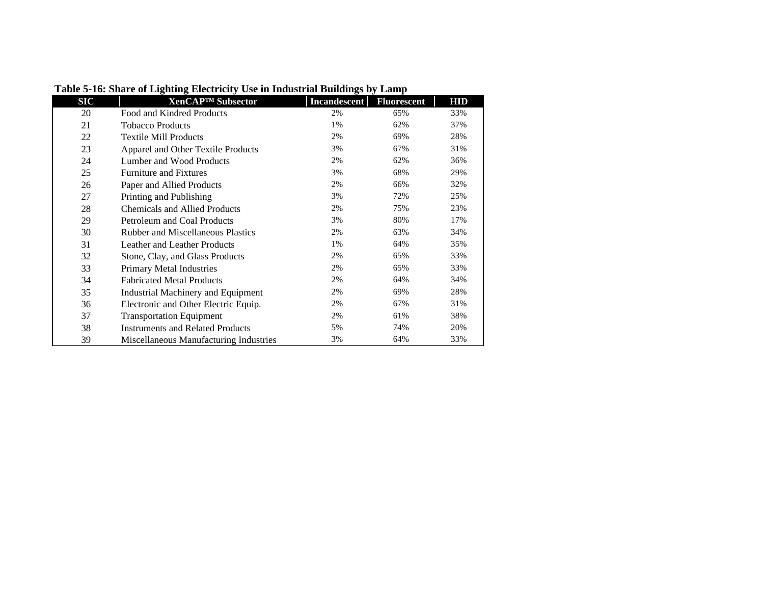| <b>SIC</b> | XenCAP <sup>™</sup> Subsector            | <b>Incandescent</b> | <b>Fluorescent</b> | HID |
|------------|------------------------------------------|---------------------|--------------------|-----|
| 20         | Food and Kindred Products                | 2%                  | 65%                | 33% |
| 21         | <b>Tobacco Products</b>                  | 1%                  | 62%                | 37% |
| 22         | <b>Textile Mill Products</b>             | 2%                  | 69%                | 28% |
| 23         | Apparel and Other Textile Products       | 3%                  | 67%                | 31% |
| 24         | Lumber and Wood Products                 | 2%                  | 62%                | 36% |
| 25         | <b>Furniture and Fixtures</b>            | 3%                  | 68%                | 29% |
| 26         | Paper and Allied Products                | 2%                  | 66%                | 32% |
| 27         | Printing and Publishing                  | 3%                  | 72%                | 25% |
| 28         | <b>Chemicals and Allied Products</b>     | 2%                  | 75%                | 23% |
| 29         | Petroleum and Coal Products              | 3%                  | 80%                | 17% |
| 30         | <b>Rubber and Miscellaneous Plastics</b> | 2%                  | 63%                | 34% |
| 31         | Leather and Leather Products             | 1%                  | 64%                | 35% |
| 32         | Stone, Clay, and Glass Products          | 2%                  | 65%                | 33% |
| 33         | <b>Primary Metal Industries</b>          | 2%                  | 65%                | 33% |
| 34         | <b>Fabricated Metal Products</b>         | 2%                  | 64%                | 34% |
| 35         | Industrial Machinery and Equipment       | 2%                  | 69%                | 28% |
| 36         | Electronic and Other Electric Equip.     | 2%                  | 67%                | 31% |
| 37         | <b>Transportation Equipment</b>          | 2%                  | 61%                | 38% |
| 38         | <b>Instruments and Related Products</b>  | 5%                  | 74%                | 20% |
| 39         | Miscellaneous Manufacturing Industries   | 3%                  | 64%                | 33% |

**Table 5-16: Share of Lighting Electricity Use in Industrial Buildings by Lamp**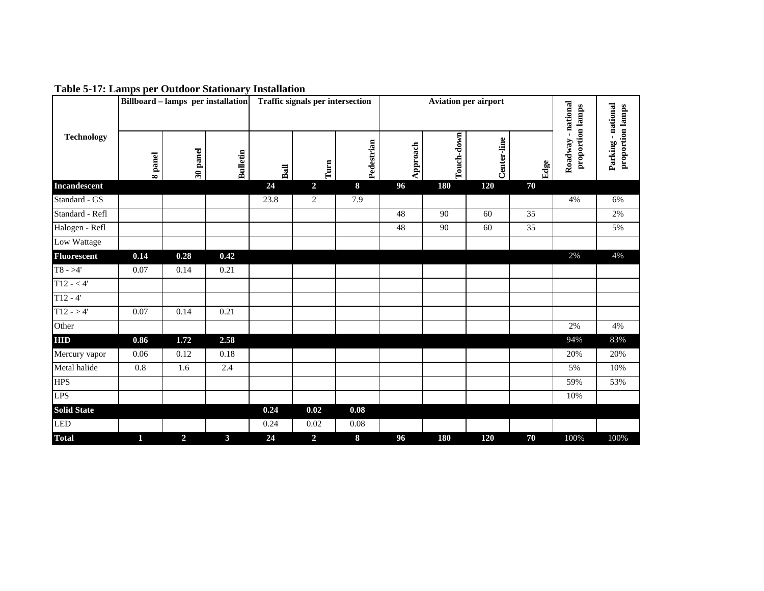|                    |         | <b>Billboard – lamps per installation</b> |                 |      | <b>Traffic signals per intersection</b> |            |          | <b>Aviation per airport</b> |             |      |                                           |                                        |
|--------------------|---------|-------------------------------------------|-----------------|------|-----------------------------------------|------------|----------|-----------------------------|-------------|------|-------------------------------------------|----------------------------------------|
| <b>Technology</b>  | 8 panel | 30 panel                                  | <b>Bulletin</b> | Ball | Turn                                    | Pedestrian | Approach | Touch-down                  | Center-line | Edge | - national<br>proportion lamps<br>Roadway | Parking - national<br>proportion lamps |
| Incandescent       |         |                                           |                 | 24   | $\overline{2}$                          | 8          | 96       | 180                         | 120         | 70   |                                           |                                        |
| Standard - GS      |         |                                           |                 | 23.8 | $\overline{c}$                          | 7.9        |          |                             |             |      | 4%                                        | 6%                                     |
| Standard - Refl    |         |                                           |                 |      |                                         |            | 48       | 90                          | 60          | 35   |                                           | 2%                                     |
| Halogen - Refl     |         |                                           |                 |      |                                         |            | 48       | 90                          | 60          | 35   |                                           | 5%                                     |
| Low Wattage        |         |                                           |                 |      |                                         |            |          |                             |             |      |                                           |                                        |
| Fluorescent        | 0.14    | 0.28                                      | 0.42            |      |                                         |            |          |                             |             |      | 2%                                        | 4%                                     |
| $T8 - > 4'$        | 0.07    | 0.14                                      | 0.21            |      |                                         |            |          |                             |             |      |                                           |                                        |
| $T12 - 4'$         |         |                                           |                 |      |                                         |            |          |                             |             |      |                                           |                                        |
| $T12 - 4'$         |         |                                           |                 |      |                                         |            |          |                             |             |      |                                           |                                        |
| $T12 - > 4'$       | 0.07    | 0.14                                      | 0.21            |      |                                         |            |          |                             |             |      |                                           |                                        |
| Other              |         |                                           |                 |      |                                         |            |          |                             |             |      | 2%                                        | 4%                                     |
| <b>HID</b>         | 0.86    | 1.72                                      | 2.58            |      |                                         |            |          |                             |             |      | 94%                                       | 83%                                    |
| Mercury vapor      | 0.06    | 0.12                                      | 0.18            |      |                                         |            |          |                             |             |      | 20%                                       | 20%                                    |
| Metal halide       | 0.8     | 1.6                                       | 2.4             |      |                                         |            |          |                             |             |      | 5%                                        | 10%                                    |
| <b>HPS</b>         |         |                                           |                 |      |                                         |            |          |                             |             |      | 59%                                       | 53%                                    |
| <b>LPS</b>         |         |                                           |                 |      |                                         |            |          |                             |             |      | 10%                                       |                                        |
| <b>Solid State</b> |         |                                           |                 | 0.24 | 0.02                                    | $0.08\,$   |          |                             |             |      |                                           |                                        |
| <b>LED</b>         |         |                                           |                 | 0.24 | 0.02                                    | 0.08       |          |                             |             |      |                                           |                                        |
| <b>Total</b>       | 1       | $\overline{2}$                            | 3               | 24   | $\overline{2}$                          | 8          | 96       | 180                         | 120         | 70   | 100%                                      | 100%                                   |

**Table 5-17: Lamps per Outdoor Stationary Installation**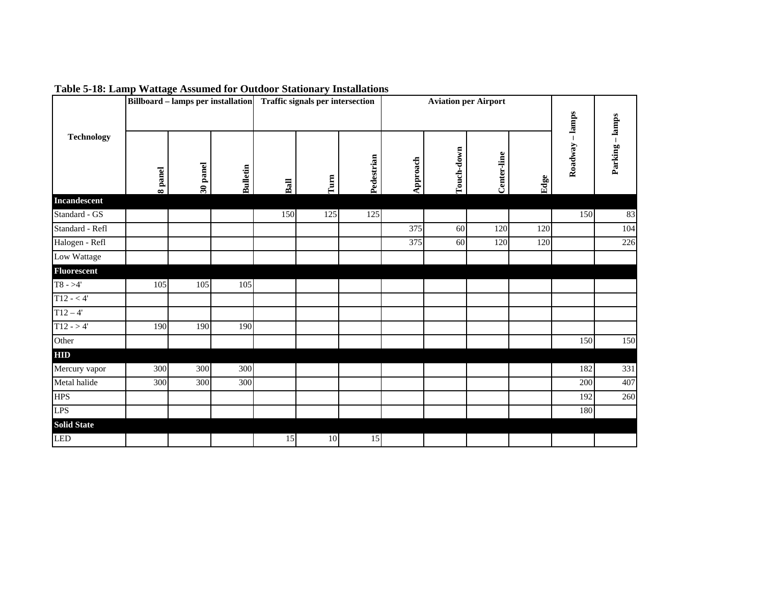|                    |                   | <b>Billboard - lamps per installation</b> |                 |      | Traffic signals per intersection |            |          | <b>Aviation per Airport</b> |             |      |                   |               |
|--------------------|-------------------|-------------------------------------------|-----------------|------|----------------------------------|------------|----------|-----------------------------|-------------|------|-------------------|---------------|
| <b>Technology</b>  | panel<br>$\infty$ | 30 panel                                  | <b>Bulletin</b> | Ball | Turn                             | Pedestrian | Approach | Touch-down                  | Center-line | Edge | -lamps<br>Roadway | Parking-lamps |
| Incandescent       |                   |                                           |                 |      |                                  |            |          |                             |             |      |                   |               |
| Standard - GS      |                   |                                           |                 | 150  | 125                              | 125        |          |                             |             |      | 150               | 83            |
| Standard - Refl    |                   |                                           |                 |      |                                  |            | 375      | 60                          | 120         | 120  |                   | 104           |
| Halogen - Refl     |                   |                                           |                 |      |                                  |            | 375      | 60                          | 120         | 120  |                   | 226           |
| Low Wattage        |                   |                                           |                 |      |                                  |            |          |                             |             |      |                   |               |
| <b>Fluorescent</b> |                   |                                           |                 |      |                                  |            |          |                             |             |      |                   |               |
| $T8 - > 4'$        | 105               | 105                                       | 105             |      |                                  |            |          |                             |             |      |                   |               |
| $T12 - 4'$         |                   |                                           |                 |      |                                  |            |          |                             |             |      |                   |               |
| $T12 - 4'$         |                   |                                           |                 |      |                                  |            |          |                             |             |      |                   |               |
| $T12 - > 4'$       | 190               | 190                                       | 190             |      |                                  |            |          |                             |             |      |                   |               |
| Other              |                   |                                           |                 |      |                                  |            |          |                             |             |      | 150               | 150           |
| <b>HID</b>         |                   |                                           |                 |      |                                  |            |          |                             |             |      |                   |               |
| Mercury vapor      | 300               | 300                                       | 300             |      |                                  |            |          |                             |             |      | 182               | 331           |
| Metal halide       | 300               | 300                                       | 300             |      |                                  |            |          |                             |             |      | 200               | 407           |
| <b>HPS</b>         |                   |                                           |                 |      |                                  |            |          |                             |             |      | 192               | 260           |
| <b>LPS</b>         |                   |                                           |                 |      |                                  |            |          |                             |             |      | 180               |               |
| <b>Solid State</b> |                   |                                           |                 |      |                                  |            |          |                             |             |      |                   |               |
| <b>LED</b>         |                   |                                           |                 | 15   | 10                               | 15         |          |                             |             |      |                   |               |

**Table 5-18: Lamp Wattage Assumed for Outdoor Stationary Installations**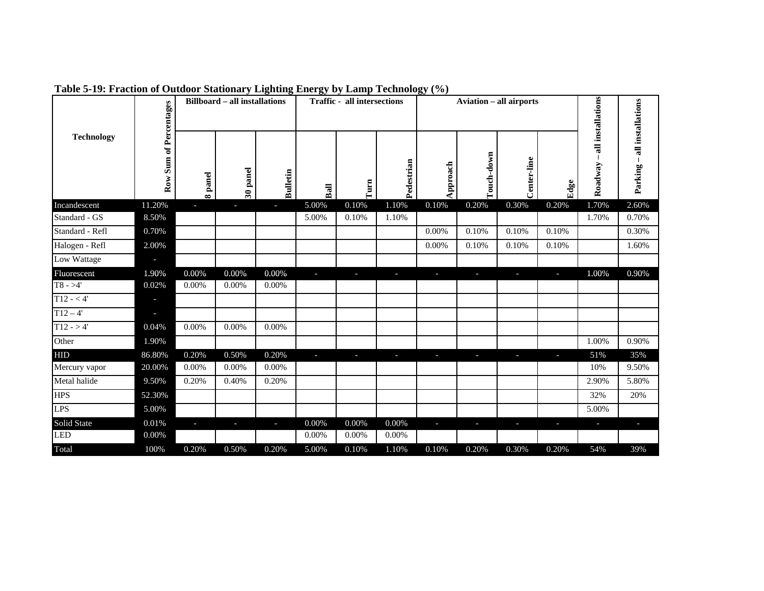|                   | of Percentages |                   | <b>Billboard - all installations</b><br><b>Traffic - all intersections</b> |          |       |                          |                          |          | <b>Aviation - all airports</b> |             |                          |                              | all installations  |
|-------------------|----------------|-------------------|----------------------------------------------------------------------------|----------|-------|--------------------------|--------------------------|----------|--------------------------------|-------------|--------------------------|------------------------------|--------------------|
| <b>Technology</b> | Row Sum        | panel<br>$\infty$ | 30 panel                                                                   | Bulletin | Ball  | $\Gamma \text{um}$       | Pedestrian               | Approach | Touch-down                     | Center-line | Edge                     | all installations<br>Roadway | $\perp$<br>Parking |
| Incandescent      | 11.20%         |                   | J.                                                                         | L.       | 5.00% | 0.10%                    | 1.10%                    | 0.10%    | 0.20%                          | 0.30%       | 0.20%                    | 1.70%                        | 2.60%              |
| Standard - GS     | 8.50%          |                   |                                                                            |          | 5.00% | 0.10%                    | 1.10%                    |          |                                |             |                          | 1.70%                        | 0.70%              |
| Standard - Refl   | 0.70%          |                   |                                                                            |          |       |                          |                          | 0.00%    | 0.10%                          | 0.10%       | 0.10%                    |                              | 0.30%              |
| Halogen - Refl    | 2.00%          |                   |                                                                            |          |       |                          |                          | 0.00%    | 0.10%                          | 0.10%       | 0.10%                    |                              | 1.60%              |
| Low Wattage       | L              |                   |                                                                            |          |       |                          |                          |          |                                |             |                          |                              |                    |
| Fluorescent       | 1.90%          | 0.00%             | 0.00%                                                                      | 0.00%    | J.    | $\overline{\phantom{a}}$ | $\overline{\phantom{a}}$ | J,       | $\overline{\phantom{a}}$       | J,          | $\overline{\phantom{a}}$ | 1.00%                        | 0.90%              |
| $T8 - > 4'$       | 0.02%          | 0.00%             | 0.00%                                                                      | 0.00%    |       |                          |                          |          |                                |             |                          |                              |                    |
| $T12 - 4'$        | r.             |                   |                                                                            |          |       |                          |                          |          |                                |             |                          |                              |                    |
| $T12 - 4'$        | J              |                   |                                                                            |          |       |                          |                          |          |                                |             |                          |                              |                    |
| $T12 - > 4'$      | 0.04%          | 0.00%             | 0.00%                                                                      | 0.00%    |       |                          |                          |          |                                |             |                          |                              |                    |
| Other             | 1.90%          |                   |                                                                            |          |       |                          |                          |          |                                |             |                          | 1.00%                        | 0.90%              |
| <b>HID</b>        | 86.80%         | 0.20%             | 0.50%                                                                      | 0.20%    | J.    | J.                       | r.                       | F        | L                              | п           | J.                       | 51%                          | 35%                |
| Mercury vapor     | 20.00%         | 0.00%             | 0.00%                                                                      | 0.00%    |       |                          |                          |          |                                |             |                          | 10%                          | 9.50%              |
| Metal halide      | 9.50%          | 0.20%             | 0.40%                                                                      | 0.20%    |       |                          |                          |          |                                |             |                          | 2.90%                        | 5.80%              |
| <b>HPS</b>        | 52.30%         |                   |                                                                            |          |       |                          |                          |          |                                |             |                          | 32%                          | 20%                |
| <b>LPS</b>        | 5.00%          |                   |                                                                            |          |       |                          |                          |          |                                |             |                          | 5.00%                        |                    |
| Solid State       | 0.01%          | ٠                 | J.                                                                         | L.       | 0.00% | 0.00%                    | 0.00%                    | F        | T                              | T           | T                        | $\overline{\phantom{a}}$     | ı                  |
| <b>LED</b>        | 0.00%          |                   |                                                                            |          | 0.00% | 0.00%                    | 0.00%                    |          |                                |             |                          |                              |                    |
| Total             | 100%           | 0.20%             | 0.50%                                                                      | 0.20%    | 5.00% | 0.10%                    | 1.10%                    | 0.10%    | 0.20%                          | 0.30%       | 0.20%                    | 54%                          | 39%                |

**Table 5-19: Fraction of Outdoor Stationary Lighting Energy by Lamp Technology (%)**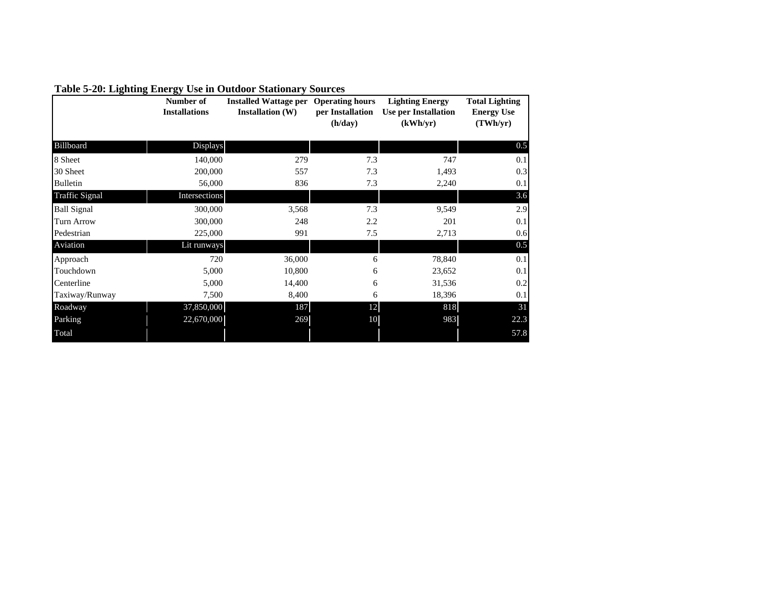|                       | Number of<br><b>Installations</b> | <b>Installed Wattage per</b><br><b>Installation (W)</b> | <b>Operating hours</b><br>per Installation<br>(h/day) | <b>Lighting Energy</b><br><b>Use per Installation</b><br>(kWh/yr) | <b>Total Lighting</b><br><b>Energy Use</b><br>(TWh/yr) |
|-----------------------|-----------------------------------|---------------------------------------------------------|-------------------------------------------------------|-------------------------------------------------------------------|--------------------------------------------------------|
| Billboard             | Displays                          |                                                         |                                                       |                                                                   | 0.5                                                    |
| 8 Sheet               | 140,000                           | 279                                                     | 7.3                                                   | 747                                                               | 0.1                                                    |
| 30 Sheet              | 200,000                           | 557                                                     | 7.3                                                   | 1,493                                                             | 0.3                                                    |
| <b>Bulletin</b>       | 56,000                            | 836                                                     | 7.3                                                   | 2,240                                                             | 0.1                                                    |
| <b>Traffic Signal</b> | Intersections                     |                                                         |                                                       |                                                                   | 3.6                                                    |
| <b>Ball Signal</b>    | 300,000                           | 3,568                                                   | 7.3                                                   | 9,549                                                             | 2.9                                                    |
| <b>Turn Arrow</b>     | 300,000                           | 248                                                     | 2.2                                                   | 201                                                               | 0.1                                                    |
| Pedestrian            | 225,000                           | 991                                                     | 7.5                                                   | 2,713                                                             | 0.6                                                    |
| Aviation              | Lit runways                       |                                                         |                                                       |                                                                   | 0.5                                                    |
| Approach              | 720                               | 36,000                                                  | 6                                                     | 78,840                                                            | 0.1                                                    |
| Touchdown             | 5,000                             | 10,800                                                  | 6                                                     | 23,652                                                            | 0.1                                                    |
| Centerline            | 5,000                             | 14,400                                                  | 6                                                     | 31,536                                                            | 0.2                                                    |
| Taxiway/Runway        | 7,500                             | 8,400                                                   | 6                                                     | 18,396                                                            | 0.1                                                    |
| Roadway               | 37,850,000                        | 187                                                     | 12                                                    | 818                                                               | 31                                                     |
| Parking               | 22,670,000                        | 269                                                     | 10                                                    | 983                                                               | 22.3                                                   |
| Total                 |                                   |                                                         |                                                       |                                                                   | 57.8                                                   |

### **Table 5-20: Lighting Energy Use in Outdoor Stationary Sources**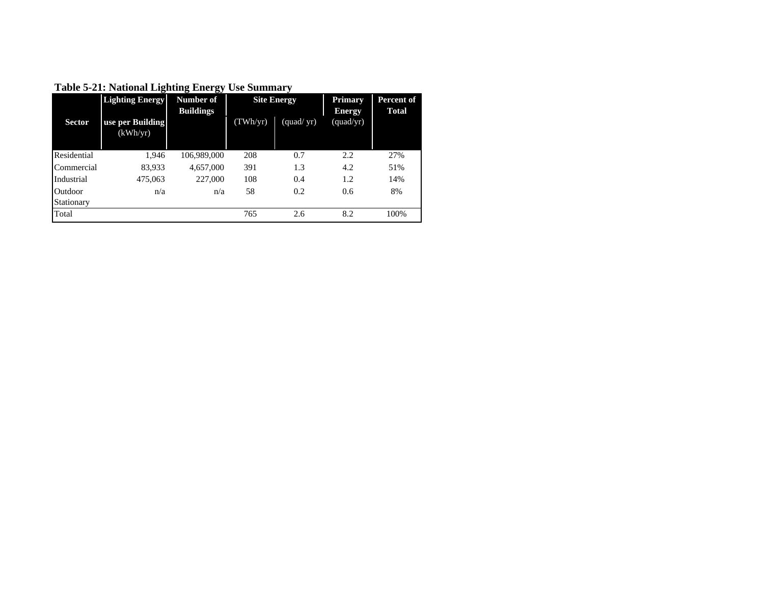|               | Number of<br><b>Lighting Energy</b><br><b>Site Energy</b><br><b>Buildings</b> |             |          | <b>Primary</b><br><b>Energy</b> |           |      |
|---------------|-------------------------------------------------------------------------------|-------------|----------|---------------------------------|-----------|------|
| <b>Sector</b> | use per Building<br>(kWh/yr)                                                  |             | (TWh/yr) | (quad/yr)                       | (quad/yr) |      |
| Residential   | 1.946                                                                         | 106,989,000 | 208      | 0.7                             | 2.2       | 27%  |
| Commercial    | 83,933                                                                        | 4,657,000   | 391      | 1.3                             | 4.2       | 51%  |
| Industrial    | 475,063                                                                       | 227,000     | 108      | 0.4                             | 1.2       | 14%  |
| Outdoor       | n/a                                                                           | n/a         | 58       | 0.2                             | 0.6       | 8%   |
| Stationary    |                                                                               |             |          |                                 |           |      |
| Total         |                                                                               |             | 765      | 2.6                             | 8.2       | 100% |

**Table 5-21: National Lighting Energy Use Summary**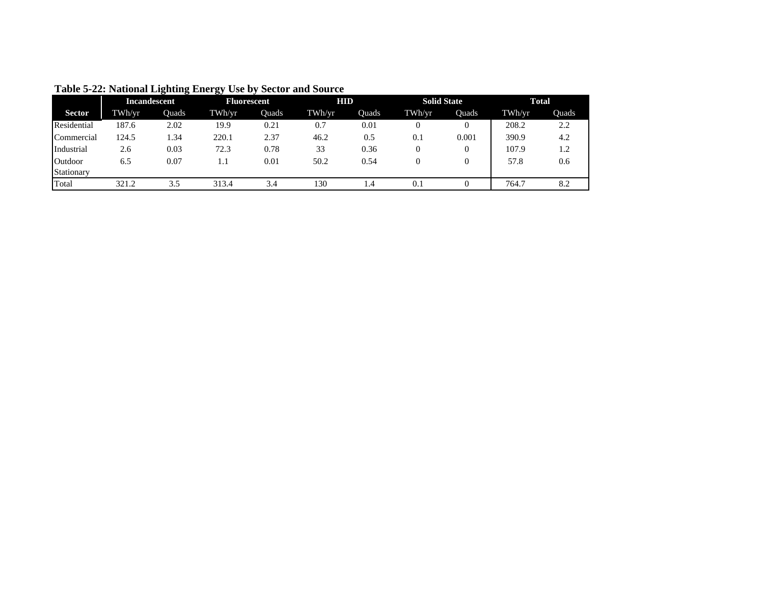|               | <b>Incandescent</b> |       | <b>Fluorescent</b> |       | <b>HID</b> |       |        | <b>Solid State</b> | Total  |       |
|---------------|---------------------|-------|--------------------|-------|------------|-------|--------|--------------------|--------|-------|
| <b>Sector</b> | TWh/yr              | Ouads | TWh/yr             | Ouads | TWh/yr     | Ouads | TWh/yr | Ouads              | TWh/yr | Ouads |
| Residential   | 187.6               | 2.02  | 19.9               | 0.21  | 0.7        | 0.01  |        |                    | 208.2  | 2.2   |
| Commercial    | 124.5               | l.34  | 220.1              | 2.37  | 46.2       | 0.5   | 0.1    | 0.001              | 390.9  | 4.2   |
| Industrial    | 2.6                 | 0.03  | 72.3               | 0.78  | 33         | 0.36  |        |                    | 107.9  | 1.2   |
| Outdoor       | 6.5                 | 0.07  | 1.1                | 0.01  | 50.2       | 0.54  |        |                    | 57.8   | 0.6   |
| Stationary    |                     |       |                    |       |            |       |        |                    |        |       |
| Total         | 321.2               | 3.5   | 313.4              | 3.4   | 130        | 1.4   | 0.1    |                    | 764.7  | 8.2   |

**Table 5-22: National Lighting Energy Use by Sector and Source**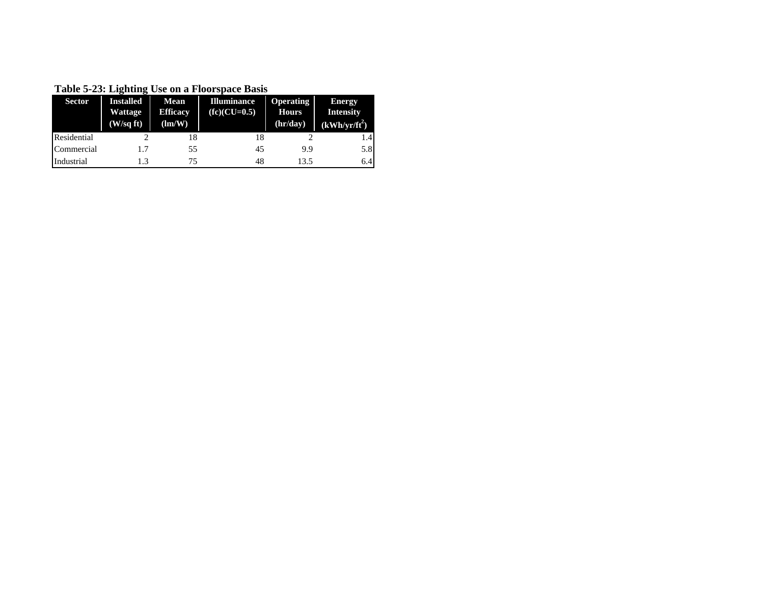**Table 5-23: Lighting Use on a Floorspace Basis**

| <b>Sector</b> | <b>Installed</b> | <b>Mean</b>          | <b>Illuminance</b> | <b>Operating</b> | <b>Energy</b>    |
|---------------|------------------|----------------------|--------------------|------------------|------------------|
|               | Wattage          | <b>Efficacy</b>      | $(fc)(CU=0.5)$     | <b>Hours</b>     | <b>Intensity</b> |
|               | (W/sqft)         | $\text{Im}/\text{W}$ |                    | (hr/day)         | $(kWh/yr/ft^2)$  |
| Residential   |                  | 18                   | 18                 |                  | 1.4              |
| Commercial    | 1.7              | 55                   | 45                 | 9.9              | 5.8              |
| Industrial    |                  | 75                   | 48                 | 13.5             | 6.4              |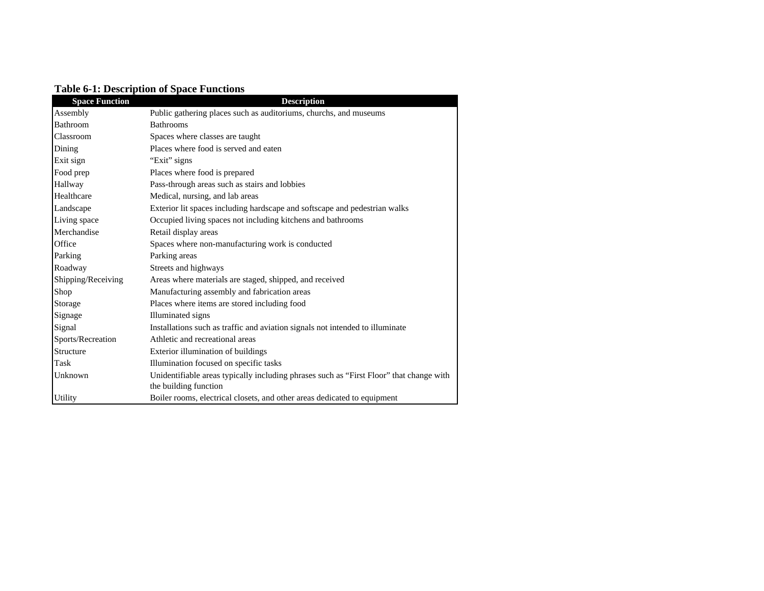|  | <b>Table 6-1: Description of Space Functions</b> |  |  |
|--|--------------------------------------------------|--|--|
|--|--------------------------------------------------|--|--|

| <b>Space Function</b> | <b>Description</b>                                                                      |
|-----------------------|-----------------------------------------------------------------------------------------|
| Assembly              | Public gathering places such as auditoriums, churchs, and museums                       |
| Bathroom              | <b>Bathrooms</b>                                                                        |
| Classroom             | Spaces where classes are taught                                                         |
| Dining                | Places where food is served and eaten                                                   |
| Exit sign             | "Exit" signs                                                                            |
| Food prep             | Places where food is prepared                                                           |
| Hallway               | Pass-through areas such as stairs and lobbies                                           |
| Healthcare            | Medical, nursing, and lab areas                                                         |
| Landscape             | Exterior lit spaces including hardscape and softscape and pedestrian walks              |
| Living space          | Occupied living spaces not including kitchens and bathrooms                             |
| Merchandise           | Retail display areas                                                                    |
| Office                | Spaces where non-manufacturing work is conducted                                        |
| Parking               | Parking areas                                                                           |
| Roadway               | Streets and highways                                                                    |
| Shipping/Receiving    | Areas where materials are staged, shipped, and received                                 |
| Shop                  | Manufacturing assembly and fabrication areas                                            |
| Storage               | Places where items are stored including food                                            |
| Signage               | Illuminated signs                                                                       |
| Signal                | Installations such as traffic and aviation signals not intended to illuminate           |
| Sports/Recreation     | Athletic and recreational areas                                                         |
| Structure             | Exterior illumination of buildings                                                      |
| Task                  | Illumination focused on specific tasks                                                  |
| Unknown               | Unidentifiable areas typically including phrases such as "First Floor" that change with |
|                       | the building function                                                                   |
| Utility               | Boiler rooms, electrical closets, and other areas dedicated to equipment                |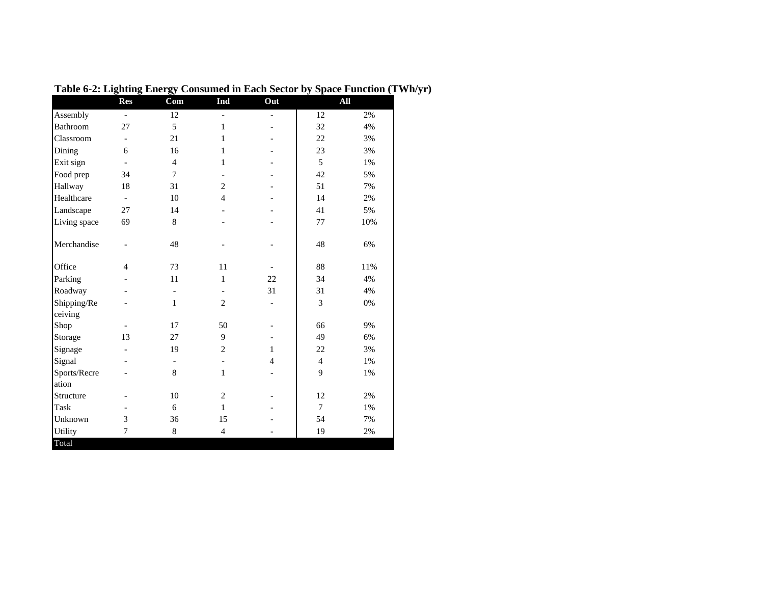|                        | <b>Res</b>               | Com                      | Ind                      | Out                      |                | All   |
|------------------------|--------------------------|--------------------------|--------------------------|--------------------------|----------------|-------|
| Assembly               | $\blacksquare$           | 12                       | $\blacksquare$           | $\blacksquare$           | 12             | 2%    |
| Bathroom               | 27                       | 5                        | $\mathbf{1}$             |                          | 32             | 4%    |
| Classroom              | $\overline{\phantom{a}}$ | 21                       | $\mathbf{1}$             |                          | 22             | 3%    |
| Dining                 | 6                        | 16                       | $\mathbf{1}$             |                          | 23             | 3%    |
| Exit sign              | $\overline{\phantom{a}}$ | $\overline{4}$           | $\mathbf{1}$             |                          | 5              | 1%    |
| Food prep              | 34                       | $\overline{7}$           | $\overline{\phantom{a}}$ |                          | 42             | 5%    |
| Hallway                | 18                       | 31                       | $\overline{c}$           |                          | 51             | 7%    |
| Healthcare             | $\overline{\phantom{a}}$ | 10                       | $\overline{4}$           |                          | 14             | $2\%$ |
| Landscape              | 27                       | 14                       | $\qquad \qquad -$        |                          | 41             | 5%    |
| Living space           | 69                       | $\,8\,$                  |                          |                          | 77             | 10%   |
| Merchandise            | $\overline{\phantom{a}}$ | 48                       |                          |                          | 48             | 6%    |
| Office                 | $\overline{4}$           | 73                       | 11                       |                          | 88             | 11%   |
| Parking                |                          | 11                       | $\mathbf{1}$             | 22                       | 34             | 4%    |
| Roadway                |                          | $\overline{\phantom{a}}$ | $\overline{\phantom{a}}$ | 31                       | 31             | 4%    |
| Shipping/Re<br>ceiving |                          | $\mathbf{1}$             | $\overline{2}$           | $\overline{\phantom{a}}$ | 3              | $0\%$ |
| Shop                   | $\overline{\phantom{a}}$ | 17                       | 50                       | $\overline{\phantom{a}}$ | 66             | 9%    |
| Storage                | 13                       | 27                       | 9                        |                          | 49             | 6%    |
| Signage                | $\overline{a}$           | 19                       | $\overline{c}$           | $\mathbf{1}$             | 22             | 3%    |
| Signal                 |                          | $\overline{\phantom{a}}$ | $\overline{\phantom{a}}$ | $\overline{4}$           | $\overline{4}$ | 1%    |
| Sports/Recre           |                          | 8                        | $\mathbf{1}$             |                          | 9              | 1%    |
| ation                  |                          |                          |                          |                          |                |       |
| Structure              |                          | 10                       | $\mathbf{2}$             |                          | 12             | 2%    |
| Task                   |                          | 6                        | $\mathbf{1}$             |                          | $\tau$         | 1%    |
| Unknown                | 3                        | 36                       | 15                       |                          | 54             | 7%    |
| <b>Utility</b>         | 7                        | $\,8\,$                  | $\overline{4}$           |                          | 19             | 2%    |
| Total                  |                          |                          |                          |                          |                |       |

**Table 6-2: Lighting Energy Consumed in Each Sector by Space Function (TWh/yr)**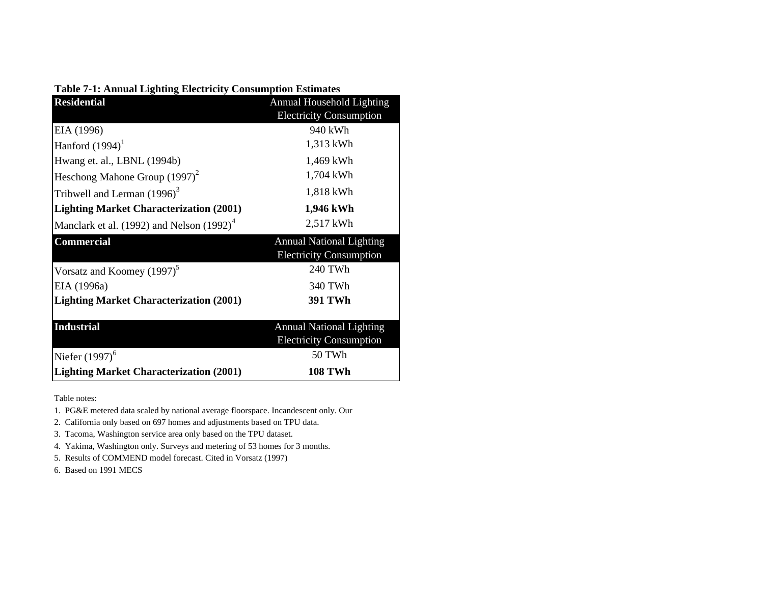|  |  | <b>Table 7-1: Annual Lighting Electricity Consumption Estimates</b> |  |  |
|--|--|---------------------------------------------------------------------|--|--|
|  |  |                                                                     |  |  |

| <b>Residential</b>                             | Annual Household Lighting                                         |
|------------------------------------------------|-------------------------------------------------------------------|
|                                                | <b>Electricity Consumption</b>                                    |
| EIA (1996)                                     | 940 kWh                                                           |
| Hanford $(1994)^1$                             | 1,313 kWh                                                         |
| Hwang et. al., LBNL (1994b)                    | 1,469 kWh                                                         |
| Heschong Mahone Group (1997) <sup>2</sup>      | 1,704 kWh                                                         |
| Tribwell and Lerman $(1996)^3$                 | 1,818 kWh                                                         |
| <b>Lighting Market Characterization (2001)</b> | 1,946 kWh                                                         |
| Manclark et al. $(1992)$ and Nelson $(1992)^4$ | 2,517 kWh                                                         |
|                                                |                                                                   |
| Commercial                                     | <b>Annual National Lighting</b><br><b>Electricity Consumption</b> |
| Vorsatz and Koomey $(1997)^5$                  | 240 TWh                                                           |
| EIA (1996a)                                    | 340 TWh                                                           |
| <b>Lighting Market Characterization (2001)</b> | <b>391 TWh</b>                                                    |
| <b>Industrial</b>                              | <b>Annual National Lighting</b><br><b>Electricity Consumption</b> |
| Niefer $(1997)^6$                              | 50 TWh                                                            |

Table notes:

1. PG&E metered data scaled by national average floorspace. Incandescent only. Our

2. California only based on 697 homes and adjustments based on TPU data.

3. Tacoma, Washington service area only based on the TPU dataset.

4. Yakima, Washington only. Surveys and metering of 53 homes for 3 months.

5. Results of COMMEND model forecast. Cited in Vorsatz (1997)

6. Based on 1991 MECS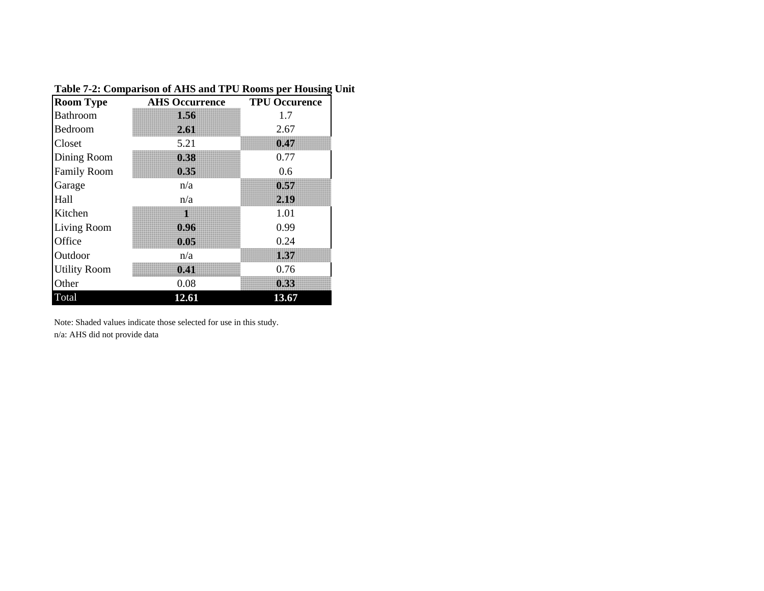| <b>Room Type</b>    | <b>AHS Occurrence</b> | <b>TPU Occurence</b> |
|---------------------|-----------------------|----------------------|
| <b>Bathroom</b>     | IKO                   | 1.7                  |
| Bedroom             | 2.61                  | 2.67                 |
| Closet              | 5.21                  | 0.47                 |
| Dining Room         | 0.38                  | 0.77                 |
| <b>Family Room</b>  | 0.35                  | 0.6                  |
| Garage              | n/a                   | 0.57                 |
| Hall                | n/a                   | 2.19                 |
| Kitchen             | 1                     | 1.01                 |
| Living Room         | 0.96                  | 0.99                 |
| Office              | 0.05                  | 0.24                 |
| Outdoor             | n/a                   | 1.37                 |
| <b>Utility Room</b> | 0.41                  | 0.76                 |
| Other               | 0.08                  | 0.33                 |
| Total               | 12.61                 | 13.67                |

## **Table 7-2: Comparison of AHS and TPU Rooms per Housing Unit**

Note: Shaded values indicate those selected for use in this study.

n/a: AHS did not provide data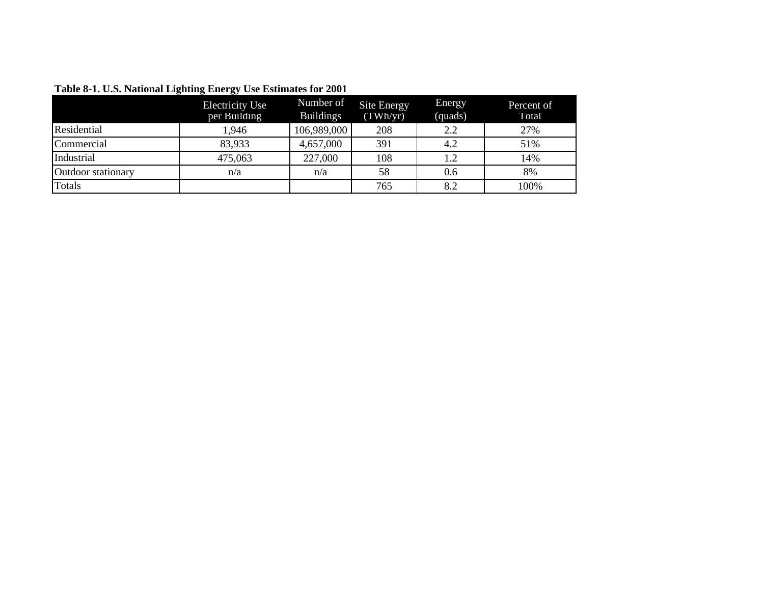|                    | <b>Electricity Use</b><br>per Building | Number of<br><b>Buildings</b> | Site Energy<br>(TWh/yr) | Energy<br>(quads) | Percent of<br>Total |
|--------------------|----------------------------------------|-------------------------------|-------------------------|-------------------|---------------------|
| Residential        | 1,946                                  | 106,989,000                   | 208                     | 2.2               | 27%                 |
| Commercial         | 83,933                                 | 4,657,000                     | 391                     | 4.2               | 51%                 |
| Industrial         | 475,063                                | 227,000                       | 108                     |                   | 14%                 |
| Outdoor stationary | n/a                                    | n/a                           | 58                      | 0.6               | 8%                  |
| Totals             |                                        |                               | 765                     | 8.2               | 100%                |

**Table 8-1. U.S. National Lighting Energy Use Estimates for 2001**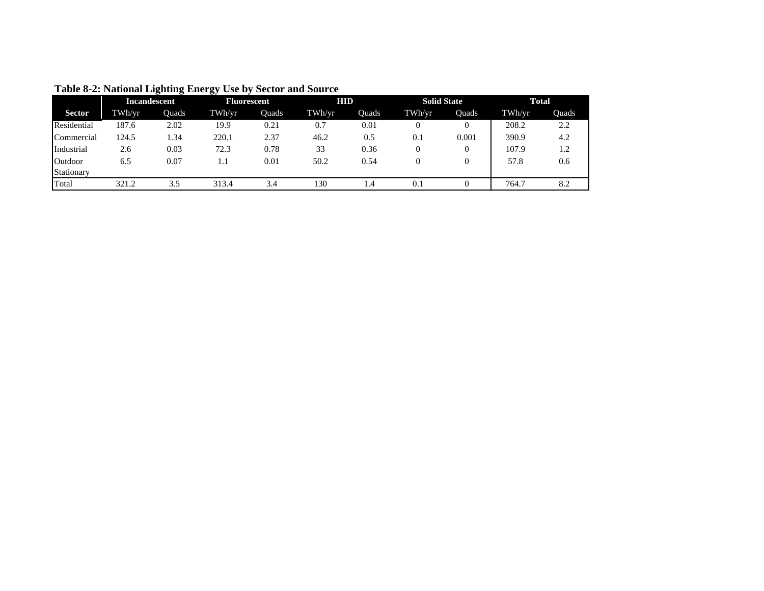|               | <b>Incandescent</b> |       | <b>Fluorescent</b> |       | <b>HID</b> |       | <b>Solid State</b> |       | <b>Total</b> |       |
|---------------|---------------------|-------|--------------------|-------|------------|-------|--------------------|-------|--------------|-------|
| <b>Sector</b> | TWh/yr              | Ouads | TWh/yr             | Ouads | TWh/yr     | Ouads | TWh/yr             | Ouads | TWh/yr       | Ouads |
| Residential   | 187.6               | 2.02  | 19.9               | 0.21  | 0.7        | 0.01  |                    |       | 208.2        | 2.2   |
| Commercial    | 124.5               | l.34  | 220.1              | 2.37  | 46.2       | 0.5   | 0.1                | 0.001 | 390.9        | 4.2   |
| Industrial    | 2.6                 | 0.03  | 72.3               | 0.78  | 33         | 0.36  |                    |       | 107.9        | 1.2   |
| Outdoor       | 6.5                 | 0.07  | 1.1                | 0.01  | 50.2       | 0.54  |                    |       | 57.8         | 0.6   |
| Stationary    |                     |       |                    |       |            |       |                    |       |              |       |
| Total         | 321.2               | 3.5   | 313.4              | 3.4   | 130        | 1.4   | 0.1                |       | 764.7        | 8.2   |

**Table 8-2: National Lighting Energy Use by Sector and Source**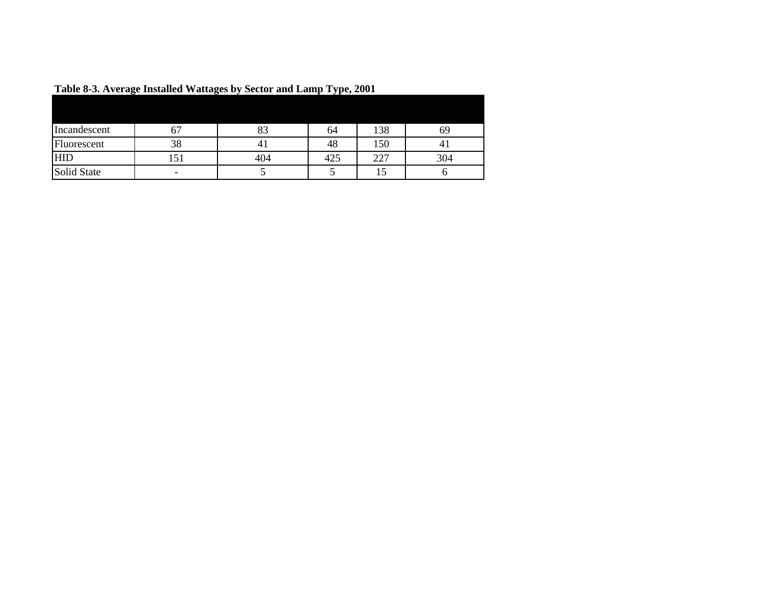| $\bullet$    | $\bullet$                |     | $\mathbf{v}$ . $\mathbf{v}$ |     |     |
|--------------|--------------------------|-----|-----------------------------|-----|-----|
|              |                          |     |                             |     |     |
| Incandescent |                          | οJ  | 64                          | 138 |     |
| Fluorescent  | 38                       |     | 48                          | 150 |     |
| <b>HID</b>   |                          | 404 | 425                         | 227 | 304 |
| Solid State  | $\overline{\phantom{0}}$ |     |                             |     |     |

**Table 8-3. Average Installed Wattages by Sector and Lamp Type, 2001**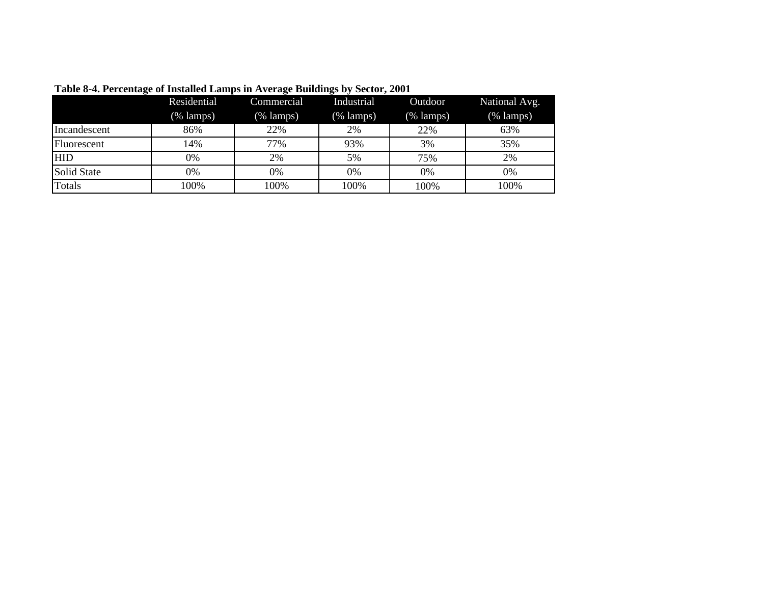|               | Residential<br>(% lamps) | Commercial<br>$(\%$ lamps) | Industrial<br>(% lamps) | Outdoor<br>$(% \mathbf{1}_{k})$ (% lamps) | National Avg.<br>$(% \mathbf{A})$ (% lamps) |
|---------------|--------------------------|----------------------------|-------------------------|-------------------------------------------|---------------------------------------------|
| Incandescent  | 86%                      | 22%                        | 2%                      | 22%                                       | 63%                                         |
| Fluorescent   | 14%                      | 77%                        | 93%                     | 3%                                        | 35%                                         |
| <b>HID</b>    | 0%                       | 2%                         | 5%                      | 75%                                       | 2%                                          |
| Solid State   | 0%                       | 0%                         | 0%                      | 0%                                        | 0%                                          |
| <b>Totals</b> | 100%                     | 100%                       | 100%                    | 100%                                      | 100%                                        |

**Table 8-4. Percentage of Installed Lamps in Average Buildings by Sector, 2001**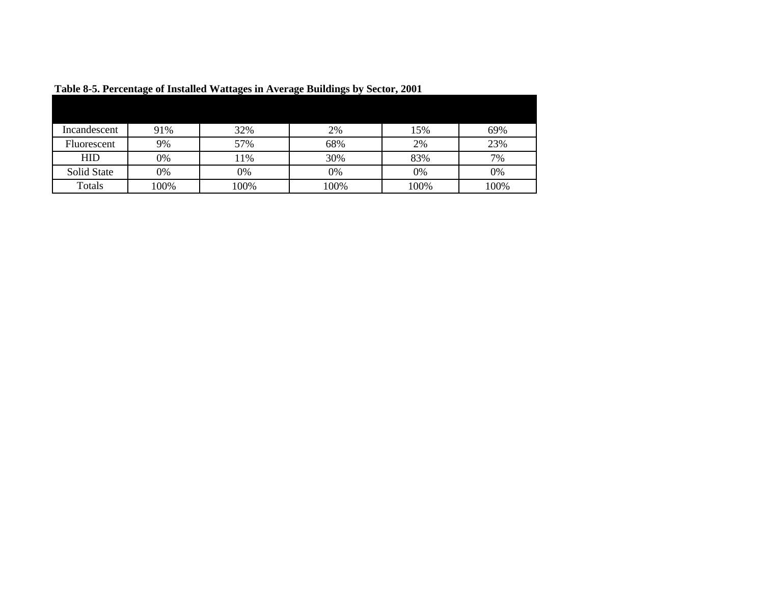|              | . <del>. .</del> . |      |      |      |      |
|--------------|--------------------|------|------|------|------|
|              |                    |      |      |      |      |
| Incandescent | 91%                | 32%  | 2%   | 15%  | 69%  |
| Fluorescent  | 9%                 | 57%  | 68%  | 2%   | 23%  |
| <b>HID</b>   | 0%                 | 1%   | 30%  | 83%  | 7%   |
| Solid State  | 0%                 | 0%   | 0%   | 0%   | 0%   |
| Totals       | 100%               | 100% | 100% | 100% | 100% |

**Table 8-5. Percentage of Installed Wattages in Average Buildings by Sector, 2001**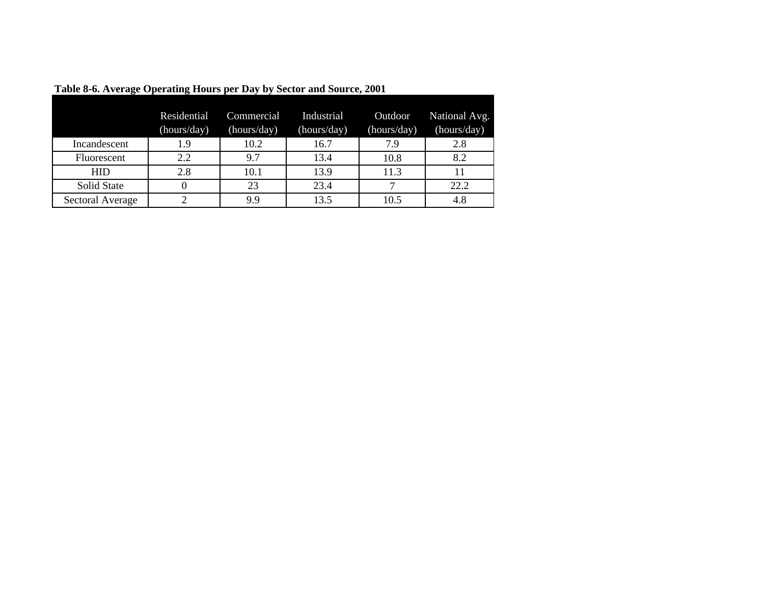|                    | Residential<br>(hours/day) | Commercial<br>(hours/day) | Industrial<br>(hours/day) | Outdoor<br>(hours/day) | National Avg.<br>(hours/day) |
|--------------------|----------------------------|---------------------------|---------------------------|------------------------|------------------------------|
| Incandescent       | 1.9                        | 10.2                      | 16.7                      | 7.9                    | 2.8                          |
| <b>Fluorescent</b> | 2.2                        | 9.7                       | 13.4                      | 10.8                   | 8.2                          |
| <b>HID</b>         | 2.8                        | 10.1                      | 13.9                      | 11.3                   |                              |
| Solid State        | 0                          | 23                        | 23.4                      |                        | 22.2                         |
| Sectoral Average   | ◠                          | 9.9                       | 13.5                      | 10.5                   | 4.8                          |

**Table 8-6. Average Operating Hours per Day by Sector and Source, 2001**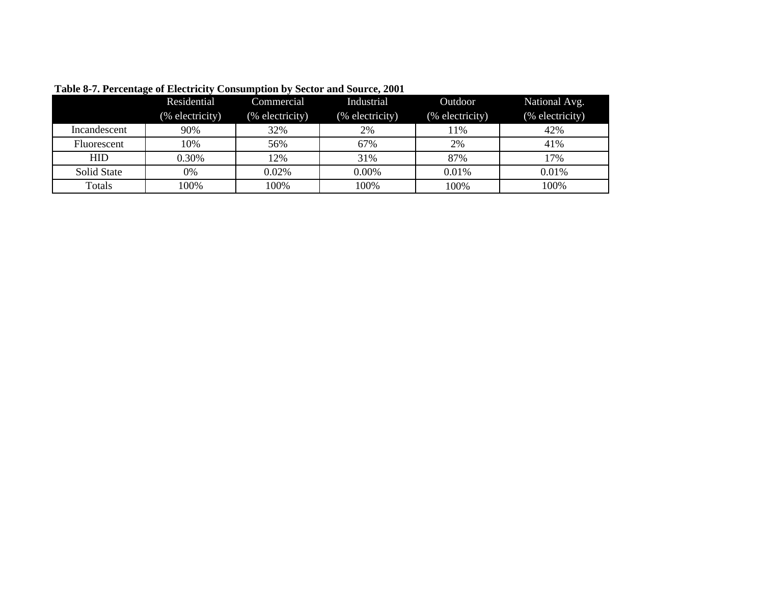|              | Residential     | Commercial      | Industrial      | Outdoor         | National Avg.   |
|--------------|-----------------|-----------------|-----------------|-----------------|-----------------|
|              | (% electricity) | (% electricity) | (% electricity) | (% electricity) | (% electricity) |
| Incandescent | 90%             | 32%             | 2%              | 11%             | 42%             |
| Fluorescent  | 10%             | 56%             | 67%             | 2%              | 41%             |
| <b>HID</b>   | 0.30%           | 12%             | 31%             | 87%             | 17%             |
| Solid State  | 0%              | 0.02%           | 0.00%           | 0.01%           | 0.01%           |
| Totals       | 100%            | 100%            | 100%            | 100%            | 100%            |

## **Table 8-7. Percentage of Electricity Consumption by Sector and Source, 2001**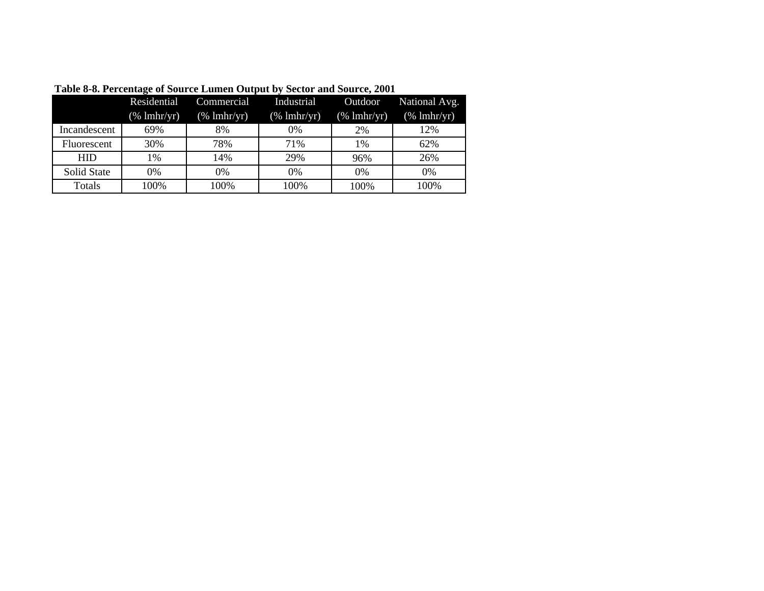|                    | Residential            | Commercial             | Industrial             | Outdoor                | National Avg.                                            |
|--------------------|------------------------|------------------------|------------------------|------------------------|----------------------------------------------------------|
|                    | $(\% \text{ lnhr/yr})$ | $(\% \text{ lnhr/yr})$ | $(\% \text{ lnhr/yr})$ | $(\% \text{ lnhr/yr})$ | $(% \mathcal{L}_{0}^{\ast} \mathcal{L}_{1})$ (% lmhr/yr) |
| Incandescent       | 69%                    | 8%                     | 0%                     | 2%                     | 12%                                                      |
| Fluorescent        | 30%                    | 78%                    | 71%                    | 1%                     | 62%                                                      |
| <b>HID</b>         | 1%                     | 14%                    | 29%                    | 96%                    | 26%                                                      |
| <b>Solid State</b> | 0%                     | 0%                     | 0%                     | 0%                     | $0\%$                                                    |
| Totals             | 100%                   | 100%                   | 100%                   | 100%                   | 100%                                                     |

**Table 8-8. Percentage of Source Lumen Output by Sector and Source, 2001**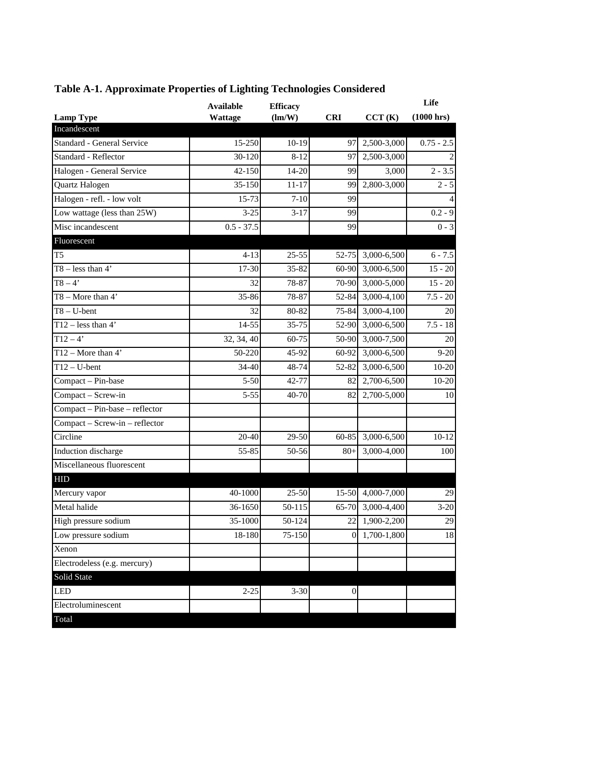|                                | <b>Available</b> | <b>Efficacy</b> |                  |               | Life         |
|--------------------------------|------------------|-----------------|------------------|---------------|--------------|
| <b>Lamp Type</b>               | Wattage          | (lm/W)          | <b>CRI</b>       | CCT(K)        | (1000 hrs)   |
| Incandescent                   |                  |                 |                  |               |              |
| Standard - General Service     | 15-250           | $10-19$         | 97               | 2,500-3,000   | $0.75 - 2.5$ |
| Standard - Reflector           | 30-120           | $8 - 12$        | 97               | 2,500-3,000   |              |
| Halogen - General Service      | 42-150           | $14 - 20$       | 99               | 3,000         | $2 - 3.5$    |
| Quartz Halogen                 | 35-150           | $11 - 17$       | 99               | 2,800-3,000   | $2 - 5$      |
| Halogen - refl. - low volt     | 15-73            | $7 - 10$        | 99               |               |              |
| Low wattage (less than 25W)    | $3 - 25$         | $3 - 17$        | 99               |               | $0.2 - 9$    |
| Misc incandescent              | $0.5 - 37.5$     |                 | 99               |               | $0 - 3$      |
| Fluorescent                    |                  |                 |                  |               |              |
| T <sub>5</sub>                 | $4 - 13$         | 25-55           | 52-75            | 3,000-6,500   | $6 - 7.5$    |
| $T8 - less than 4'$            | 17-30            | 35-82           | 60-90            | 3,000-6,500   | $15 - 20$    |
| $T8 - 4'$                      | 32               | 78-87           | 70-90            | 3,000-5,000   | $15 - 20$    |
| $T8 - More than 4'$            | 35-86            | 78-87           | 52-84            | 3,000-4,100   | $7.5 - 20$   |
| $T8 - U$ -bent                 | 32               | 80-82           | 75-84            | 3,000-4,100   | 20           |
| T12 – less than $4'$           | 14-55            | 35-75           | 52-90            | 3,000-6,500   | $7.5 - 18$   |
| $T12 - 4'$                     | 32, 34, 40       | 60-75           | 50-90            | 3,000-7,500   | 20           |
| T12 – More than $4'$           | 50-220           | 45-92           | 60-92            | 3,000-6,500   | $9 - 20$     |
| $T12 - U$ -bent                | 34-40            | 48-74           | 52-82            | 3,000-6,500   | $10-20$      |
| Compact - Pin-base             | $5 - 50$         | 42-77           | 82               | 2,700-6,500   | $10 - 20$    |
| Compact - Screw-in             | $5 - 55$         | 40-70           | 82               | 2,700-5,000   | 10           |
| Compact - Pin-base - reflector |                  |                 |                  |               |              |
| Compact - Screw-in - reflector |                  |                 |                  |               |              |
| Circline                       | 20-40            | 29-50           | 60-85            | 3,000-6,500   | $10 - 12$    |
| Induction discharge            | 55-85            | 50-56           | $80+$            | 3,000-4,000   | 100          |
| Miscellaneous fluorescent      |                  |                 |                  |               |              |
| <b>HID</b>                     |                  |                 |                  |               |              |
| Mercury vapor                  | 40-1000          | $25 - 50$       | $15 - 50$        | 4,000-7,000   | 29           |
| Metal halide                   | 36-1650          | 50-115          | 65-70            | 3,000-4,400   | $3 - 20$     |
| High pressure sodium           | 35-1000          | 50-124          | 22               | 1,900-2,200   | 29           |
| Low pressure sodium            | 18-180           | 75-150          |                  | 0 1,700-1,800 | 18           |
| Xenon                          |                  |                 |                  |               |              |
| Electrodeless (e.g. mercury)   |                  |                 |                  |               |              |
| Solid State                    |                  |                 |                  |               |              |
| <b>LED</b>                     | $2 - 25$         | $3 - 30$        | $\boldsymbol{0}$ |               |              |
| Electroluminescent             |                  |                 |                  |               |              |
| Total                          |                  |                 |                  |               |              |

## **Table A-1. Approximate Properties of Lighting Technologies Considered**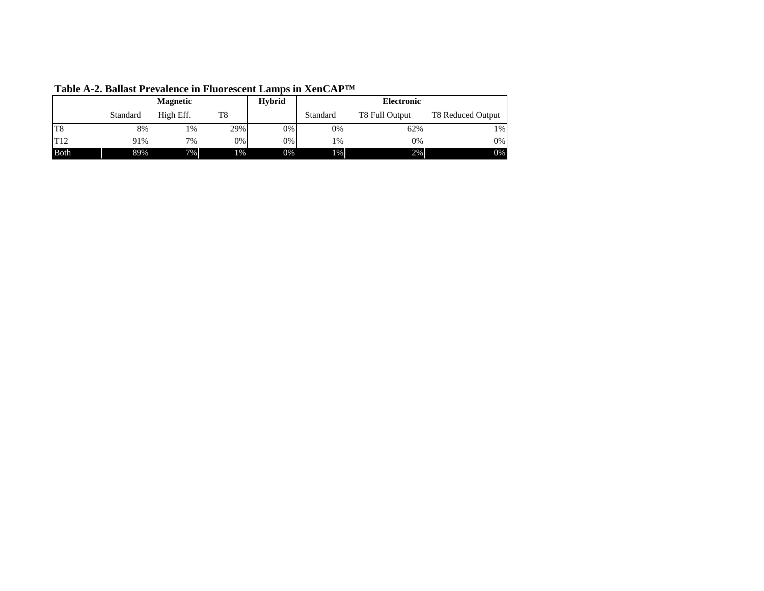| <b>Magnetic</b> |          |           | <b>Hybrid</b> |       | <b>Electronic</b> |                |                   |
|-----------------|----------|-----------|---------------|-------|-------------------|----------------|-------------------|
|                 | Standard | High Eff. | T8            |       | Standard          | T8 Full Output | T8 Reduced Output |
| T <sub>8</sub>  | 8%       | 1%        | 29%           | $0\%$ | $0\%$             | 62%            | $1\%$             |
| T12             | 91%      | 7%        | 0%            | $0\%$ | 1%                | 0%             | $0\%$             |
| Both            | 89%      | $7\%$     | 1%            | 0%    | $1\%$             | 2%             | $0\%$             |

**Table A-2. Ballast Prevalence in Fluorescent Lamps in XenCAP™**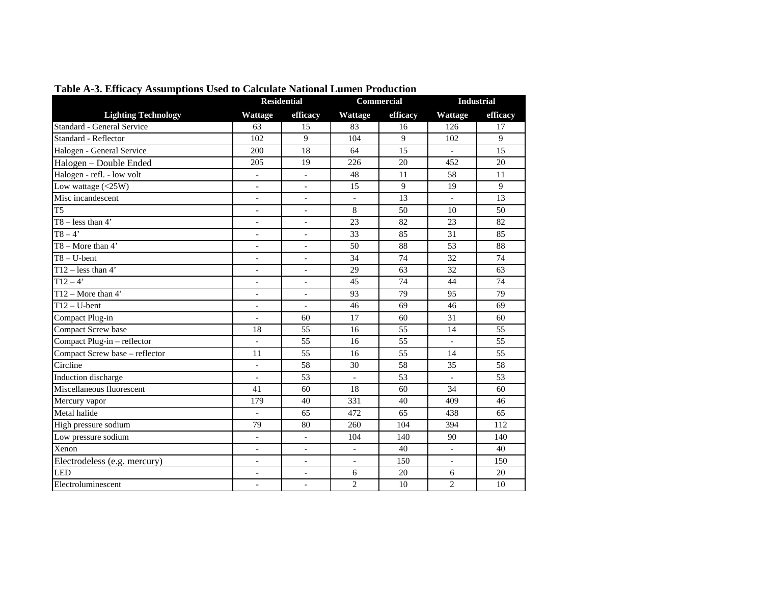|                                | <b>Residential</b>           |                          |                          | Commercial     | <b>Industrial</b>        |                 |
|--------------------------------|------------------------------|--------------------------|--------------------------|----------------|--------------------------|-----------------|
| <b>Lighting Technology</b>     | Wattage                      | efficacy                 | Wattage                  | efficacy       | Wattage                  | efficacy        |
| Standard - General Service     | 63                           | 15                       | 83                       | 16             | 126                      | 17              |
| Standard - Reflector           | 102                          | 9                        | 104                      | 9              | 102                      | 9               |
| Halogen - General Service      | 200                          | 18                       | 64                       | 15             | $\overline{a}$           | $\overline{15}$ |
| Halogen - Double Ended         | 205                          | 19                       | 226                      | 20             | 452                      | 20              |
| Halogen - refl. - low volt     | $\overline{\phantom{a}}$     | $\overline{\phantom{a}}$ | 48                       | 11             | 58                       | 11              |
| Low wattage $(<25W)$           | $\overline{\phantom{a}}$     | $\overline{\phantom{a}}$ | $\overline{15}$          | $\overline{9}$ | 19                       | $\overline{9}$  |
| Misc incandescent              | $\overline{\phantom{a}}$     | $\overline{\phantom{a}}$ |                          | 13             | $\overline{a}$           | 13              |
| $\overline{T5}$                | $\blacksquare$               | $\blacksquare$           | 8                        | 50             | 10                       | 50              |
| $T8 - less than 4'$            | $\blacksquare$               | $\overline{\phantom{a}}$ | 23                       | 82             | 23                       | 82              |
| $T8-4'$                        | $\bar{a}$                    | $\overline{\phantom{a}}$ | $\overline{33}$          | 85             | $\overline{31}$          | 85              |
| $T8 - More than 4'$            | $\overline{\phantom{a}}$     | $\blacksquare$           | 50                       | 88             | $\overline{53}$          | $\overline{88}$ |
| $T8 - U$ -bent                 | $\blacksquare$               | $\overline{\phantom{a}}$ | 34                       | 74             | 32                       | 74              |
| $T12$ – less than 4'           | $\overline{\phantom{a}}$     | $\overline{\phantom{a}}$ | 29                       | 63             | 32                       | 63              |
| $T12 - 4'$                     | $\blacksquare$               | $\overline{\phantom{a}}$ | 45                       | 74             | 44                       | 74              |
| $T12 - More than 4'$           | $\blacksquare$               | $\blacksquare$           | 93                       | 79             | 95                       | 79              |
| $T12-U-bent$                   | $\overline{\phantom{a}}$     | $\overline{\phantom{a}}$ | 46                       | 69             | 46                       | 69              |
| Compact Plug-in                | $\overline{\phantom{a}}$     | 60                       | 17                       | 60             | 31                       | 60              |
| Compact Screw base             | 18                           | 55                       | 16                       | 55             | 14                       | 55              |
| Compact Plug-in - reflector    | $\overline{a}$               | 55                       | 16                       | 55             | $\overline{a}$           | 55              |
| Compact Screw base - reflector | 11                           | 55                       | 16                       | 55             | 14                       | 55              |
| Circline                       | $\overline{\phantom{a}}$     | 58                       | 30                       | 58             | 35                       | 58              |
| Induction discharge            | $\frac{1}{2}$                | 53                       | $\overline{a}$           | 53             | $\overline{a}$           | 53              |
| Miscellaneous fluorescent      | 41                           | 60                       | 18                       | 60             | 34                       | 60              |
| Mercury vapor                  | 179                          | 40                       | 331                      | 40             | 409                      | 46              |
| Metal halide                   | $\overline{\phantom{a}}$     | 65                       | 472                      | 65             | 438                      | 65              |
| High pressure sodium           | 79                           | 80                       | 260                      | 104            | 394                      | 112             |
| Low pressure sodium            | $\overline{\phantom{a}}$     | $\overline{\phantom{a}}$ | 104                      | 140            | 90                       | 140             |
| Xenon                          | $\qquad \qquad \blacksquare$ |                          |                          | 40             | $\overline{\phantom{0}}$ | 40              |
| Electrodeless (e.g. mercury)   | $\overline{\phantom{a}}$     | $\overline{\phantom{a}}$ | $\overline{\phantom{a}}$ | 150            | $\overline{a}$           | 150             |
| <b>LED</b>                     | $\overline{a}$               | $\blacksquare$           | 6                        | 20             | 6                        | 20              |
| Electroluminescent             | $\overline{\phantom{a}}$     | $\overline{\phantom{a}}$ | $\overline{2}$           | 10             | $\overline{2}$           | 10              |

**Table A-3. Efficacy Assumptions Used to Calculate National Lumen Production**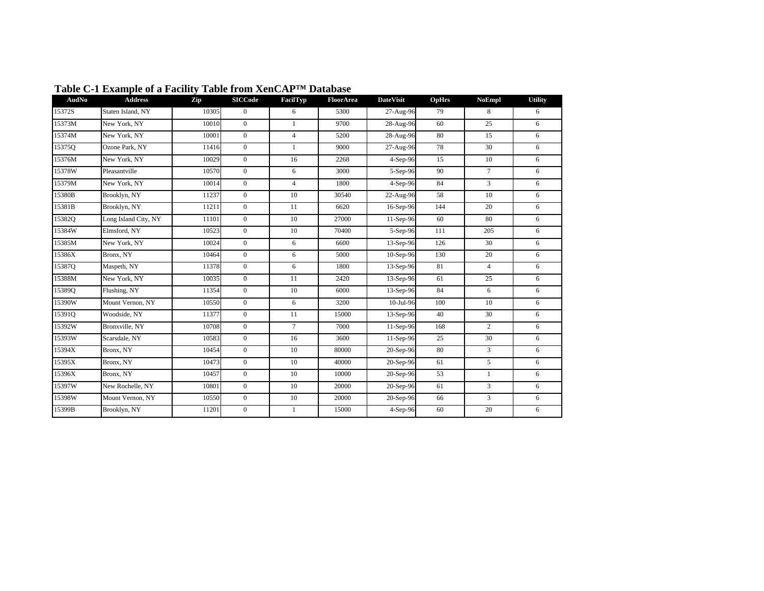| AudNo  | <b>Address</b>       | Zip   | <b>SICCode</b>   | FacilTyp       | FloorArea | <b>DateVisit</b> | OpHrs | <b>NoEmpl</b>  | <b>Utility</b> |
|--------|----------------------|-------|------------------|----------------|-----------|------------------|-------|----------------|----------------|
| 15372S | Staten Island, NY    | 10305 | $\mathbf{0}$     | 6              | 5300      | 27-Aug-96        | 79    | 8              | 6              |
| 15373M | New York, NY         | 10010 | $\Omega$         | $\mathbf{1}$   | 9700      | 28-Aug-96        | 60    | 25             | 6              |
| 15374M | New York, NY         | 10001 | $\boldsymbol{0}$ | $\overline{4}$ | 5200      | 28-Aug-96        | 80    | 15             | 6              |
| 15375O | Ozone Park, NY       | 11416 | $\boldsymbol{0}$ | $\mathbf{1}$   | 9000      | 27-Aug-96        | 78    | 30             | 6              |
| 15376M | New York, NY         | 10029 | $\boldsymbol{0}$ | 16             | 2268      | 4-Sep-96         | 15    | 10             | 6              |
| 15378W | Pleasantville        | 10570 | $\mathbf{0}$     | 6              | 3000      | 5-Sep-96         | 90    | $\overline{7}$ | 6              |
| 15379M | New York, NY         | 10014 | $\boldsymbol{0}$ | $\overline{4}$ | 1800      | 4-Sep-96         | 84    | 3              | 6              |
| 15380B | Brooklyn, NY         | 11237 | $\mathbf{0}$     | 10             | 30540     | 22-Aug-96        | 58    | 10             | 6              |
| 15381B | Brooklyn, NY         | 11211 | $\mathbf{0}$     | 11             | 6620      | 16-Sep-96        | 144   | 20             | 6              |
| 15382Q | Long Island City, NY | 11101 | $\mathbf{0}$     | 10             | 27000     | 11-Sep-96        | 60    | 80             | 6              |
| 15384W | Elmsford, NY         | 10523 | $\mathbf{0}$     | 10             | 70400     | 5-Sep-96         | 111   | 205            | 6              |
| 15385M | New York, NY         | 10024 | $\boldsymbol{0}$ | 6              | 6600      | 13-Sep-96        | 126   | 30             | 6              |
| 15386X | Bronx, NY            | 10464 | $\boldsymbol{0}$ | 6              | 5000      | 10-Sep-96        | 130   | 20             | 6              |
| 15387Q | Maspeth, NY          | 11378 | $\mathbf{0}$     | 6              | 1800      | 13-Sep-96        | 81    | $\overline{4}$ | 6              |
| 15388M | New York, NY         | 10035 | $\mathbf{0}$     | 11             | 2420      | 13-Sep-96        | 61    | 25             | 6              |
| 15389Q | Flushing, NY         | 11354 | $\mathbf{0}$     | 10             | 6000      | 13-Sep-96        | 84    | 6              | 6              |
| 15390W | Mount Vernon, NY     | 10550 | $\boldsymbol{0}$ | 6              | 3200      | 10-Jul-96        | 100   | 10             | 6              |
| 15391Q | Woodside, NY         | 11377 | $\mathbf{0}$     | 11             | 15000     | 13-Sep-96        | 40    | 30             | 6              |
| 15392W | Bronxville, NY       | 10708 | $\mathbf{0}$     | $\tau$         | 7000      | 11-Sep-96        | 168   | $\overline{c}$ | 6              |
| 15393W | Scarsdale, NY        | 10583 | $\boldsymbol{0}$ | 16             | 3600      | 11-Sep-96        | 25    | 30             | 6              |
| 15394X | Bronx, NY            | 10454 | $\mathbf{0}$     | 10             | 80000     | 20-Sep-96        | 80    | 3              | 6              |
| 15395X | Bronx, NY            | 10473 | $\mathbf{0}$     | 10             | 40000     | 20-Sep-96        | 61    | 5              | 6              |
| 15396X | Bronx, NY            | 10457 | $\mathbf{0}$     | 10             | 10000     | 20-Sep-96        | 53    | 1              | 6              |
| 15397W | New Rochelle, NY     | 10801 | $\mathbf{0}$     | 10             | 20000     | 20-Sep-96        | 61    | 3              | 6              |
| 15398W | Mount Vernon, NY     | 10550 | $\mathbf{0}$     | 10             | 20000     | 20-Sep-96        | 66    | 3              | 6              |
| 15399B | Brooklyn, NY         | 11201 | $\boldsymbol{0}$ | $\mathbf{1}$   | 15000     | 4-Sep-96         | 60    | 20             | 6              |

## **Table C-1 Example of a Facility Table from XenCAP™ Database**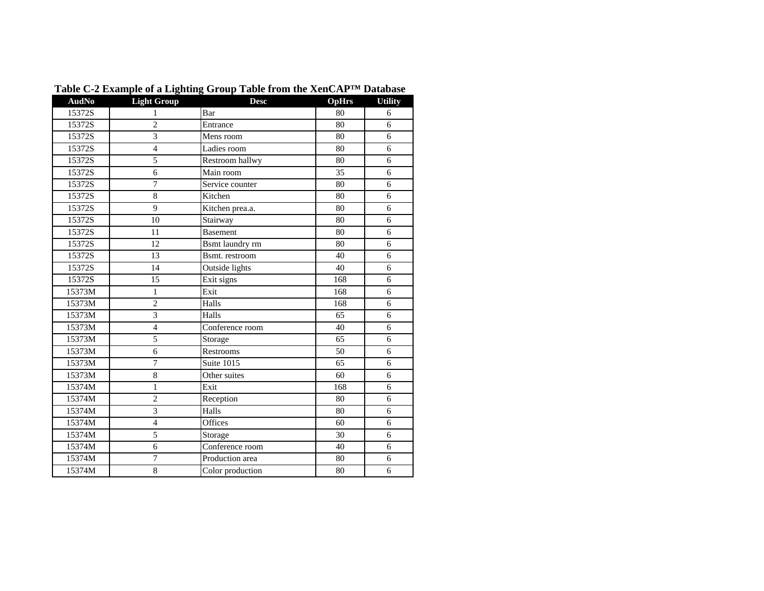| <b>AudNo</b> | -<br><b>Light Group</b> | $\bullet$ -<br>. r<br><b>Desc</b> | <b>OpHrs</b> | <b>Utility</b> |
|--------------|-------------------------|-----------------------------------|--------------|----------------|
| 15372S       | 1                       | Bar                               | 80           | 6              |
| 15372S       | $\overline{c}$          | Entrance                          | 80           | 6              |
| 15372S       | $\overline{3}$          | Mens room                         | 80           | 6              |
| 15372S       | $\overline{4}$          | Ladies room                       | 80           | 6              |
| 15372S       | 5                       | Restroom hallwy                   | 80           | 6              |
| 15372S       | 6                       | Main room                         | 35           | 6              |
| 15372S       | $\overline{7}$          | Service counter                   | 80           | 6              |
| 15372S       | $\,8\,$                 | Kitchen                           | 80           | 6              |
| 15372S       | 9                       | Kitchen prea.a.                   | 80           | 6              |
| 15372S       | 10                      | Stairway                          | 80           | 6              |
| 15372S       | 11                      | <b>Basement</b>                   | 80           | 6              |
| 15372S       | 12                      | Bsmt laundry rm                   | 80           | 6              |
| 15372S       | 13                      | Bsmt. restroom                    | 40           | 6              |
| 15372S       | 14                      | Outside lights                    | 40           | 6              |
| 15372S       | 15                      | Exit signs                        | 168          | 6              |
| 15373M       | $\mathbf{1}$            | Exit                              | 168          | 6              |
| 15373M       | $\overline{2}$          | Halls                             | 168          | 6              |
| 15373M       | 3                       | Halls                             | 65           | 6              |
| 15373M       | $\overline{4}$          | Conference room                   | 40           | 6              |
| 15373M       | 5                       | Storage                           | 65           | 6              |
| 15373M       | 6                       | Restrooms                         | 50           | 6              |
| 15373M       | 7                       | Suite 1015                        | 65           | 6              |
| 15373M       | 8                       | Other suites                      | 60           | 6              |
| 15374M       | 1                       | Exit                              | 168          | 6              |
| 15374M       | $\overline{2}$          | Reception                         | 80           | 6              |
| 15374M       | 3                       | Halls                             | 80           | 6              |
| 15374M       | $\overline{4}$          | Offices                           | 60           | 6              |
| 15374M       | 5                       | Storage                           | 30           | 6              |
| 15374M       | 6                       | Conference room                   | 40           | 6              |
| 15374M       | $\overline{7}$          | Production area                   | 80           | 6              |
| 15374M       | $\overline{8}$          | Color production                  | 80           | 6              |

**Table C-2 Example of a Lighting Group Table from the XenCAP™ Database**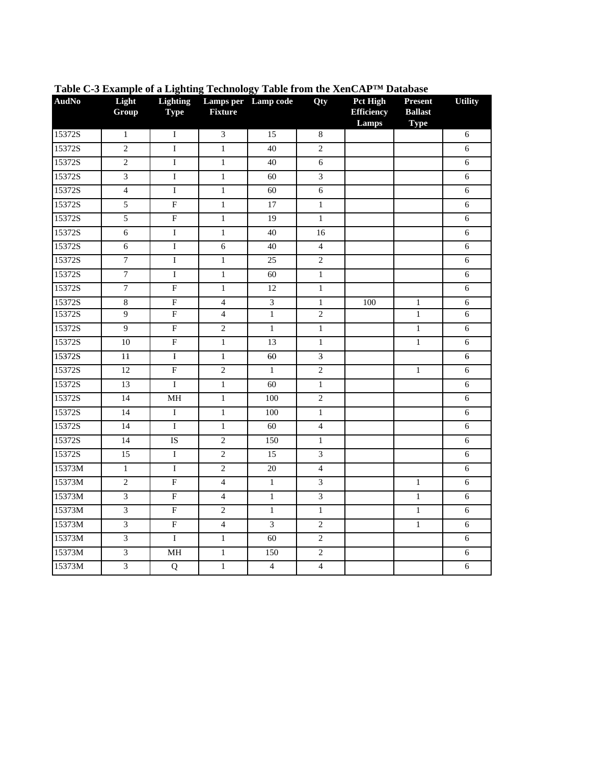| <b>AudNo</b> | Light<br>Group          | <b>Lighting</b><br><b>Type</b> | <b>Fixture</b> | Lamps per Lamp code     | Qty                     | Pct High<br><b>Efficiency</b><br>Lamps | <b>Present</b><br><b>Ballast</b><br><b>Type</b> | <b>Utility</b> |
|--------------|-------------------------|--------------------------------|----------------|-------------------------|-------------------------|----------------------------------------|-------------------------------------------------|----------------|
| 15372S       | $\,1\,$                 | $\bf I$                        | 3              | 15                      | $\,8\,$                 |                                        |                                                 | 6              |
| 15372S       | $\sqrt{2}$              | I                              | $\mathbf{1}$   | 40                      | $\overline{2}$          |                                        |                                                 | 6              |
| 15372S       | $\overline{2}$          | $\mathbf I$                    | $\mathbf{1}$   | 40                      | $\sqrt{6}$              |                                        |                                                 | $\sqrt{6}$     |
| 15372S       | $\overline{\mathbf{3}}$ | $\mathbf I$                    | $\mathbf{1}$   | 60                      | $\overline{\mathbf{3}}$ |                                        |                                                 | $\sqrt{6}$     |
| 15372S       | $\overline{4}$          | $\mathbf I$                    | $\mathbf{1}$   | 60                      | $\overline{6}$          |                                        |                                                 | 6              |
| 15372S       | $\overline{5}$          | $\overline{F}$                 | $\mathbf{1}$   | 17                      | $\mathbf{1}$            |                                        |                                                 | $\sqrt{6}$     |
| 15372S       | 5                       | ${\bf F}$                      | $\mathbf{1}$   | 19                      | $\mathbf{1}$            |                                        |                                                 | $\sqrt{6}$     |
| 15372S       | $\sqrt{6}$              | $\rm I$                        | $\mathbf{1}$   | 40                      | 16                      |                                        |                                                 | $\sqrt{6}$     |
| 15372S       | $6\,$                   | $\overline{I}$                 | 6              | 40                      | $\overline{4}$          |                                        |                                                 | $6\,$          |
| 15372S       | $\boldsymbol{7}$        | $\bf{I}$                       | $\mathbf{1}$   | 25                      | $\overline{2}$          |                                        |                                                 | 6              |
| 15372S       | $\overline{7}$          | $\bf I$                        | $\,1$          | 60                      | $\,1\,$                 |                                        |                                                 | $\sqrt{6}$     |
| 15372S       | $\overline{7}$          | $\overline{F}$                 | $\mathbf{1}$   | 12                      | $\mathbf{1}$            |                                        |                                                 | $\sqrt{6}$     |
| 15372S       | $\,8\,$                 | ${\bf F}$                      | $\overline{4}$ | $\overline{\mathbf{3}}$ | $\mathbf{1}$            | 100                                    | $\mathbf{1}$                                    | 6              |
| 15372S       | $\overline{9}$          | $\overline{F}$                 | $\overline{4}$ | $\,1$                   | $\overline{2}$          |                                        | $\overline{1}$                                  | $6\,$          |
| 15372S       | $\overline{9}$          | $\overline{F}$                 | $\overline{2}$ | $\,1\,$                 | $\mathbf{1}$            |                                        | $\,1\,$                                         | $6\,$          |
| 15372S       | 10                      | $\overline{F}$                 | $\overline{1}$ | 13                      | $\mathbf{1}$            |                                        | $\overline{1}$                                  | 6              |
| 15372S       | 11                      | I                              | $\mathbf{1}$   | 60                      | 3                       |                                        |                                                 | 6              |
| 15372S       | $\overline{12}$         | $\overline{F}$                 | $\overline{2}$ | $\overline{1}$          | $\overline{2}$          |                                        | $\mathbf{1}$                                    | $\sqrt{6}$     |
| 15372S       | $\overline{13}$         | $\mathbf I$                    | $\mathbf{1}$   | 60                      | $\mathbf{1}$            |                                        |                                                 | $6\,$          |
| 15372S       | 14                      | MH                             | $\mathbf{1}$   | 100                     | $\overline{2}$          |                                        |                                                 | 6              |
| 15372S       | 14                      | $\overline{I}$                 | $\mathbf{1}$   | 100                     | $\mathbf{1}$            |                                        |                                                 | 6              |
| 15372S       | $\overline{14}$         | $\overline{I}$                 | $\mathbf{1}$   | 60                      | $\overline{4}$          |                                        |                                                 | 6              |
| 15372S       | 14                      | IS                             | $\overline{2}$ | 150                     | $\mathbf{1}$            |                                        |                                                 | 6              |
| 15372S       | 15                      | $\overline{\mathrm{I}}$        | $\overline{c}$ | 15                      | $\mathfrak{Z}$          |                                        |                                                 | $\sqrt{6}$     |
| 15373M       | $\mathbf{1}$            | I                              | $\overline{c}$ | 20                      | $\overline{4}$          |                                        |                                                 | 6              |
| 15373M       | $\overline{2}$          | $\overline{F}$                 | $\overline{4}$ | $\overline{1}$          | $\overline{\mathbf{3}}$ |                                        | $\mathbf{1}$                                    | $\sqrt{6}$     |
| 15373M       | $\overline{3}$          | $\overline{F}$                 | $\overline{4}$ | $\overline{1}$          | $\overline{3}$          |                                        | $\overline{1}$                                  | 6              |
| 15373M       | $\mathfrak{Z}$          | $\overline{F}$                 | $\overline{c}$ | $\mathbf{1}$            | $\mathbf{1}$            |                                        | $\mathbf{1}$                                    | 6              |
| 15373M       | $\mathfrak{Z}$          | $\overline{F}$                 | $\overline{4}$ | 3                       | $\sqrt{2}$              |                                        | $\,1\,$                                         | $\sqrt{6}$     |
| 15373M       | $\overline{\mathbf{3}}$ | I                              | $\mathbf{1}$   | 60                      | $\sqrt{2}$              |                                        |                                                 | $\sqrt{6}$     |
| 15373M       | $\overline{3}$          | $\mathbf{MH}$                  | $\mathbf{1}$   | 150                     | $\overline{2}$          |                                        |                                                 | 6              |
| 15373M       | $\overline{3}$          | $\overline{Q}$                 | $\mathbf{1}$   | $\overline{4}$          | $\overline{4}$          |                                        |                                                 | 6              |

**Table C-3 Example of a Lighting Technology Table from the XenCAP™ Database**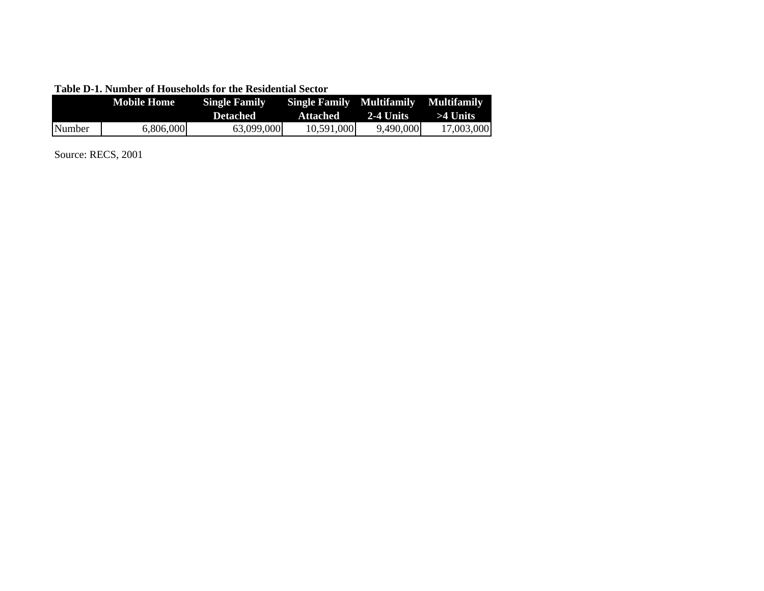|        | Mobile Home | <b>Single Family</b> | <b>Single Family Multifamily Multifamily</b> |              |            |
|--------|-------------|----------------------|----------------------------------------------|--------------|------------|
|        |             | Defached             | Attached                                     | $-2-4$ Units | >4 Units   |
| Number | 6,806,000   | 63,099,000           | 10,591,000                                   | 9,490,000    | 17.003.000 |

Source: RECS, 2001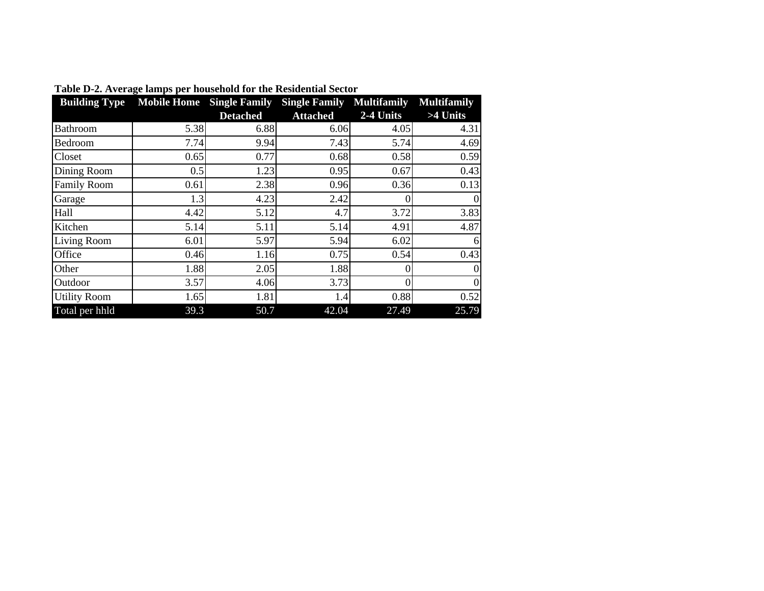| <b>Building Type</b> |      |                 | Mobile Home Single Family Single Family Multifamily |           | <b>Multifamily</b> |
|----------------------|------|-----------------|-----------------------------------------------------|-----------|--------------------|
|                      |      | <b>Detached</b> | <b>Attached</b>                                     | 2-4 Units | >4 Units           |
| Bathroom             | 5.38 | 6.88            | 6.06                                                | 4.05      | 4.31               |
| Bedroom              | 7.74 | 9.94            | 7.43                                                | 5.74      | 4.69               |
| Closet               | 0.65 | 0.77            | 0.68                                                | 0.58      | 0.59               |
| Dining Room          | 0.5  | 1.23            | 0.95                                                | 0.67      | 0.43               |
| <b>Family Room</b>   | 0.61 | 2.38            | 0.96                                                | 0.36      | 0.13               |
| Garage               | 1.3  | 4.23            | 2.42                                                |           | $\boldsymbol{0}$   |
| Hall                 | 4.42 | 5.12            | 4.7                                                 | 3.72      | 3.83               |
| Kitchen              | 5.14 | 5.11            | 5.14                                                | 4.91      | 4.87               |
| Living Room          | 6.01 | 5.97            | 5.94                                                | 6.02      | 6                  |
| Office               | 0.46 | 1.16            | 0.75                                                | 0.54      | 0.43               |
| Other                | 1.88 | 2.05            | 1.88                                                | 0         | $\overline{0}$     |
| Outdoor              | 3.57 | 4.06            | 3.73                                                |           | $\mathbf{0}$       |
| <b>Utility Room</b>  | 1.65 | 1.81            | 1.4                                                 | 0.88      | 0.52               |
| Total per hhld       | 39.3 | 50.7            | 42.04                                               | 27.49     | 25.79              |

**Table D-2. Average lamps per household for the Residential Sector**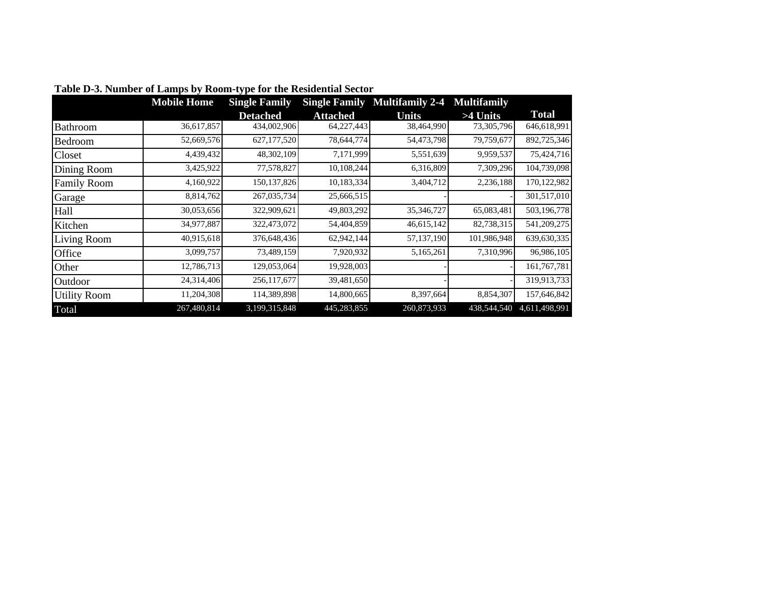|                     | <b>Mobile Home</b> | <b>Single Family</b> | <b>Single Family</b> | <b>Multifamily 2-4</b> | <b>Multifamily</b> |               |
|---------------------|--------------------|----------------------|----------------------|------------------------|--------------------|---------------|
|                     |                    | <b>Detached</b>      | Attached             | Units                  | >4 Units           | <b>Total</b>  |
| Bathroom            | 36,617,857         | 434,002,906          | 64,227,443           | 38,464,990             | 73,305,796         | 646,618,991   |
| Bedroom             | 52,669,576         | 627,177,520          | 78,644,774           | 54,473,798             | 79,759,677         | 892,725,346   |
| Closet              | 4,439,432          | 48,302,109           | 7,171,999            | 5,551,639              | 9,959,537          | 75,424,716    |
| Dining Room         | 3,425,922          | 77,578,827           | 10,108,244           | 6,316,809              | 7,309,296          | 104,739,098   |
| <b>Family Room</b>  | 4,160,922          | 150, 137, 826        | 10,183,334           | 3,404,712              | 2,236,188          | 170,122,982   |
| Garage              | 8,814,762          | 267,035,734          | 25,666,515           |                        |                    | 301,517,010   |
| Hall                | 30,053,656         | 322,909,621          | 49,803,292           | 35,346,727             | 65,083,481         | 503,196,778   |
| Kitchen             | 34,977,887         | 322,473,072          | 54,404,859           | 46,615,142             | 82,738,315         | 541,209,275   |
| Living Room         | 40,915,618         | 376,648,436          | 62,942,144           | 57,137,190             | 101,986,948        | 639,630,335   |
| Office              | 3,099,757          | 73,489,159           | 7,920,932            | 5,165,261              | 7,310,996          | 96,986,105    |
| Other               | 12,786,713         | 129,053,064          | 19,928,003           |                        |                    | 161,767,781   |
| Outdoor             | 24,314,406         | 256,117,677          | 39,481,650           |                        |                    | 319,913,733   |
| <b>Utility Room</b> | 11,204,308         | 114,389,898          | 14,800,665           | 8,397,664              | 8,854,307          | 157,646,842   |
| Total               | 267,480,814        | 3,199,315,848        | 445,283,855          | 260,873,933            | 438,544,540        | 4,611,498,991 |

|  |  | Table D-3. Number of Lamps by Room-type for the Residential Sector |  |
|--|--|--------------------------------------------------------------------|--|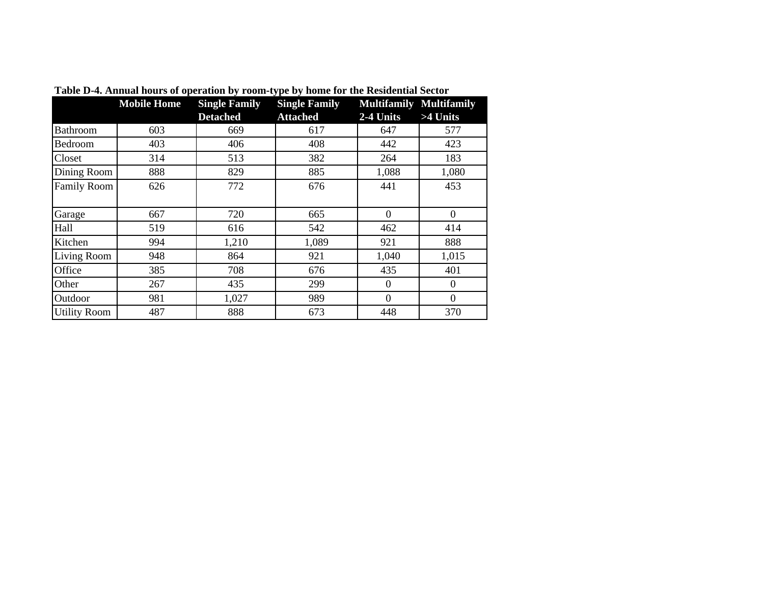|                     | <b>Mobile Home</b> | <b>Single Family</b> | <b>Single Family</b> | <b>Multifamily Multifamily</b> |                  |
|---------------------|--------------------|----------------------|----------------------|--------------------------------|------------------|
|                     |                    | <b>Detached</b>      | <b>Attached</b>      | 2-4 Units                      | >4 Units         |
| Bathroom            | 603                | 669                  | 617                  | 647                            | 577              |
| Bedroom             | 403                | 406                  | 408                  | 442                            | 423              |
| Closet              | 314                | 513                  | 382                  | 264                            | 183              |
| Dining Room         | 888                | 829                  | 885                  | 1,088                          | 1,080            |
| <b>Family Room</b>  | 626                | 772                  | 676                  | 441                            | 453              |
| Garage              | 667                | 720                  | 665                  | $\overline{0}$                 | $\theta$         |
| Hall                | 519                | 616                  | 542                  | 462                            | 414              |
| Kitchen             | 994                | 1,210                | 1,089                | 921                            | 888              |
| Living Room         | 948                | 864                  | 921                  | 1,040                          | 1,015            |
| Office              | 385                | 708                  | 676                  | 435                            | 401              |
| Other               | 267                | 435                  | 299                  | $\overline{0}$                 | $\boldsymbol{0}$ |
| Outdoor             | 981                | 1,027                | 989                  | $\boldsymbol{0}$               | $\Omega$         |
| <b>Utility Room</b> | 487                | 888                  | 673                  | 448                            | 370              |

**Table D-4. Annual hours of operation by room-type by home for the Residential Sector**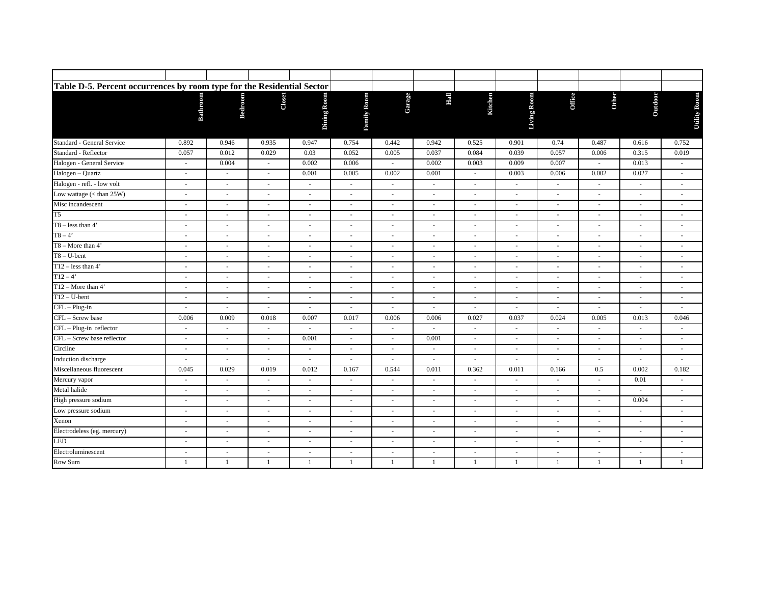| Table D-5. Percent occurrences by room type for the Residential Sector |                          |                          |        |                          |                          |        |                          |                          |                          |                          |                          |                          |                          |  |
|------------------------------------------------------------------------|--------------------------|--------------------------|--------|--------------------------|--------------------------|--------|--------------------------|--------------------------|--------------------------|--------------------------|--------------------------|--------------------------|--------------------------|--|
|                                                                        | Bathroom                 | <b>Bedroom</b>           | Closet | Dining Room              | <b>Family Room</b>       | Garage | E                        | Kitchen                  | Living Room              | <b>Office</b>            | <b>Other</b>             | Outdoor                  | Utility Room             |  |
| Standard - General Service                                             | 0.892                    | 0.946                    | 0.935  | 0.947                    | 0.754                    | 0.442  | 0.942                    | 0.525                    | 0.901                    | 0.74                     | 0.487                    | 0.616                    | 0.752                    |  |
| Standard - Reflector                                                   | 0.057                    | 0.012                    | 0.029  | 0.03                     | 0.052                    | 0.005  | 0.037                    | 0.084                    | 0.039                    | 0.057                    | 0.006                    | 0.315                    | 0.019                    |  |
| Halogen - General Service                                              | $\sim$                   | 0.004                    | $\sim$ | 0.002                    | 0.006                    | $\sim$ | 0.002                    | 0.003                    | 0.009                    | 0.007                    | $\sim$                   | 0.013                    | $\sim$                   |  |
| Halogen - Quartz                                                       | ×.                       | ×.                       | ÷      | 0.001                    | 0.005                    | 0.002  | 0.001                    | $\overline{\phantom{a}}$ | 0.003                    | 0.006                    | 0.002                    | 0.027                    | $\overline{\phantom{a}}$ |  |
| Halogen - refl. - low volt                                             | ×                        | $\sim$                   | $\sim$ | $\overline{\phantom{a}}$ | $\sim$                   | $\sim$ | $\sim$                   | $\sim$                   | $\overline{\phantom{a}}$ | $\sim$                   | $\sim$                   | $\sim$                   | $\sim$                   |  |
| Low wattage (< than 25W)                                               | $\sim$                   | $\sim$                   | ٠      | $\overline{a}$           | $\overline{\phantom{a}}$ | $\sim$ |                          | $\sim$                   | $\overline{\phantom{a}}$ | $\sim$                   |                          |                          | $\overline{\phantom{a}}$ |  |
| Misc incandescent                                                      | ×.                       | ×.                       | $\sim$ | $\overline{\phantom{a}}$ | $\sim$                   | ×.     | $\sim$                   | $\sim$                   | ×.                       | ÷                        | $\sim$                   |                          | $\sim$                   |  |
| T <sub>5</sub>                                                         | ×.                       | $\sim$                   | $\sim$ | $\overline{\phantom{a}}$ | $\sim$                   | ×.     | $\sim$                   | $\overline{\phantom{a}}$ | ×.                       | $\sim$                   | $\sim$                   |                          | $\sim$                   |  |
| $T8 - less than 4'$                                                    | $\sim$                   | $\overline{\phantom{a}}$ | $\sim$ | $\overline{\phantom{a}}$ | $\overline{\phantom{a}}$ | $\sim$ | $\overline{\phantom{a}}$ | $\overline{\phantom{a}}$ | $\overline{\phantom{a}}$ | $\sim$                   | $\overline{\phantom{a}}$ | $\overline{\phantom{a}}$ | $\overline{\phantom{a}}$ |  |
| $T8 - 4'$                                                              | $\sim$                   | $\sim$                   | $\sim$ | $\overline{\phantom{a}}$ | $\overline{\phantom{a}}$ | $\sim$ | $\sim$                   | $\overline{\phantom{a}}$ | $\overline{\phantom{a}}$ | $\sim$                   | $\sim$                   | $\sim$                   | $\overline{\phantom{a}}$ |  |
| $T8 - More than 4'$                                                    | $\sim$                   |                          |        | $\overline{\phantom{a}}$ |                          |        |                          |                          |                          |                          |                          |                          |                          |  |
| $T8 - U$ -bent                                                         | ×                        | $\sim$                   | ÷.     | $\sim$                   | $\sim$                   | $\sim$ | $\sim$                   | $\sim$                   | ×.                       | $\sim$                   | $\sim$                   | $\sim$                   | ×.                       |  |
| $T12 - less than 4'$                                                   | $\sim$                   | $\sim$                   | $\sim$ | $\overline{a}$           | $\sim$                   | $\sim$ | $\overline{\phantom{a}}$ | $\sim$                   | $\overline{a}$           | $\sim$                   | $\sim$                   | $\sim$                   | $\overline{a}$           |  |
| $T12-4'$                                                               | $\sim$                   | $\sim$                   | $\sim$ | $\overline{\phantom{a}}$ | $\overline{\phantom{a}}$ | ÷      | $\sim$                   | $\sim$                   | $\sim$                   | $\sim$                   | $\sim$                   | $\sim$                   | $\sim$                   |  |
| $T12 - \text{More than } 4'$                                           | ×.                       | ×                        | $\sim$ | $\overline{\phantom{a}}$ | $\overline{\phantom{a}}$ | ÷      |                          | $\sim$                   | $\overline{\phantom{a}}$ | $\sim$                   | $\sim$                   |                          | ×.                       |  |
| $T12-U-bent$                                                           | $\sim$                   | $\overline{\phantom{a}}$ | $\sim$ | $\overline{\phantom{a}}$ | $\overline{\phantom{a}}$ | $\sim$ |                          | $\overline{\phantom{a}}$ | $\overline{\phantom{a}}$ | $\sim$                   | $\sim$                   |                          | $\overline{\phantom{a}}$ |  |
| $\overline{\text{CFL}-\text{Plug-in}}$                                 | ×.                       | $\overline{\phantom{a}}$ | $\sim$ | $\sim$                   | $\overline{\phantom{a}}$ | ÷      | $\sim$                   | $\overline{\phantom{a}}$ | ×.                       | $\sim$                   | $\sim$                   | $\sim$                   | $\overline{\phantom{a}}$ |  |
| CFL - Screw base                                                       | 0.006                    | 0.009                    | 0.018  | 0.007                    | 0.017                    | 0.006  | 0.006                    | 0.027                    | 0.037                    | 0.024                    | 0.005                    | 0.013                    | 0.046                    |  |
| CFL - Plug-in reflector                                                | $\overline{\phantom{a}}$ | $\overline{\phantom{a}}$ | $\sim$ | $\overline{\phantom{a}}$ | $\overline{\phantom{a}}$ | $\sim$ |                          | $\overline{\phantom{a}}$ | $\overline{\phantom{a}}$ | $\sim$                   | $\sim$                   | $\sim$                   | $\overline{\phantom{a}}$ |  |
| CFL - Screw base reflector                                             | $\sim$                   | $\overline{\phantom{a}}$ | $\sim$ | 0.001                    | $\overline{\phantom{a}}$ | ÷      | 0.001                    | $\sim$                   | $\sim$                   | $\sim$                   | $\sim$                   | $\sim$                   | $\overline{\phantom{a}}$ |  |
| Circline                                                               | ×.                       | ×.                       | $\sim$ | $\sim$                   | $\overline{\phantom{a}}$ | $\sim$ |                          | $\sim$                   | $\sim$                   | $\sim$                   | $\sim$                   |                          | $\sim$                   |  |
| Induction discharge                                                    | $\sim$                   | $\sim$                   | $\sim$ | $\sim$                   | $\overline{\phantom{a}}$ | $\sim$ | $\sim$                   | $\overline{\phantom{a}}$ | $\overline{\phantom{a}}$ |                          | $\overline{\phantom{a}}$ |                          | $\overline{\phantom{a}}$ |  |
| Miscellaneous fluorescent                                              | 0.045                    | 0.029                    | 0.019  | 0.012                    | 0.167                    | 0.544  | 0.011                    | 0.362                    | 0.011                    | 0.166                    | 0.5                      | 0.002                    | 0.182                    |  |
| Mercury vapor                                                          | $\overline{\phantom{a}}$ | $\overline{\phantom{a}}$ | $\sim$ | $\overline{\phantom{a}}$ | $\overline{\phantom{a}}$ | $\sim$ | $\sim$                   | $\sim$                   | $\overline{\phantom{a}}$ | $\overline{\phantom{a}}$ | $\sim$                   | 0.01                     | $\sim$                   |  |
| Metal halide                                                           | $\overline{a}$           | ×.                       | ÷.     | $\sim$                   | $\sim$                   | ×.     | $\overline{a}$           | $\sim$                   | $\sim$                   | $\sim$                   | $\sim$                   |                          | $\sim$                   |  |
| High pressure sodium                                                   | $\sim$                   | $\sim$                   | $\sim$ | $\sim$                   | $\overline{\phantom{a}}$ | $\sim$ | $\sim$                   | $\sim$                   | $\overline{\phantom{a}}$ | $\overline{\phantom{a}}$ | $\sim$                   | 0.004                    | $\sim$                   |  |
| Low pressure sodium<br>Xenon                                           | $\sim$                   | $\sim$                   | $\sim$ | $\overline{\phantom{a}}$ | $\sim$                   | $\sim$ | $\sim$                   | $\sim$                   | $\sim$                   | $\sim$                   | $\sim$                   | $\sim$                   | $\sim$                   |  |
|                                                                        | $\sim$                   | $\sim$                   | $\sim$ | $\overline{\phantom{a}}$ | $\overline{\phantom{a}}$ | $\sim$ | $\overline{\phantom{a}}$ | $\overline{\phantom{a}}$ | $\overline{a}$           | $\sim$                   | $\sim$                   | $\sim$                   | $\overline{\phantom{a}}$ |  |
| Electrodeless (eg. mercury)                                            | $\sim$                   | $\sim$                   | ٠      | $\overline{\phantom{a}}$ | $\sim$                   | $\sim$ |                          | $\overline{\phantom{a}}$ | $\sim$                   | $\sim$                   | $\sim$                   |                          | $\sim$                   |  |
| LED                                                                    | $\sim$                   | $\sim$                   | $\sim$ | $\overline{\phantom{a}}$ | $\overline{\phantom{a}}$ | $\sim$ |                          | $\sim$                   | $\overline{\phantom{a}}$ | $\sim$                   | $\sim$                   |                          | $\overline{\phantom{a}}$ |  |
| Electroluminescent                                                     | $\sim$                   | $\sim$                   | $\sim$ | $\overline{\phantom{a}}$ | $\overline{\phantom{a}}$ | $\sim$ | $\sim$                   | $\sim$                   | $\overline{a}$           | $\sim$                   | $\sim$                   | $\sim$                   | $\overline{\phantom{a}}$ |  |
| Row Sum                                                                |                          |                          |        |                          |                          |        |                          |                          |                          | $\mathbf{1}$             |                          |                          | 1                        |  |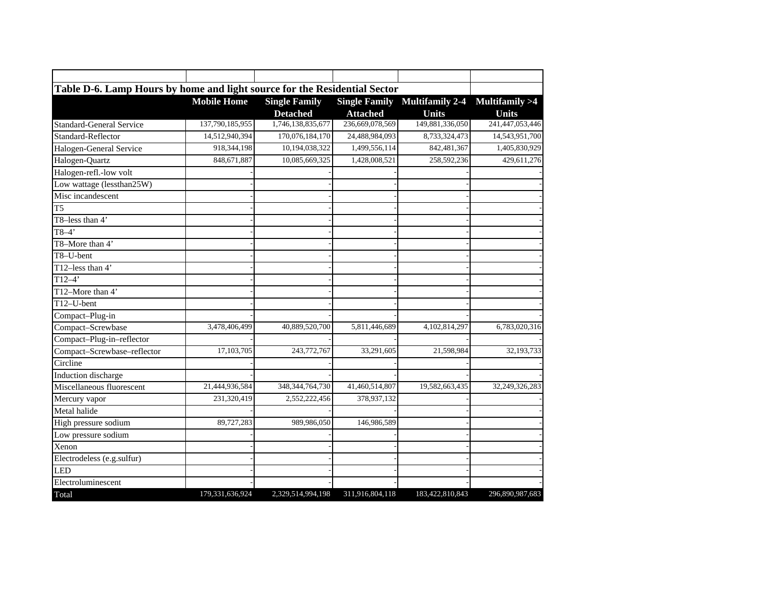| Table D-6. Lamp Hours by home and light source for the Residential Sector |                    |                      |                      |                 |                          |
|---------------------------------------------------------------------------|--------------------|----------------------|----------------------|-----------------|--------------------------|
|                                                                           | <b>Mobile Home</b> | <b>Single Family</b> | <b>Single Family</b> | Multifamily 2-4 | <b>Multifamily &gt;4</b> |
|                                                                           |                    | <b>Detached</b>      | <b>Attached</b>      | <b>Units</b>    | <b>Units</b>             |
| <b>Standard-General Service</b>                                           | 137,790,185,955    | 1,746,138,835,677    | 236,669,078,569      | 149,881,336,050 | 241,447,053,446          |
| Standard-Reflector                                                        | 14,512,940,394     | 170,076,184,170      | 24,488,984,093       | 8,733,324,473   | 14,543,951,700           |
| Halogen-General Service                                                   | 918,344,198        | 10,194,038,322       | 1,499,556,114        | 842,481,367     | 1,405,830,929            |
| Halogen-Quartz                                                            | 848,671,887        | 10,085,669,325       | 1,428,008,521        | 258,592,236     | 429,611,276              |
| Halogen-refl.-low volt                                                    |                    |                      |                      |                 |                          |
| Low wattage (lessthan25W)                                                 |                    |                      |                      |                 |                          |
| Misc incandescent                                                         |                    |                      |                      |                 |                          |
| T <sub>5</sub>                                                            |                    |                      |                      |                 |                          |
| T8-less than 4'                                                           |                    |                      |                      |                 |                          |
| $T8-4$                                                                    |                    |                      |                      |                 |                          |
| T8-More than 4'                                                           |                    |                      |                      |                 |                          |
| T8-U-bent                                                                 |                    |                      |                      |                 |                          |
| T12-less than 4'                                                          |                    |                      |                      |                 |                          |
| $T12-4$                                                                   |                    |                      |                      |                 |                          |
| T12-More than 4'                                                          |                    |                      |                      |                 |                          |
| T12-U-bent                                                                |                    |                      |                      |                 |                          |
| Compact-Plug-in                                                           |                    |                      |                      |                 |                          |
| Compact-Screwbase                                                         | 3,478,406,499      | 40,889,520,700       | 5,811,446,689        | 4,102,814,297   | 6,783,020,316            |
| Compact-Plug-in-reflector                                                 |                    |                      |                      |                 |                          |
| Compact-Screwbase-reflector                                               | 17,103,705         | 243,772,767          | 33,291,605           | 21,598,984      | 32,193,733               |
| Circline                                                                  |                    |                      |                      |                 |                          |
| Induction discharge                                                       |                    |                      |                      |                 |                          |
| Miscellaneous fluorescent                                                 | 21,444,936,584     | 348, 344, 764, 730   | 41,460,514,807       | 19,582,663,435  | 32,249,326,283           |
| Mercury vapor                                                             | 231,320,419        | 2,552,222,456        | 378,937,132          |                 |                          |
| Metal halide                                                              |                    |                      |                      |                 |                          |
| High pressure sodium                                                      | 89,727,283         | 989,986,050          | 146,986,589          |                 |                          |
| Low pressure sodium                                                       |                    |                      |                      |                 |                          |
| Xenon                                                                     |                    |                      |                      |                 |                          |
| Electrodeless (e.g.sulfur)                                                |                    |                      |                      |                 |                          |
| <b>LED</b>                                                                |                    |                      |                      |                 |                          |
| Electroluminescent                                                        |                    |                      |                      |                 |                          |
| Total                                                                     | 179,331,636,924    | 2,329,514,994,198    | 311,916,804,118      | 183,422,810,843 | 296,890,987,683          |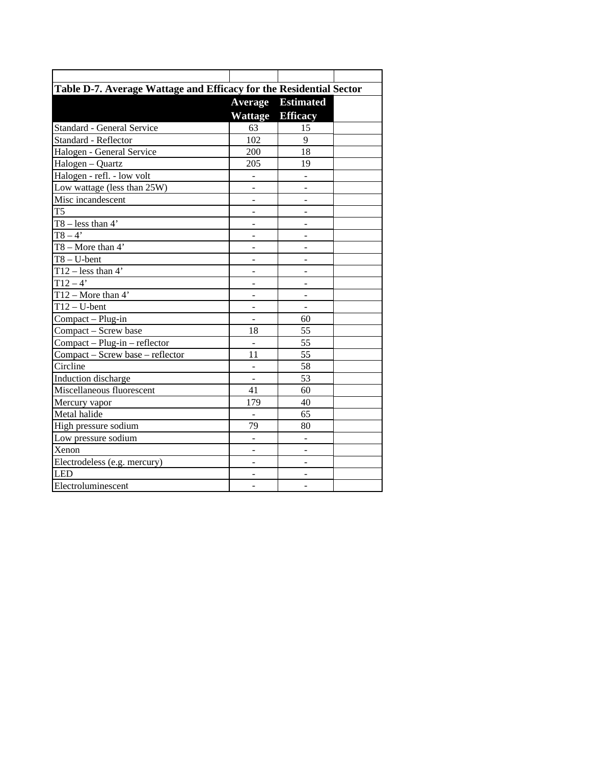| Table D-7. Average Wattage and Efficacy for the Residential Sector |                              |                          |  |
|--------------------------------------------------------------------|------------------------------|--------------------------|--|
|                                                                    | <b>Average</b>               | <b>Estimated</b>         |  |
|                                                                    | Wattage                      | <b>Efficacy</b>          |  |
| Standard - General Service                                         | 63                           | 15                       |  |
| Standard - Reflector                                               | 102                          | 9                        |  |
| Halogen - General Service                                          | 200                          | 18                       |  |
| $\overline{\text{Halogen}} - \text{Quartz}$                        | 205                          | 19                       |  |
| Halogen - refl. - low volt                                         |                              |                          |  |
| Low wattage (less than 25W)                                        |                              | $\overline{a}$           |  |
| Misc incandescent                                                  | ÷,                           | $\overline{a}$           |  |
| T <sub>5</sub>                                                     | $\overline{a}$               | ÷,                       |  |
| $T8 - less than 4'$                                                | $\overline{a}$               | $\overline{a}$           |  |
| $T8 - 4$                                                           |                              | $\overline{a}$           |  |
| $T8 - More than 4'$                                                |                              |                          |  |
| $T8 - U$ -bent                                                     |                              |                          |  |
| $T12 - less than 4'$                                               |                              |                          |  |
| $T12 - 4'$                                                         | $\overline{a}$               | ÷,                       |  |
| $T12 - \text{More than } 4'$                                       |                              | $\overline{a}$           |  |
| $T12-U-bent$                                                       |                              | $\overline{a}$           |  |
| Compact - Plug-in                                                  | $\qquad \qquad \blacksquare$ | 60                       |  |
| Compact - Screw base                                               | 18                           | 55                       |  |
| Compact - Plug-in - reflector                                      | ÷,                           | 55                       |  |
| Compact - Screw base - reflector                                   | 11                           | 55                       |  |
| Circline                                                           |                              | 58                       |  |
| Induction discharge                                                | $\overline{a}$               | 53                       |  |
| Miscellaneous fluorescent                                          | 41                           | 60                       |  |
| Mercury vapor                                                      | 179                          | 40                       |  |
| Metal halide                                                       |                              | 65                       |  |
| High pressure sodium                                               | 79                           | 80                       |  |
| Low pressure sodium                                                | $\overline{a}$               | $\overline{\phantom{0}}$ |  |
| Xenon                                                              |                              | $\overline{a}$           |  |
| Electrodeless (e.g. mercury)                                       |                              | ÷,                       |  |
| LED                                                                |                              |                          |  |
| Electroluminescent                                                 |                              |                          |  |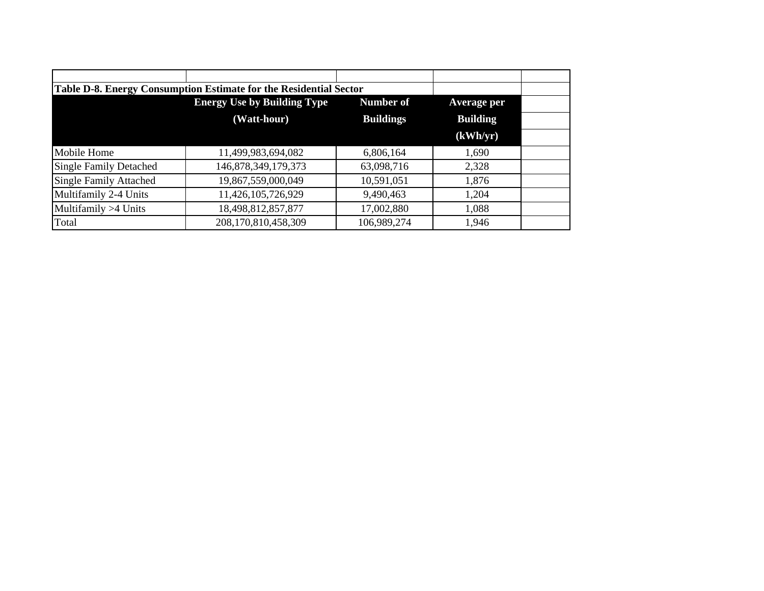|                               | Table D-8. Energy Consumption Estimate for the Residential Sector |                  |                 |
|-------------------------------|-------------------------------------------------------------------|------------------|-----------------|
|                               | <b>Energy Use by Building Type</b>                                | Number of        | Average per     |
|                               | (Watt-hour)                                                       | <b>Buildings</b> | <b>Building</b> |
|                               |                                                                   |                  | (kWh/yr)        |
| Mobile Home                   | 11,499,983,694,082                                                | 6,806,164        | 1,690           |
| <b>Single Family Detached</b> | 146,878,349,179,373                                               | 63,098,716       | 2,328           |
| <b>Single Family Attached</b> | 19,867,559,000,049                                                | 10,591,051       | 1,876           |
| Multifamily 2-4 Units         | 11,426,105,726,929                                                | 9,490,463        | 1,204           |
| Multifamily >4 Units          | 18,498,812,857,877                                                | 17,002,880       | 1,088           |
| Total                         | 208,170,810,458,309                                               | 106,989,274      | 1,946           |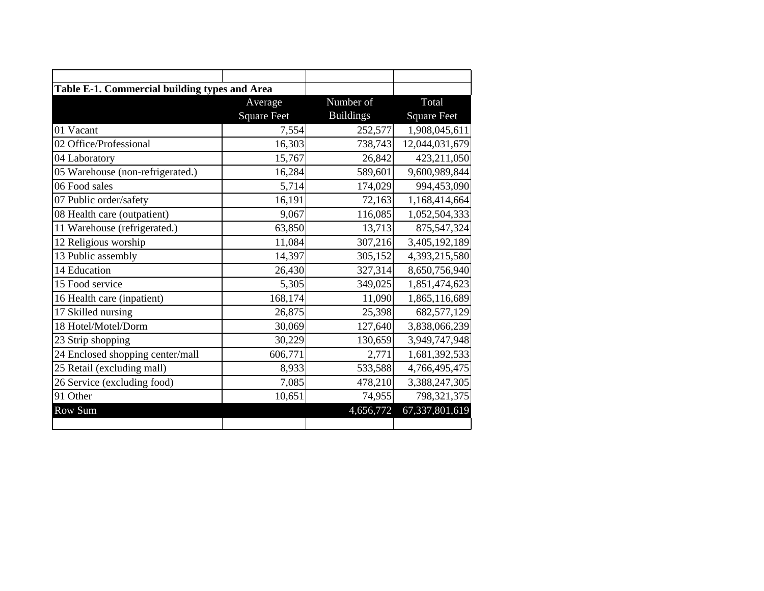| Table E-1. Commercial building types and Area |                    |                  |                    |
|-----------------------------------------------|--------------------|------------------|--------------------|
|                                               | Average            | Number of        | Total              |
|                                               | <b>Square Feet</b> | <b>Buildings</b> | <b>Square Feet</b> |
| 01 Vacant                                     | 7,554              | 252,577          | 1,908,045,611      |
| 02 Office/Professional                        | 16,303             | 738,743          | 12,044,031,679     |
| 04 Laboratory                                 | 15,767             | 26,842           | 423,211,050        |
| 05 Warehouse (non-refrigerated.)              | 16,284             | 589,601          | 9,600,989,844      |
| 06 Food sales                                 | 5,714              | 174,029          | 994,453,090        |
| 07 Public order/safety                        | 16,191             | 72,163           | 1,168,414,664      |
| 08 Health care (outpatient)                   | 9,067              | 116,085          | 1,052,504,333      |
| 11 Warehouse (refrigerated.)                  | 63,850             | 13,713           | 875,547,324        |
| 12 Religious worship                          | 11,084             | 307,216          | 3,405,192,189      |
| 13 Public assembly                            | 14,397             | 305,152          | 4,393,215,580      |
| 14 Education                                  | 26,430             | 327,314          | 8,650,756,940      |
| 15 Food service                               | 5,305              | 349,025          | 1,851,474,623      |
| 16 Health care (inpatient)                    | 168,174            | 11,090           | 1,865,116,689      |
| 17 Skilled nursing                            | 26,875             | 25,398           | 682,577,129        |
| 18 Hotel/Motel/Dorm                           | 30,069             | 127,640          | 3,838,066,239      |
| 23 Strip shopping                             | 30,229             | 130,659          | 3,949,747,948      |
| 24 Enclosed shopping center/mall              | 606,771            | 2,771            | 1,681,392,533      |
| 25 Retail (excluding mall)                    | 8,933              | 533,588          | 4,766,495,475      |
| 26 Service (excluding food)                   | 7,085              | 478,210          | 3,388,247,305      |
| 91 Other                                      | 10,651             | 74,955           | 798,321,375        |
| Row Sum                                       |                    | 4,656,772        | 67,337,801,619     |
|                                               |                    |                  |                    |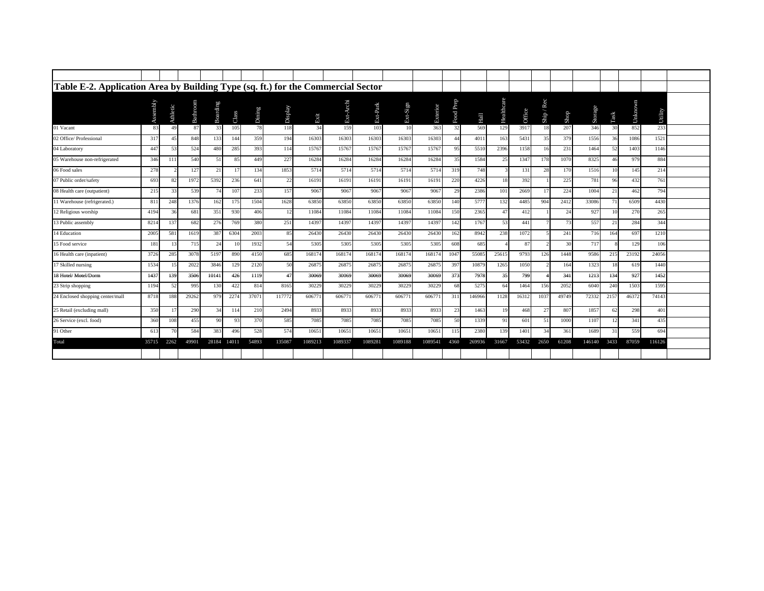| Table E-2. Application Area by Building Type (sq. ft.) for the Commercial Sector |              |          |          |          |       |        |         |         |           |            |          |          |              |        |            |        |          |                            |         |                 |             |         |  |
|----------------------------------------------------------------------------------|--------------|----------|----------|----------|-------|--------|---------|---------|-----------|------------|----------|----------|--------------|--------|------------|--------|----------|----------------------------|---------|-----------------|-------------|---------|--|
|                                                                                  | Assembly     | Athletic | Bathroom | Boarding | Class | Dining | Display | Exit    | Ext-Archi | $Ext-Park$ | Ext-Sign | Exterior | Prep<br>Food | Hall   | Healthcare | Office | Ship/Rec | ${\bf S} {\bf h} {\bf op}$ | Storage | Task            | ï<br>Unknow | Utility |  |
| 01 Vacant                                                                        | 83           | 49       | 87       | 33       | 105   | 78     | 118     | 34      | 159       | 103        | 10       | 363      | 32           | 569    | 129        | 3917   | 18       | 207                        | 346     | 30              | 852         | 233     |  |
| 02 Office/ Professional                                                          | 317          | 45       | 848      | 133      | 144   | 359    | 194     | 16303   | 16303     | 16303      | 16303    | 16303    | 44           | 4011   | 163        | 5431   | 35       | 379                        | 1556    | 36              | 1086        | 1521    |  |
| 04 Laboratory                                                                    | $44^{\circ}$ | 53       | 524      | 480      | 285   | 393    | 114     | 15767   | 15767     | 15767      | 15767    | 15767    | 95           | 5510   | 2396       | 1158   | 16       | 231                        | 1464    | 52              | 1403        | 1146    |  |
| 05 Warehouse non-refrigerated                                                    | 346          | 111      | 540      | 51       | 85    | 449    | 227     | 16284   | 16284     | 16284      | 16284    | 16284    | 35           | 1584   | 25         | 1347   | 178      | 1070                       | 8325    | 46              | 979         | 884     |  |
| 06 Food sales                                                                    | 278          |          | 127      | 21       | 17    | 134    | 1853    | 5714    | 5714      | 5714       | 5714     | 5714     | 319          | 748    |            | 131    | 28       | 170                        | 1516    | 10              | 145         | 214     |  |
| 07 Public order/safety                                                           | 693          | 82       | 1972     | 5392     | 236   | 641    | 22      | 16191   | 16191     | 16191      | 16191    | 16191    | 220          | 4226   | 18         | 392    |          | 225                        | 781     | 96              | 432         | 761     |  |
| 08 Health care (outpatient)                                                      | 215          | 33       | 539      |          | 107   | 233    | 157     | 9067    | 9067      | 9067       | 9067     | 9067     | 29           | 2386   | 101        | 2669   | 17       | 224                        | 1004    | 21              | 462         | 794     |  |
| 11 Warehouse (refrigerated.)                                                     | 81           | 248      | 1376     | 162      | 175   | 1504   | 1628    | 63850   | 63850     | 63850      | 63850    | 63850    | 140          | 5777   | 132        | 4485   | 904      | 2412                       | 33086   |                 | 6509        | 4430    |  |
| 12 Religious worship                                                             | 4194         | 36       | 681      | 351      | 930   | 406    | 12      | 11084   | 11084     | 11084      | 11084    | 11084    | 150          | 2365   | 47         | 412    |          | 24                         | 927     | 10 <sup>1</sup> | 270         | 265     |  |
| 13 Public assembly                                                               | 8214         | 137      | 682      | 276      | 769   | 380    | 251     | 14397   | 14397     | 14397      | 14397    | 1439     | 142          | 1767   | 53         | 441    |          | 73                         | 557     | 21              | 284         | 344     |  |
| 14 Education                                                                     | 2005         | 581      | 1619     | 387      | 6304  | 2003   | 85      | 26430   | 26430     | 26430      | 26430    | 26430    | 162          | 8942   | 238        | 1072   |          | 241                        | 716     | 164             | 697         | 1210    |  |
| 15 Food service                                                                  | 181          | 13       | 715      | 24       | 10    | 1932   | 54      | 5305    | 5305      | 5305       | 5305     | 5305     | 608          | 685    |            | 87     |          | 30                         | 717     |                 | 129         | 106     |  |
| 16 Health care (inpatient)                                                       | 3726         | 285      | 3078     | 5197     | 890   | 4150   | 685     | 168174  | 168174    | 168174     | 168174   | 16817    | 1047         | 55085  | 25615      | 9793   | 126      | 1448                       | 9586    | 215             | 23192       | 24056   |  |
| 17 Skilled nursing                                                               | 1534         |          | 2022     | 3846     | 129   | 2120   | 50      | 26875   | 26875     | 26875      | 26875    | 2687     | 397          | 10879  | 1265       | 1050   |          | 164                        | 1323    | 18              | 619         | 1440    |  |
| 18 Hotel/Motel/Dorm                                                              | 143'         | 139      | 3506     | 10141    | 426   | 1119   | 47      | 30069   | 30069     | 30069      | 30069    | 30069    | 373          | 7978   | 35         | 799    |          | 341                        | 1213    | 134             | 927         | 1452    |  |
| 23 Strip shopping                                                                | 1194         | 52       | 995      | 130      | 422   | 814    | 8165    | 30229   | 30229     | 30229      | 30229    | 30229    | 68           | 5275   | 64         | 1464   | 156      | 2052                       | 6040    | 240             | 1503        | 1595    |  |
| 24 Enclosed shopping center/mall                                                 | 8718         | 188      | 29262    | 979      | 2274  | 37071  | 11777   | 606771  | 60677     | 606771     | 606771   | 60677    | 311          | 146966 | 1128       | 16312  | 1037     | 49749                      | 72332   | 2157            | 46372       | 74143   |  |
| 25 Retail (excluding mall)                                                       | 350          | 17       | 290      | 34       | 114   | 210    | 2494    | 8933    | 8933      | 8933       | 8933     | 8933     | 23           | 1463   | 19         | 468    | 27       | 807                        | 1857    | 62              | 298         | 401     |  |
| 26 Service (excl. food)                                                          | 360          | 108      | 455      | 90       | 93    | 370    | 585     | 7085    | 7085      | 7085       | 7085     | 7085     | 50           | 1339   | 91         | 601    | 51       | 1000                       | 1107    | 12              | 341         | 435     |  |
| 91 Other                                                                         | 613          |          | 584      | 383      | 496   | 528    | 574     | 10651   | 10651     | 10651      | 10651    | 10651    | 115          | 2380   | 139        | 1401   | 34       | 361                        | 1689    | 31              | 559         | 694     |  |
| Total                                                                            | 35715        | 2262     | 49901    | 28184    | 14011 | 54893  | 135087  | 1089213 | 1089337   | 1089281    | 1089188  | 1089541  | 4360         | 269936 | 31667      | 53432  | 2650     | 61208                      | 146140  | 3433            | 87059       | 116126  |  |
|                                                                                  |              |          |          |          |       |        |         |         |           |            |          |          |              |        |            |        |          |                            |         |                 |             |         |  |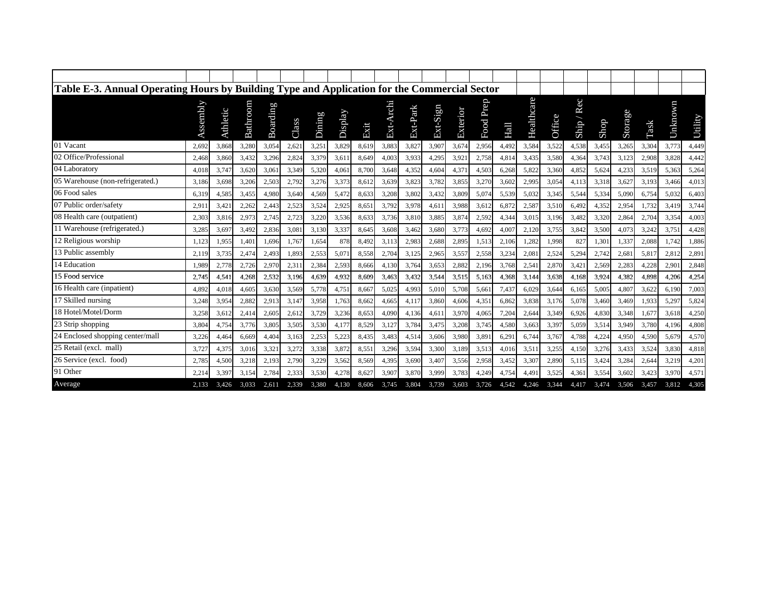| Table E-3. Annual Operating Hours by Building Type and Application for the Commercial Sector |          |          |          |          |       |        |         |       |           |          |          |          |           |             |            |        |             |       |         |       |         |         |
|----------------------------------------------------------------------------------------------|----------|----------|----------|----------|-------|--------|---------|-------|-----------|----------|----------|----------|-----------|-------------|------------|--------|-------------|-------|---------|-------|---------|---------|
|                                                                                              | Assembly | Athletic | Bathroom | Boarding | Class | Dining | Display | Exit  | Ext-Archi | Ext-Park | Ext-Sign | Exterior | Food Prep | <b>Hall</b> | Healthcare | Office | Rec<br>Ship | Shop  | Storage | Task  | Unknown | Utility |
| 01 Vacant                                                                                    | 2.692    | 3,868    | 3,280    | 3,054    | 2,621 | 3,251  | 3,829   | 8,619 | 3,883     | 3,827    | 3,907    | 3,674    | 2,956     | 4,492       | 3,584      | 3,522  | 4,538       | 3,455 | 3,265   | 3,304 | 3,773   | 4,449   |
| 02 Office/Professional                                                                       | 2,468    | 3,860    | 3,432    | 3,296    | 2,824 | 3,379  | 3,61    | 8,649 | 4,003     | 3,933    | 4,295    | 3,921    | 2,758     | 4,814       | 3,435      | 3,580  | 4,364       | 3,743 | 3,123   | 2,908 | 3,828   | 4,442   |
| 04 Laboratory                                                                                | 4.018    | 3,747    | 3,620    | 3,061    | 3,349 | 5,320  | 4,061   | 8,700 | 3,648     | 4,352    | 4,604    | 4,37     | 4,503     | 6,268       | 5,822      | 3,360  | 4,852       | 5,624 | 4,233   | 3,519 | 5,363   | 5,264   |
| 05 Warehouse (non-refrigerated.)                                                             | 3,186    | 3,698    | 3,206    | 2,503    | 2,792 | 3,276  | 3,373   | 8,612 | 3,639     | 3,823    | 3,782    | 3,855    | 3,270     | 3,602       | 2,995      | 3,054  | 4,113       | 3,318 | 3,627   | 3,193 | 3,466   | 4,013   |
| 06 Food sales                                                                                | 6,319    | 4,585    | 3,455    | 4,980    | 3,640 | 4,569  | 5,472   | 8,633 | 3,208     | 3,802    | 3,432    | 3,809    | 5,074     | 5,539       | 5,032      | 3,345  | 5,544       | 5,334 | 5,090   | 6,754 | 5,032   | 6,403   |
| 07 Public order/safety                                                                       | 2,91     | 3,42     | 2,262    | 2,443    | 2,523 | 3,524  | 2,925   | 8,65  | 3,792     | 3,978    | 4,611    | 3,988    | 3,612     | 6,872       | 2,587      | 3,510  | 6,492       | 4,352 | 2,954   | 1,732 | 3,419   | 3,744   |
| 08 Health care (outpatient)                                                                  | 2,303    | 3,816    | 2,973    | 2,745    | 2,723 | 3,220  | 3,536   | 8,633 | 3,736     | 3,810    | 3,885    | 3,874    | 2,592     | 4,344       | 3,01       | 3,196  | 3,482       | 3,320 | 2,864   | 2,704 | 3,354   | 4,003   |
| 11 Warehouse (refrigerated.)                                                                 | 3.285    | 3,697    | 3,492    | 2.836    | 3.081 | 3,130  | 3,337   | 8.645 | 3,608     | 3.462    | 3,680    | 3,773    | 4.692     | 4.007       | 2,120      | 3,755  | 3,842       | 3.500 | 4,073   | 3,242 | 3,751   | 4,428   |
| 12 Religious worship                                                                         | 1.123    | 1,955    | 1,401    | 1.696    | 1,767 | 1,654  | 878     | 8,492 | 3,113     | 2,983    | 2,688    | 2,895    | 1,513     | 2,106       | 1,282      | 1,998  | 827         | 1,301 | 1,337   | 2,088 | 1.742   | 1,886   |
| 13 Public assembly                                                                           | 2.119    | 3,735    | 2,474    | 2.493    | 1,893 | 2,553  | 5,071   | 8,558 | 2,704     | 3,12;    | 2,965    | 3,557    | 2,558     | 3,234       | 2,08       | 2,524  | 5,294       | 2,742 | 2,681   | 5,817 | 2.812   | 2,891   |
| 14 Education                                                                                 | 1.989    | 2,778    | 2,726    | 2,970    | 2,31  | 2,384  | 2,593   | 8,666 | 4,130     | 3,764    | 3,653    | 2,882    | 2,196     | 3.768       | 2,54       | 2,870  | 3,421       | 2,569 | 2,283   | 4,228 | 2,901   | 2,848   |
| 15 Food service                                                                              | 2.745    | 4,541    | 4,268    | 2.532    | 3,196 | 4,639  | 4,932   | 8.609 | 3,463     | 3.432    | 3,544    | 3,515    | 5.163     | 4,368       | 3,144      | 3.638  | 4.168       | 3.924 | 4,382   | 4,898 | 4,206   | 4,254   |
| 16 Health care (inpatient)                                                                   | 4.892    | 4,018    | 4,605    | 3,630    | 3,569 | 5,778  | 4,751   | 8,667 | 5,025     | 4,993    | 5,010    | 5,708    | 5,661     | 7,437       | 6,029      | 3.644  | 6,165       | 5,005 | 4,807   | 3,622 | 6,190   | 7,003   |
| 17 Skilled nursing                                                                           | 3,248    | 3,954    | 2,882    | 2,913    | 3,147 | 3,958  | 1,763   | 8,662 | 4,665     | 4,11'    | 3,860    | 4,606    | 4.351     | 6,862       | 3,838      | 3,176  | 5,078       | 3,460 | 3,469   | 1,933 | 5,297   | 5,824   |
| 18 Hotel/Motel/Dorm                                                                          | 3,258    | 3,612    | 2,414    | 2,605    | 2,61  | 3,729  | 3,236   | 8,653 | 4,090     | 4,136    | 4,611    | 3,970    | 4,065     | 7,204       | 2,644      | 3,349  | 6,926       | 4,830 | 3,348   | 1,677 | 3,618   | 4,250   |
| 23 Strip shopping                                                                            | 3.804    | 4,754    | 3,776    | 3,805    | 3,505 | 3,530  | 4.177   | 8,529 | 3,127     | 3,784    | 3,475    | 3,208    | 3,745     | 4,580       | 3,663      | 3,397  | 5,059       | 3,514 | 3,949   | 3,780 | 4.196   | 4,808   |
| 24 Enclosed shopping center/mall                                                             | 3,226    | 4,464    | 6,669    | 4,404    | 3,163 | 2,253  | 5,223   | 8,435 | 3,483     | 4,514    | 3,606    | 3,980    | 3,891     | 6,291       | 6,744      | 3,767  | 4,788       | 4,224 | 4,950   | 4,590 | 5,679   | 4,570   |
| 25 Retail (excl. mall)                                                                       | 3,72'    | 4,375    | 3,016    | 3,321    | 3,272 | 3,338  | 3,872   | 8,551 | 3,296     | 3,594    | 3,300    | 3,189    | 3,513     | 4,016       | 3,51       | 3,255  | 4,150       | 3,276 | 3,433   | 3,524 | 3,830   | 4,818   |
| 26 Service (excl. food)                                                                      | 2,785    | 4,500    | 3,218    | 2,193    | 2,790 | 3,229  | 3,562   | 8,569 | 4,395     | 3,690    | 3,407    | 3,556    | 2,958     | 3,452       | 3,307      | 2,890  | 5,115       | 3,424 | 3,284   | 2,644 | 3,219   | 4,201   |
| 91 Other                                                                                     | 2,214    | 3,397    | 3,154    | 2.784    | 2,333 | 3,530  | 4,278   | 8,627 | 3,907     | 3,870    | 3,999    | 3,783    | 4,249     | 4,754       | 4,491      | 3,525  | 4,361       | 3,554 | 3,602   | 3,423 | 3,970   | 4,571   |
| Average                                                                                      | 2.133    | 3.426    | 3.033    | 2.611    | 2.339 | 3.380  | 4.130   | 8.606 | 3,745     | 3.804    | 3.739    | 3.603    | 3.726     | 4.542       | 4.246      | 3.344  | 4.417       | 3.474 | 3.506   | 3.457 | 3.812   | 4,305   |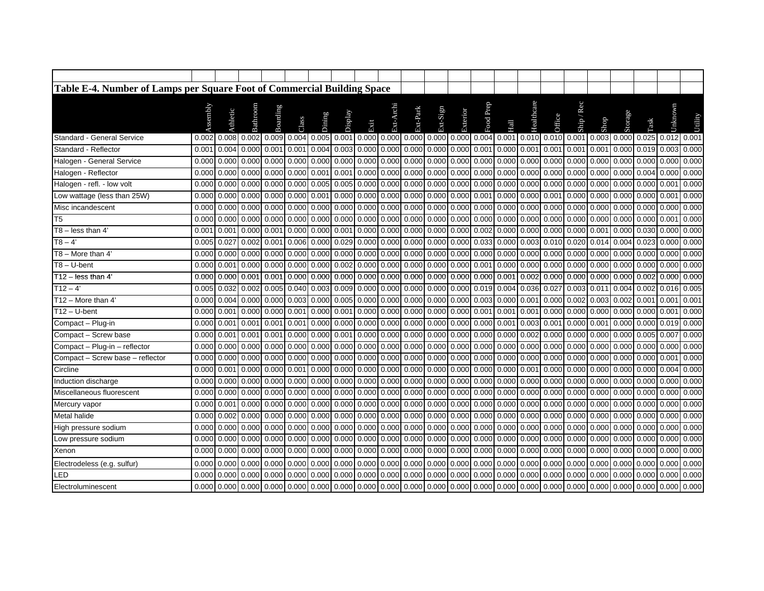| Table E-4. Number of Lamps per Square Foot of Commercial Building Space |                   |          |              |                                                                                                                                                                                                                                |             |                     |         |             |           |                     |                                       |             |             |                 |                                 |                   |                        |                               |         |                         |                   |         |
|-------------------------------------------------------------------------|-------------------|----------|--------------|--------------------------------------------------------------------------------------------------------------------------------------------------------------------------------------------------------------------------------|-------------|---------------------|---------|-------------|-----------|---------------------|---------------------------------------|-------------|-------------|-----------------|---------------------------------|-------------------|------------------------|-------------------------------|---------|-------------------------|-------------------|---------|
|                                                                         | Assembly          | Athletic | Bathroom     | <b>Boarding</b>                                                                                                                                                                                                                | Class       | <b>Dining</b>       | Display | Exit        | Ext-Archi | Ext-Park            | Ext-Sign                              | Exterior    | Food Prep   | Hall            | Healthcare                      | <b>Office</b>     | Rec<br>Ship $\sqrt{2}$ | Shop                          | Storage | Task                    | Unknow            | Utility |
| Standard - General Service                                              |                   |          |              | 0.002 0.008 0.002 0.009 0.004 0.005 0.001 0.000 0.000 0.000 0.000 0.000 0.004 0.001 0.001 0.010 0.010 0.001                                                                                                                    |             |                     |         |             |           |                     |                                       |             |             |                 |                                 |                   |                        | 0.003 0.000 0.025 0.012 0.001 |         |                         |                   |         |
| Standard - Reflector                                                    | 0.001             | 0.004    | 0.000        | 0.001                                                                                                                                                                                                                          | 0.001       | 0.004               | 0.003   |             |           |                     | $0.000$ 0.000 0.000 0.000 0.000       |             | 0.001       |                 | $0.000$ $0.001$                 | 0.001             | 0.001                  | 0.001                         |         | 0.000 0.019             | 0.003             | 0.000   |
| Halogen - General Service                                               | 0.000             | 0.000    | 0.000        | 0.000                                                                                                                                                                                                                          | 0.000       | 0.000               | 0.000   | 0.000       |           |                     | $0.000$ $0.000$ $0.000$               | 0.000       | 0.000       |                 | 0.000 0.000                     | 0.000             | 0.000                  | 0.000                         | 0.000   | 0.000                   | 0.000             | 0.000   |
| Halogen - Reflector                                                     | 0.000             | 0.000    | 0.000        | 0.000                                                                                                                                                                                                                          | 0.000 0.001 |                     | 0.001   | 0.000       | 0.000     |                     | 0.000 0.000                           | 0.000       | 0.000       | 0.000           | 0.000                           | 0.000             | 0.000                  | 0.000                         | 0.000   | 0.004                   | 0.000             | 0.000   |
| Halogen - refl. - low volt                                              | 0.000             | 0.000    | 0.000        | 0.000                                                                                                                                                                                                                          |             | 0.000 0.005         | 0.005   | 0.000       | 0.000     |                     | 0.000 0.000                           | 0.000       | 0.000       | 0.000           | 0.000                           | 0.000             | 0.000                  | 0.000                         | 0.000   | 0.000                   | 0.001             | 0.000   |
| ow wattage (less than 25W)                                              | 0.000             | 0.000    | 0.000        | 0.000                                                                                                                                                                                                                          | 0.000 0.001 |                     | 0.000   | 0.000       | 0.000     |                     | 0.000 0.000                           | 0.000       | 0.001       | 0.000           | 0.000                           | 0.00 <sup>2</sup> |                        | $0.000$ $0.000$               | 0.000   | 0.000                   | 0.00 <sup>1</sup> | 0.000   |
| Misc incandescent                                                       | 0.00C             | 0.000    | 0.000        | 0.000                                                                                                                                                                                                                          | 0.000       | 0.000               | 0.000   | 0.000       | 0.000     |                     | 0.000 0.000                           | 0.000       |             | 0.000 0.000     | 0.000                           | 0.000             | 0.000                  | 0.000                         | 0.000   | 0.000                   | 0.000             | 0.000   |
| T <sub>5</sub>                                                          | 0.000             | 0.000    | 0.000        | 0.000                                                                                                                                                                                                                          |             | $0.000$ $0.000$     | 0.000   | 0.000       | 0.000     |                     | 0.000 0.000                           | 0.000       |             |                 | 0.000 0.000 0.000               | 0.000             | 0.000                  | 0.000                         | 0.000   | 0.000                   | 0.001             | 0.000   |
| $T8 -$ less than 4'                                                     | 0.00 <sup>1</sup> | 0.001    | 0.000        | 0.001                                                                                                                                                                                                                          |             | 0.000 0.000         | 0.001   | 0.000       | 0.000     | 0.000               |                                       | 0.000 0.000 | 0.002       |                 | 0.000 0.000                     | 0.000             | 0.000                  | 0.001                         | 0.000   | 0.030                   | 0.000             | 0.000   |
| $T8 - 4'$                                                               | 0.005             | 0.027    | 0.002        | 0.001                                                                                                                                                                                                                          |             | 0.006 0.000         | 0.029   | 0.000       | 0.000     |                     | $0.000$ $0.000$ $0.000$               |             | 0.033       |                 | 0.000 0.003                     |                   | 0.010 0.020            | 0.014                         | 0.004   | 0.023                   | 0.000             | 0.000   |
| $T8 -$ More than 4'                                                     | 0.000             | 0.000    | 0.000        | 0.000                                                                                                                                                                                                                          |             | 0.000 0.000         | 0.000   | 0.000       |           | $0.000$ $0.000$     |                                       | 0.000 0.000 | 0.000       |                 | 0.000 0.000                     |                   | 0.000 0.000            | 0.000                         | 0.000   | 0.000                   | 0.000             | 0.000   |
| $T8 - U$ -bent                                                          | 0.000             | 0.001    | 0.000        | 0.000                                                                                                                                                                                                                          |             | 0.000 0.000         | 0.002   | 0.000       | 0.000     | 0.000               | 0.000                                 | 0.000       | 0.001       |                 | 0.000 0.000                     | 0.000             | 0.000                  | 0.000                         | 0.000   | 0.000                   | 0.000             | 0.000   |
| $T12 - less than 4'$                                                    | 0.000             | 0.000    | 0.001        | 0.001                                                                                                                                                                                                                          |             | 0.000 0.000         |         | 0.000 0.000 | 0.000     | 0.000               | 0.000                                 | 0.000       | 0.000       | 0.001           | 0.002                           |                   | 0.000 0.000            | 0.000                         |         | 0.000 0.002             | 0.000             | 0.000   |
| $T12 - 4'$                                                              | 0.005             | 0.032    | 0.002        | 0.005                                                                                                                                                                                                                          |             | $0.040$ 0.003 0.009 |         | 0.000       |           |                     | $0.000$ 0.000 0.000 0.000             |             |             |                 | 0.019 0.004 0.036               | 0.027             | 0.003                  | 0.011                         | 0.004   | 0.002                   | 0.016             | 0.005   |
| $T12 - More than 4'$                                                    | 0.000             | 0.004    | 0.000        | 0.000                                                                                                                                                                                                                          |             | $0.003$ 0.000       | 0.005   | 0.000 0.000 |           |                     | $0.000$ $0.000$ $0.000$               |             | 0.003       | $0.000$ $0.001$ |                                 |                   | $0.000$ $0.002$        | 0.003                         | 0.002   | 0.001                   | 0.001             | 0.001   |
| $T12 - U$ -bent                                                         | 0.000             | 0.001    | 0.000        | 0.000                                                                                                                                                                                                                          | 0.001       | 0.000               | 0.001   | 0.000       |           |                     | $0.000$ 0.000 0.000 0.000             |             | 0.001       | 0.001           | 0.001                           | 0.000             | 0.000                  | 0.000                         | 0.000   | 0.000                   | 0.001             | 0.000   |
| Compact - Plug-in                                                       | 0.000             | 0.001    | 0.001        | 0.00 <sup>1</sup>                                                                                                                                                                                                              | 0.001       | 0.000               | 0.000   | 0.000       | 0.000     |                     | 0.000 0.000                           | 0.000       | 0.000 0.001 |                 | 0.003                           | 0.001             | 0.000                  | 0.001                         | 0.000   | 0.000                   | 0.019             | 0.000   |
| Compact - Screw base                                                    | 0.000             | 0.001    | 0.001        | 0.001                                                                                                                                                                                                                          |             | 0.000 0.000         | 0.001   | 0.000       | 0.000     |                     | $0.000$ $0.000$                       | 0.000       |             |                 | $0.000$ $0.000$ $0.002$         | 0.000             | 0.000                  | 0.000                         | 0.000   | 0.005                   | 0.007             | 0.000   |
| Compact - Plug-in - reflector                                           | 0.000             | 0.000    | 0.000        | 0.000                                                                                                                                                                                                                          |             | 0.000 0.000         | 0.000   | 0.000       | 0.000     |                     | $0.000$ 0.000 0.000                   |             |             |                 | $0.000$ $0.000$ $0.000$         |                   | 0.000 0.000            | 0.000                         | 0.000   | 0.000                   | 0.000             | 0.000   |
| Compact - Screw base - reflector                                        | 0.000             | 0.000    | 0.000        | 0.000                                                                                                                                                                                                                          |             | 0.000 0.000         | 0.000   | 0.000 0.000 |           | 0.000               |                                       | 0.000 0.000 |             |                 | $0.000$ 0.000 0.000 0.000 0.000 |                   |                        | 0.000                         | 0.000   | 0.000                   | 0.001             | 0.000   |
| Circline                                                                | 0.000             | 0.001    | 0.000        | 0.000                                                                                                                                                                                                                          | 0.001       | 0.000               | 0.000   | 0.000 0.000 |           | 0.000               |                                       | 0.000 0.000 |             |                 | $0.000$ $0.000$ $0.001$         |                   | 0.000 0.000            | 0.000                         | 0.000   | 0.000                   | 0.004             | 0.000   |
| Induction discharge                                                     | 0.000             | 0.000    | 0.000        | 0.000                                                                                                                                                                                                                          | 0.000       | 0.000               | 0.000   | 0.000       | 0.000     | 0.000               | 0.000                                 | 0.000       | 0.000       |                 | $0.000$ $0.000$                 | 0.000             | 0.000                  | 0.000                         | 0.000   | 0.000                   | 0.000             | 0.000   |
| Miscellaneous fluorescent                                               | 0.000             | 0.000    | 0.000        | 0.000                                                                                                                                                                                                                          | 0.000       | 0.000               | 0.000   | 0.000       | 0.000     | 0.000               | 0.000                                 | 0.000       | 0.000       | 0.000           | 0.000                           | 0.000             | 0.000                  | 0.000                         | 0.000   | 0.000                   | 0.000             | 0.000   |
| Mercury vapor                                                           | 0.000             | 0.001    | 0.000        | 0.000                                                                                                                                                                                                                          |             | 0.000 0.000         | 0.000   | 0.000       | 0.000     | 0.000               | 0.000                                 | 0.000       |             | 0.000 0.000     | 0.000                           | 0.000             | 0.000                  | 0.000                         | 0.000   | 0.000                   | 0.000             | 0.000   |
| Metal halide                                                            | 0.000             | 0.002    | 0.000        | 0.000                                                                                                                                                                                                                          | 0.000       | 0.000               | 0.000   | 0.000       | 0.000     | 0.000               | 0.000                                 | 0.000       | 0.000       | 0.000           | 0.000                           | 0.000             | 0.000                  | 0.000                         | 0.000   | 0.000                   | 0.000             | 0.000   |
| High pressure sodium                                                    | 0.000             | 0.000    | 0.000        | 0.000                                                                                                                                                                                                                          | 0.000       | 0.000               | 0.000   | 0.000       |           | $0.000$ 0.000 0.000 |                                       | 0.000       |             | 0.000 0.000     | 0.000                           | 0.000             | 0.000                  | 0.000                         | 0.000   | 0.000                   | 0.000             | 0.000   |
| ow pressure sodium                                                      | 0.000             | 0.000    | 0.000        | 0.000                                                                                                                                                                                                                          |             | 0.000 0.000         | 0.000   | 0.000       | 0.000     |                     | 0.000 0.000                           | 0.000       |             | 0.000 0.000     | 0.000                           | 0.000             | 0.000                  | 0.000                         | 0.000   | 0.000                   | 0.000             | 0.000   |
| Xenon                                                                   | 0.000             | 0.000    | 0.000        | 0.000                                                                                                                                                                                                                          |             | 0.000 0.000         | 0.000   | 0.000       | 0.000     |                     | $0.000$ $0.000$ $0.000$               |             |             |                 | $0.000$ $0.000$ $0.000$         | 0.000             | 0.000                  | 0.000                         | 0.000   | 0.000                   | 0.000             | 0.000   |
| Electrodeless (e.g. sulfur)                                             | 0.000             |          | 0.00010.0001 | 0.000                                                                                                                                                                                                                          |             | $0.000$ $0.000$     |         |             |           |                     | $0.000$ 0.000 0.000 0.000 0.000 0.000 |             |             |                 | $0.000$ 0.000 0.000             |                   |                        | $0.000$ $0.000$ $0.000$       |         | $0.000$ 0.000 0.000     |                   | 0.000   |
| <b>LED</b>                                                              | 0.000             |          |              | 0.000 0.000 0.000 0.000 0.000 0.000 0.000 0.000 0.000 0.000 0.000 0.000 0.000 0.000 0.000 0.000 0.000 0.000 0.000 0.000 0.000 0.000 0.000 0.000 0.000 0.000 0.000 0.000 0.000 0.000 0.000 0.000 0.000 0.000 0.000 0.000 0.000  |             |                     |         |             |           |                     |                                       |             |             |                 |                                 |                   |                        |                               |         | $0.000$ $0.000$ $0.000$ |                   | 0.000   |
| Electroluminescent                                                      |                   |          |              | 0.000 [0.000] 0.000 [0.000 [0.000] 0.000 [0.000 [0.000] 0.000 [0.000] 0.000 [0.000] 0.000 [0.000] 0.000 [0.000] 0.000 [0.000] 0.000 [0.000] 0.000 [0.000] 0.000] 0.000 [0.000] 0.000 [0.000] 0.000 [0.000] 0.000 [0.000] 0.000 |             |                     |         |             |           |                     |                                       |             |             |                 |                                 |                   |                        |                               |         |                         |                   |         |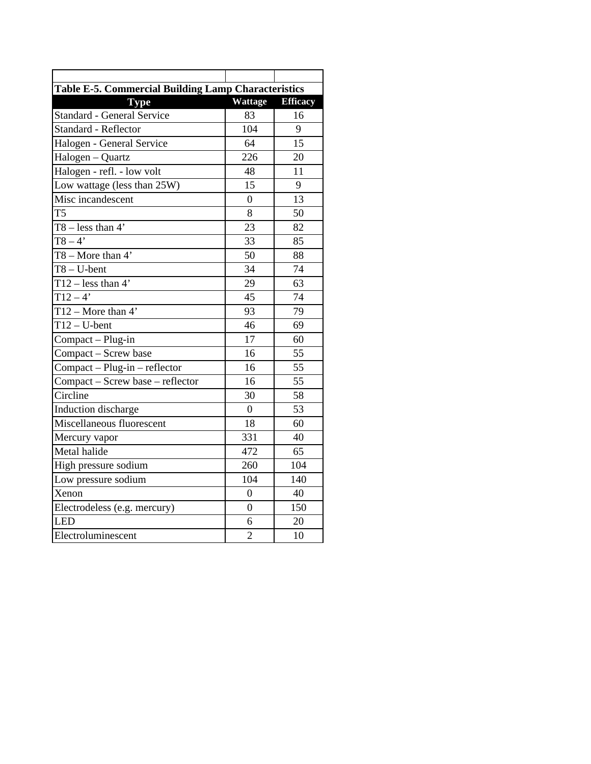| Table E-5. Commercial Building Lamp Characteristics |                  |                 |  |  |  |  |  |  |
|-----------------------------------------------------|------------------|-----------------|--|--|--|--|--|--|
| <b>Type</b>                                         | <b>Wattage</b>   | <b>Efficacy</b> |  |  |  |  |  |  |
| <b>Standard - General Service</b>                   | 83               | 16              |  |  |  |  |  |  |
| <b>Standard - Reflector</b>                         | 104              | 9               |  |  |  |  |  |  |
| Halogen - General Service                           | 64               | 15              |  |  |  |  |  |  |
| Halogen - Quartz                                    | 226              | 20              |  |  |  |  |  |  |
| Halogen - refl. - low volt                          | 48               | $\overline{11}$ |  |  |  |  |  |  |
| Low wattage (less than 25W)                         | 15               | 9               |  |  |  |  |  |  |
| Misc incandescent                                   | $\overline{0}$   | 13              |  |  |  |  |  |  |
| T5                                                  | 8                | 50              |  |  |  |  |  |  |
| $T8 - less than 4'$                                 | $\overline{23}$  | 82              |  |  |  |  |  |  |
| $T8 - 4'$                                           | 33               | 85              |  |  |  |  |  |  |
| $T8 - More than 4'$                                 | 50               | 88              |  |  |  |  |  |  |
| $\overline{TS-U}$ -bent                             | $\overline{34}$  | $\overline{74}$ |  |  |  |  |  |  |
| $\overline{T12 - \text{less than 4}}$               | 29               | 63              |  |  |  |  |  |  |
| $T12 - 4'$                                          | 45               | 74              |  |  |  |  |  |  |
| $T12 - \text{More than } 4'$                        | 93               | 79              |  |  |  |  |  |  |
| $\overline{T12}$ – U-bent                           | 46               | 69              |  |  |  |  |  |  |
| Compact - Plug-in                                   | 17               | 60              |  |  |  |  |  |  |
| Compact - Screw base                                | 16               | 55              |  |  |  |  |  |  |
| Compact - Plug-in - reflector                       | 16               | 55              |  |  |  |  |  |  |
| Compact - Screw base - reflector                    | 16               | 55              |  |  |  |  |  |  |
| Circline                                            | 30               | 58              |  |  |  |  |  |  |
| Induction discharge                                 | $\overline{0}$   | 53              |  |  |  |  |  |  |
| Miscellaneous fluorescent                           | 18               | 60              |  |  |  |  |  |  |
| Mercury vapor                                       | 331              | 40              |  |  |  |  |  |  |
| Metal halide                                        | 472              | 65              |  |  |  |  |  |  |
| High pressure sodium                                | 260              | 104             |  |  |  |  |  |  |
| Low pressure sodium                                 | 104              | 140             |  |  |  |  |  |  |
| Xenon                                               | $\theta$         | 40              |  |  |  |  |  |  |
| Electrodeless (e.g. mercury)                        | $\boldsymbol{0}$ | 150             |  |  |  |  |  |  |
| LED                                                 | 6                | 20              |  |  |  |  |  |  |
| Electroluminescent                                  | $\overline{2}$   | 10              |  |  |  |  |  |  |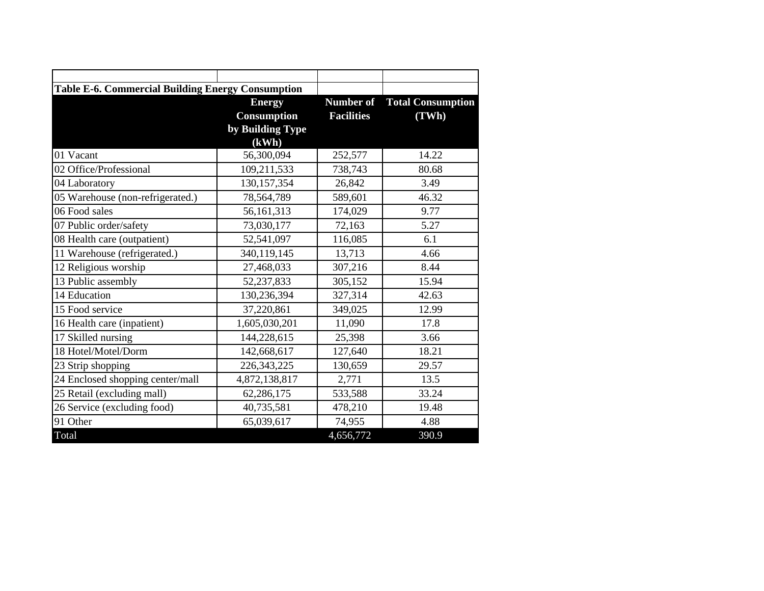| <b>Table E-6. Commercial Building Energy Consumption</b> |                    |                   |                                    |  |  |
|----------------------------------------------------------|--------------------|-------------------|------------------------------------|--|--|
|                                                          | <b>Energy</b>      |                   | <b>Number of</b> Total Consumption |  |  |
|                                                          | <b>Consumption</b> | <b>Facilities</b> | (TWh)                              |  |  |
|                                                          | by Building Type   |                   |                                    |  |  |
|                                                          | (kWh)              |                   |                                    |  |  |
| 01 Vacant                                                | 56,300,094         | 252,577           | 14.22                              |  |  |
| 02 Office/Professional                                   | 109,211,533        | 738,743           | 80.68                              |  |  |
| 04 Laboratory                                            | 130, 157, 354      | 26,842            | 3.49                               |  |  |
| 05 Warehouse (non-refrigerated.)                         | 78,564,789         | 589,601           | 46.32                              |  |  |
| 06 Food sales                                            | 56,161,313         | 174,029           | 9.77                               |  |  |
| 07 Public order/safety                                   | 73,030,177         | 72,163            | 5.27                               |  |  |
| 08 Health care (outpatient)                              | 52,541,097         | 116,085           | 6.1                                |  |  |
| 11 Warehouse (refrigerated.)                             | 340,119,145        | 13,713            | 4.66                               |  |  |
| 12 Religious worship                                     | 27,468,033         | 307,216           | 8.44                               |  |  |
| 13 Public assembly                                       | 52,237,833         | 305,152           | 15.94                              |  |  |
| 14 Education                                             | 130,236,394        | 327,314           | 42.63                              |  |  |
| 15 Food service                                          | 37,220,861         | 349,025           | 12.99                              |  |  |
| 16 Health care (inpatient)                               | 1,605,030,201      | 11,090            | 17.8                               |  |  |
| 17 Skilled nursing                                       | 144,228,615        | 25,398            | 3.66                               |  |  |
| 18 Hotel/Motel/Dorm                                      | 142,668,617        | 127,640           | 18.21                              |  |  |
| 23 Strip shopping                                        | 226, 343, 225      | 130,659           | 29.57                              |  |  |
| 24 Enclosed shopping center/mall                         | 4,872,138,817      | 2,771             | 13.5                               |  |  |
| 25 Retail (excluding mall)                               | 62,286,175         | 533,588           | 33.24                              |  |  |
| 26 Service (excluding food)                              | 40,735,581         | 478,210           | 19.48                              |  |  |
| 91 Other                                                 | 65,039,617         | 74,955            | 4.88                               |  |  |
| Total                                                    |                    | 4,656,772         | 390.9                              |  |  |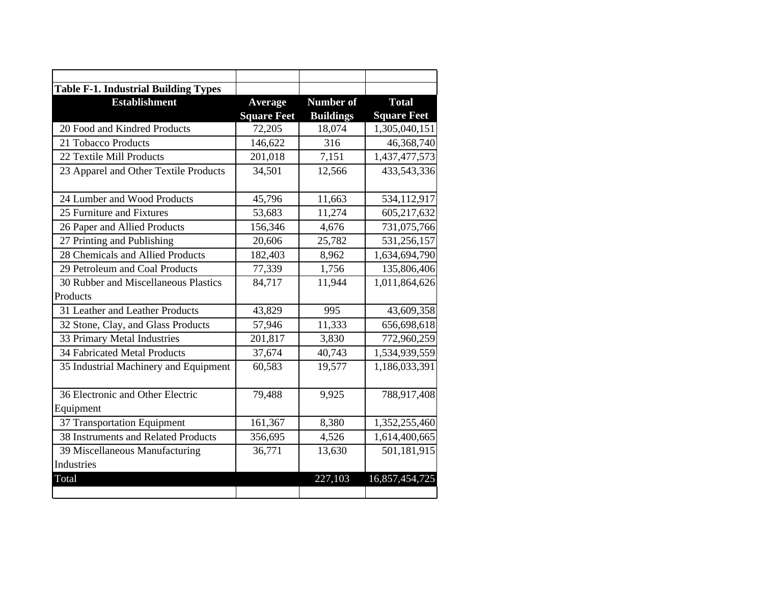| <b>Table F-1. Industrial Building Types</b> |                    |                  |                    |
|---------------------------------------------|--------------------|------------------|--------------------|
| <b>Establishment</b>                        | Average            | <b>Number of</b> | <b>Total</b>       |
|                                             | <b>Square Feet</b> | <b>Buildings</b> | <b>Square Feet</b> |
| 20 Food and Kindred Products                | 72,205             | 18,074           | 1,305,040,151      |
| 21 Tobacco Products                         | 146,622            | 316              | 46,368,740         |
| 22 Textile Mill Products                    | 201,018            | 7,151            | 1,437,477,573      |
| 23 Apparel and Other Textile Products       | 34,501             | 12,566           | 433,543,336        |
| 24 Lumber and Wood Products                 | 45,796             | 11,663           | 534,112,917        |
| 25 Furniture and Fixtures                   | 53,683             | 11,274           | 605,217,632        |
| 26 Paper and Allied Products                | 156,346            | 4,676            | 731,075,766        |
| 27 Printing and Publishing                  | 20,606             | 25,782           | 531,256,157        |
| 28 Chemicals and Allied Products            | 182,403            | 8,962            | 1,634,694,790      |
| 29 Petroleum and Coal Products              | 77,339             | 1,756            | 135,806,406        |
| 30 Rubber and Miscellaneous Plastics        | 84,717             | 11,944           | 1,011,864,626      |
| Products                                    |                    |                  |                    |
| 31 Leather and Leather Products             | 43,829             | 995              | 43,609,358         |
| 32 Stone, Clay, and Glass Products          | 57,946             | 11,333           | 656,698,618        |
| 33 Primary Metal Industries                 | 201,817            | 3,830            | 772,960,259        |
| <b>34 Fabricated Metal Products</b>         | 37,674             | 40,743           | 1,534,939,559      |
| 35 Industrial Machinery and Equipment       | 60,583             | 19,577           | 1,186,033,391      |
| 36 Electronic and Other Electric            | 79,488             | 9,925            | 788,917,408        |
| Equipment                                   |                    |                  |                    |
| 37 Transportation Equipment                 | 161,367            | 8,380            | 1,352,255,460      |
| 38 Instruments and Related Products         | 356,695            | 4,526            | 1,614,400,665      |
| 39 Miscellaneous Manufacturing              | 36,771             | 13,630           | 501,181,915        |
| Industries                                  |                    |                  |                    |
| Total                                       |                    | 227,103          | 16,857,454,725     |
|                                             |                    |                  |                    |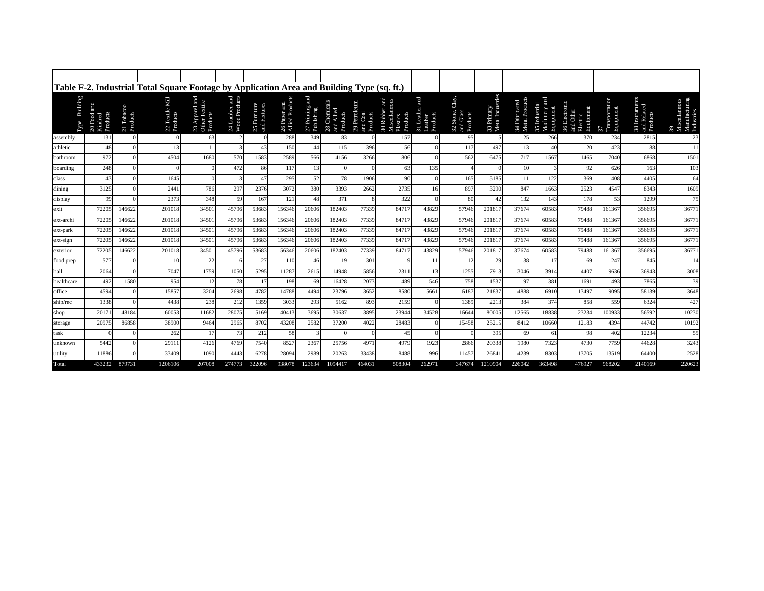|                                |                                    |                        | Table F-2. Industrial Total Square Footage by Application Area and Building Type (sq. ft.) |                                             |                                |                              |                                |                              |                                        |                                      |                                              |                                 |                                             |                                |                                 |                                              |                                                     |                                |                                           |                                                    |
|--------------------------------|------------------------------------|------------------------|--------------------------------------------------------------------------------------------|---------------------------------------------|--------------------------------|------------------------------|--------------------------------|------------------------------|----------------------------------------|--------------------------------------|----------------------------------------------|---------------------------------|---------------------------------------------|--------------------------------|---------------------------------|----------------------------------------------|-----------------------------------------------------|--------------------------------|-------------------------------------------|----------------------------------------------------|
| <b>Building</b><br><b>Lype</b> | 20 Food and<br>Products<br>Kindred | 21 Tobacco<br>Products | e Mill<br>22 Textile<br>Products                                                           | 23 Apparel and<br>Other Textile<br>Products | 24 Lumber and<br>Wood Products | 25 Furniture<br>and Fixtures | 26 Paper and<br>Allied Product | $27$ Printing and Publishing | 28 Chemicals<br>and Allied<br>Products | 29 Petroleum<br>and Coal<br>Products | Miscellan<br>Products<br>30 Rubb<br>Plastics | 31 Leath<br>Leather<br>Products | Clay,<br>32 Stone,<br>and Glass<br>Products | 33 Primary<br>Metal Industries | 34 Fabricated<br>Metal Products | E<br>35 Industrial<br>Machinery<br>Equipment | 36 Electronic<br>and Other<br>Equipment<br>Electric | Transportat<br>Equipment<br>57 | 38 Instruments<br>and Related<br>Products | Miscellaneous<br>Manufacturing<br>Industries<br>39 |
| assembly                       | 131                                |                        |                                                                                            | 63                                          |                                |                              | 288                            | 349                          | 83                                     |                                      | 157                                          |                                 | 95                                          |                                | 25                              | 266                                          | 370                                                 | 234                            | 2815                                      | 23                                                 |
| athletic                       | 48                                 |                        | 13                                                                                         | 11                                          |                                | 43                           | 150                            | 44                           | 115                                    | 396                                  | 56                                           |                                 | 117                                         | 497                            | 13                              | 40                                           | 20                                                  | 423                            | 88                                        | 11                                                 |
| bathroom                       | 972                                |                        | 4504                                                                                       | 1680                                        | 570                            | 1583                         | 2589                           | 566                          | 4156                                   | 3266                                 | 1806                                         |                                 | 562                                         | 6475                           | 717                             | 1567                                         | 1465                                                | 7040                           | 6868                                      | 1501                                               |
| boarding                       | 248                                |                        |                                                                                            |                                             | 472                            | 86                           | 117                            | 13                           |                                        |                                      | 63                                           | 135                             |                                             |                                | 10                              |                                              | 92                                                  | 626                            | 163                                       | 103                                                |
| class                          | 43                                 |                        | 1645                                                                                       |                                             | 13                             | 47                           | 295                            | 52                           | 78                                     | 1906                                 | 90                                           |                                 | 165                                         | 5185                           | 111                             | 122                                          | 369                                                 | 408                            | 4405                                      | 64                                                 |
| dining                         | 3125                               |                        | 2441                                                                                       | 786                                         | 297                            | 2376                         | 3072                           | 380                          | 3393                                   | 2662                                 | 2735                                         | 16                              | 897                                         | 3290                           | 847                             | 1663                                         | 2523                                                | 4547                           | 8343                                      | 1609                                               |
| display                        | 99                                 |                        | 2373                                                                                       | 348                                         | 59                             | 167                          | 121                            | 48                           | 371                                    |                                      | 322                                          |                                 | 80                                          | 42                             | 132                             | 143                                          | 178                                                 | 53                             | 1299                                      | 75                                                 |
| exit                           | 72205                              | 146622                 | 201018                                                                                     | 34501                                       | 45796                          | 53683                        | 156346                         | 20606                        | 182403                                 | 77339                                | 84717                                        | 43829                           | 57946                                       | 201817                         | 37674                           | 60583                                        | 79488                                               | 161367                         | 356695                                    | 36771                                              |
| ext-archi                      | 72205                              | 146622                 | 201018                                                                                     | 34501                                       | 45796                          | 53683                        | 156346                         | 20606                        | 182403                                 | 77339                                | 84711                                        | 43829                           | 57946                                       | 20181                          | 37674                           | 60583                                        | 79488                                               | 161367                         | 356695                                    | 36771                                              |
| ext-park                       | 72205                              | 146622                 | 201018                                                                                     | 34501                                       | 45796                          | 53683                        | 156346                         | 20606                        | 182403                                 | 77339                                | 84717                                        | 43829                           | 57946                                       | 201817                         | 37674                           | 60583                                        | 79488                                               | 161367                         | 356695                                    | 36771                                              |
| $ext-sign$                     | 7220:                              | 146622                 | 201018                                                                                     | 34501                                       | 45796                          | 53683                        | 156346                         | 20606                        | 182403                                 | 77339                                | 8471                                         | 43829                           | 57946                                       | 201817                         | 37674                           | 60583                                        | 79488                                               | 161367                         | 356695                                    | 36771                                              |
| exterior                       | 72205                              | 146622                 | 201018                                                                                     | 34501                                       | 45796                          | 53683                        | 156346                         | 20606                        | 182403                                 | 77339                                | 84711                                        | 43829                           | 57946                                       | 201817                         | 37674                           | 60583                                        | 79488                                               | 161367                         | 356695                                    | 36771                                              |
| food prep                      | 577                                |                        | 10                                                                                         | 22                                          |                                | 27                           | 110                            | 46                           | 19                                     | 301                                  |                                              | 11                              |                                             | 29                             | 38                              |                                              | 69                                                  | 247                            | 845                                       | 14                                                 |
| hall                           | 2064                               |                        | 7047                                                                                       | 1759                                        | 1050                           | 5295                         | 11287                          | 2615                         | 14948                                  | 15856                                | 2311                                         | 13                              | 1255                                        | 7913                           | 3046                            | 3914                                         | 4407                                                | 9636                           | 36943                                     | 3008                                               |
| healthcare                     | 492                                | 11580                  | 954                                                                                        | 12                                          | 78                             | 17                           | 198                            | 69                           | 16428                                  | 207:                                 | 489                                          | 546                             | 758                                         | 1537                           | 197                             | 381                                          | 1691                                                | 1493                           | 7865                                      | 39                                                 |
| office                         | 4594                               |                        | 15857                                                                                      | 3204                                        | 2698                           | 4782                         | 14788                          | 4494                         | 23796                                  | 3652                                 | 8580                                         | 5661                            | 6187                                        | 21837                          | 4888                            | 6910                                         | 13497                                               | 9095                           | 58139                                     | 3648                                               |
| ship/rec                       | 1338                               |                        | 4438                                                                                       | 238                                         | 212                            | 1359                         | 3033                           | 293                          | 5162                                   | 893                                  | 2159                                         |                                 | 1389                                        | 2213                           | 384                             | 374                                          | 858                                                 | 559                            | 6324                                      | 427                                                |
| shop                           | 2017                               | 48184                  | 60053                                                                                      | 11682                                       | 28075                          | 15169                        | 40413                          | 3695                         | 30637                                  | 3895                                 | 23944                                        | 34528                           | 16644                                       | 80005                          | 12565                           | 18838                                        | 23234                                               | 100933                         | 56592                                     | 10230                                              |
| storage                        | 20975                              | 86858                  | 38900                                                                                      | 9464                                        | 2965                           | 8702                         | 43208                          | 2582                         | 37200                                  | 4022                                 | 28483                                        |                                 | 15458                                       | 25215                          | 8412                            | 10660                                        | 12183                                               | 4394                           | 44742                                     | 10192                                              |
| task                           |                                    |                        | 262                                                                                        | 17                                          | 73                             | 212                          | 58                             |                              |                                        |                                      | 45                                           |                                 |                                             | 395                            | 69                              | 61                                           | 98                                                  | 402                            | 12234                                     | 55                                                 |
| unknown                        | 5442                               |                        | 29111                                                                                      | 4126                                        | 4769                           | 7540                         | 8527                           | 2367                         | 25756                                  | 497                                  | 4979                                         | 1923                            | 2866                                        | 20338                          | 1980                            | 7323                                         | 4730                                                | 7759                           | 44628                                     | 3243                                               |
| utility                        | 11886                              |                        | 33409                                                                                      | 1090                                        | 4443                           | 6278                         | 28094                          | 2989                         | 20263                                  | 33438                                | 8488                                         | 996                             | 1145                                        | 26841                          | 4239                            | 8303                                         | 13705                                               | 13519                          | 64400                                     | 2528                                               |
| Total                          | 433232                             | 879731                 | 1206106                                                                                    | 207008                                      | 274773                         | 322096                       | 938078                         | 123634                       | 1094417                                | 464031                               | 508304                                       | 262971                          | 347674                                      | 1210904                        | 226042                          | 363498                                       | 476927                                              | 968202                         | 2140169                                   | 220623                                             |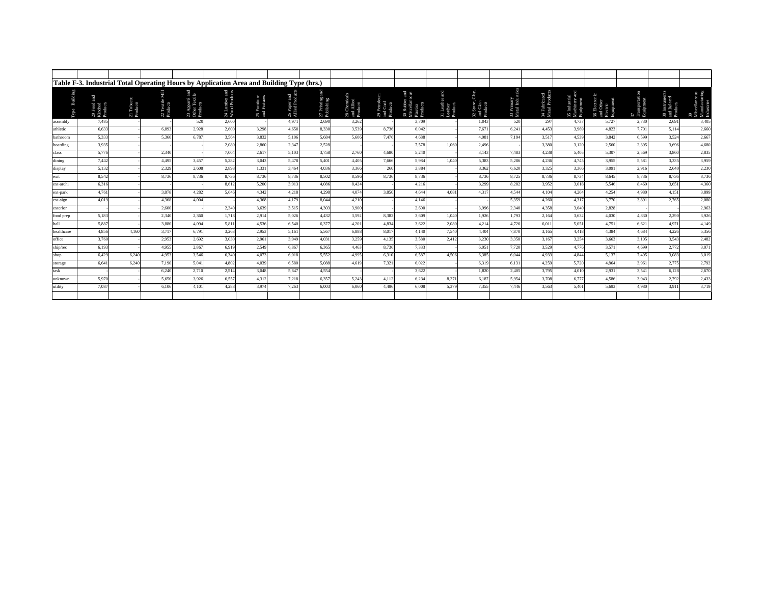|                              |                                  | Table F-3. Industrial Total Operating Hours by Application Area and Building Type (hrs.) |                          |                                             |                                |                              |                                |                            |                                      |                                    |                                                 |                                   |                                                  |                          |                                |                                        |                                                           |                                 |                                         |                                                    |
|------------------------------|----------------------------------|------------------------------------------------------------------------------------------|--------------------------|---------------------------------------------|--------------------------------|------------------------------|--------------------------------|----------------------------|--------------------------------------|------------------------------------|-------------------------------------------------|-----------------------------------|--------------------------------------------------|--------------------------|--------------------------------|----------------------------------------|-----------------------------------------------------------|---------------------------------|-----------------------------------------|----------------------------------------------------|
| Buildir<br>Гуре              | 20 Food a<br>Kindred<br>Products | 21 Tobaco<br>Products                                                                    | 22 Textile 1<br>Products | 23 Apparel and<br>Other Textile<br>Products | 24 Lumber and<br>Wood Products | 25 Furniture<br>and Fixtures | 26 Paper and<br>Allied Product | 27 Printing:<br>Publishing | 28 Chemica<br>and Allied<br>Products | 29 Petrole<br>and Coal<br>Products | 30 Rubber<br>Miscellane<br>Plastics<br>Products | 31 Leather<br>Leather<br>Products | å<br>32 Stone, <b>C</b><br>and Glass<br>Products | 33 Primary<br>Metal Indu | 34 Fabricated<br>Metal Product | 35 Industria<br>Machinery<br>Equipment | and Other<br>Electric<br>Equipment<br>36 Elect<br>and Oth | 37<br>Transportati<br>Equipment | 38 Instrumer<br>and Related<br>Products | 39<br>Miscellaneous<br>Manufacturing<br>Industries |
| assembly                     | 7,485                            |                                                                                          |                          | 520                                         | 2,600                          |                              | 4,971                          | 2,690                      | 3,262                                |                                    | 3,709                                           |                                   | 1,043                                            | 520                      | 297                            | 4,737                                  | 5,727                                                     | 2,730                           | 2,691                                   | 3,405                                              |
| athletic                     | 6.633                            |                                                                                          | 6.893                    | 2,928                                       | 2,600                          | 3,298                        | 4,650                          | 8.330                      | 3,539                                | 8.736                              | 6,042                                           |                                   | 7.671                                            | 6,241                    | 4,453                          | 3,969                                  | 4,823                                                     | 7,701                           | 5,114                                   | 2,660                                              |
| bathroom                     | 5,333                            |                                                                                          | 5,360                    | 6,787                                       | 3,564                          | 3,832                        | 5,106                          | 5,684                      | 5,606                                | 7,476                              | 4,688                                           |                                   | 4,081                                            | 7,194                    | 3,517                          | 4,539                                  | 3,842                                                     | 6,599                           | 3,524                                   | 2,667                                              |
| boarding                     | 3,935                            |                                                                                          |                          |                                             | 2.080                          | 2,860                        | 2,347                          | 2,528                      |                                      |                                    | 7,578                                           | 1.060                             | 2,496                                            |                          | 3.380                          | 3,120                                  | 2,560                                                     | 2,395                           | 3,696                                   | 4,680                                              |
| class                        | 5,776                            |                                                                                          | 2.340                    |                                             | 7,004                          | 2,61                         | 5,103                          | 3,758                      | 2,760                                | 4.680                              | 5,240                                           |                                   | 3.143                                            | 7,483                    | 4,238                          | 5,405                                  | 5,307                                                     | 2,569                           | 3,860                                   | 2,835                                              |
| dining                       | 7,442                            |                                                                                          | 4,495                    | 3,457                                       | 5,282                          | 3,043                        | 5,478                          | 5,401                      | 4,405                                | 7,666                              | 5,984                                           | 1.040                             | 5,383                                            | 5,286                    | 4,236                          | 4.745                                  | 3,955                                                     | 5,581                           | 3,335                                   | 3,959                                              |
| display                      | 5,132                            |                                                                                          | 2,329                    | 2,608                                       | 2,898                          | 1,331                        | 3,464                          | 4,036                      | 3,366                                | 260                                | 3,884                                           |                                   | 3,362                                            | 6,620                    | 3,325                          | 3,366                                  | 3,091                                                     | 2,916                           | 2,640                                   | 2,230                                              |
| exit                         | 8.542                            |                                                                                          | 8.736                    | 8.736                                       | 8,736                          | 8.736                        | 8.736                          | 8,502                      | 8,596                                | 8.736                              | 8.736                                           |                                   | 8,736                                            | 8,725                    | 8.736                          | 8,734                                  | 8.645                                                     | 8,736                           | 8,736                                   | 8,736                                              |
| ext-archi                    | 6.316                            |                                                                                          |                          |                                             | 8.612                          | 5,200                        | 3,913                          | 4.086                      | 8,424                                |                                    | 4,216                                           |                                   | 3,299                                            | 8,282                    | 3,952                          | 3,618                                  | 5,546                                                     | 8,469                           | 3,651                                   | 4,360                                              |
| ext-park                     | 4.761                            |                                                                                          | 3,878                    | 4,282                                       | 5.646                          | 4.342                        | 4,218                          | 4,298                      | 4,074                                | 3.850                              | 4.644                                           | 4.081                             | 4,317                                            | 4,544                    | 4,104                          | 4,204                                  | 4,254                                                     | 4.980                           | 4,151                                   | 3,899                                              |
| ext-sign                     | 4.019                            |                                                                                          | 4.368                    | 4.004                                       |                                | 4.368                        | 4,179                          | 8,044                      | 4,210                                |                                    | 4,146                                           |                                   |                                                  | 5,359                    | 4,260                          | 4.317                                  | 3,770                                                     | 3.891                           | 2,765                                   | 2,080                                              |
| exterior                     |                                  |                                                                                          | 2,600                    |                                             | 2,340                          | 3,639                        | 3,515                          | 4,303                      | 3,900                                |                                    | 2,600                                           |                                   | 3,996                                            | 2,340                    | 4,358                          | 3,640                                  | 2,828                                                     |                                 |                                         | 2,963                                              |
| food prep                    | 5,183                            |                                                                                          | 2,340                    | 2,360                                       | 1,718                          | 2,914                        | 5,026                          | 4,432                      | 3,592                                | 8,382                              | 3,609                                           | 1,040                             | 1,926                                            | 1,793                    | 2,164                          | 3,632                                  | 4,030                                                     | 4.830                           | 2,290                                   | 3,926                                              |
| hall                         | 5,887                            |                                                                                          | 3,880                    | 4,094                                       | 5,811                          | 4,536                        | 6,540                          | 6,377                      | 4,201                                | 4,834                              | 3,622                                           | 2,080                             | 4,214                                            | 4,726                    | 6,011                          | 5,051                                  | 4,751                                                     | 6,621                           | 4,971                                   | 4,149                                              |
| healthcare                   | 4.856                            | 4.160                                                                                    | 3,717                    | 6,791                                       | 3,263                          | 2,953                        | 5,161                          | 5,567                      | 6,888                                | 8,017                              | 4.140                                           | 7.540                             | 4.404                                            | 7,870                    | 3,165                          | 4,418                                  | 4,384                                                     | 4.684                           | 4,226                                   | 5,356                                              |
| office                       | 3,760                            |                                                                                          | 2,953                    | 2,692                                       | 3,030                          | 2,961                        | 3,949                          | 4,031                      | 3,259                                | 4,135                              | 3,580                                           | 2.412                             | 3.230                                            | 3,358                    | 3,167                          | 3,254                                  | 3,663                                                     | 3,105                           | 3,543                                   | 2,482                                              |
| $\mathrm{ship}/\mathrm{rec}$ | 6,193                            |                                                                                          | 4.955                    | 2,867                                       | 6,919                          | 2,549                        | 6.867                          | 6.365                      | 4,463                                | 8,736                              | 7,333                                           |                                   | 6.051                                            | 7,720                    | 3,529                          | 4,776                                  | 3,571                                                     | 4,699                           | 2,772                                   | 3,071                                              |
| shop                         | 6,429                            | 6,240                                                                                    | 4,953                    | 3,546                                       | 6,340                          | 4.073                        | 6,018                          | 5,552                      | 4,995                                | 6,310                              | 6.587                                           | 4.506                             | 6.385                                            | 6,044                    | 4,933                          | 4.844                                  | 5,137                                                     | 7,495                           | 3,083                                   | 3,019                                              |
| storage                      | 6.641                            | 6.240                                                                                    | 7,190                    | 5,041                                       | 4.802                          | 4.039                        | 6.580                          | 5.088                      | 4.619                                | 7,321                              | 6,022                                           |                                   | 6,319                                            | 6,131                    | 4,259                          | 5,720                                  | 4.864                                                     | 3,961                           | 2,775                                   | 2,792                                              |
| task                         |                                  |                                                                                          | 6,240                    | 2,710                                       | 2,514                          | 3.048                        | 5,647                          | 4,554                      |                                      |                                    | 3,622                                           |                                   | 1.820                                            | 2,405                    | 3,795                          | 4,010                                  | 2,931                                                     | 3,541                           | 6,128                                   | 2,670                                              |
| unknown                      | 5,970                            |                                                                                          | 5,650                    | 3,926                                       | 6,557                          | 4,312                        | 7,218                          | 6,357                      | 5,243                                | 4,112                              | 6,234                                           | 8,271                             | 6,187                                            | 5,954                    | 3,708                          | 6,777                                  | 4,586                                                     | 3,943                           | 2,792                                   | 2,433                                              |
| utility                      | 7.087                            |                                                                                          | 6.106                    | 4,101                                       | 4.288                          | 3.974                        | 7,263                          | 6,003                      | 6,060                                | 4,496                              | 6.008                                           | 5.379                             | 7,355                                            | 7,446                    | 3.563                          | 5,40                                   | 5.693                                                     | 4.980                           | 3,911                                   | 3,719                                              |
|                              |                                  |                                                                                          |                          |                                             |                                |                              |                                |                            |                                      |                                    |                                                 |                                   |                                                  |                          |                                |                                        |                                                           |                                 |                                         |                                                    |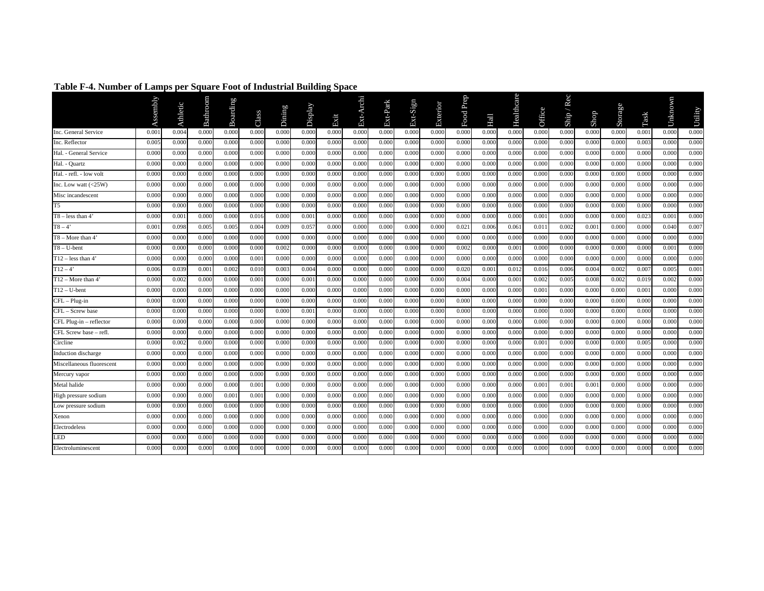|                            | Assembly | Athletic | Bathroom | Boarding | Class | Dining | Display | Exit  | Ext-Archi | Ext-Park | Ext-Sign | Exterior | Food Prep | Hall  | Healthcare | Office | Rec<br>Ship / | Shop  | Storage | Task  | Unknown | Utility |
|----------------------------|----------|----------|----------|----------|-------|--------|---------|-------|-----------|----------|----------|----------|-----------|-------|------------|--------|---------------|-------|---------|-------|---------|---------|
| Inc. General Service       | 0.001    | 0.004    | 0.000    | 0.000    | 0.000 | 0.000  | 0.000   | 0.000 | 0.000     | 0.000    | 0.000    | 0.000    | 0.000     | 0.000 | 0.000      | 0.000  | 0.000         | 0.000 | 0.000   | 0.001 | 0.000   | 0.000   |
| Inc. Reflector             | 0.003    | 0.000    | 0.000    | 0.000    | 0.000 | 0.000  | 0.000   | 0.000 | 0.000     | 0.000    | 0.000    | 0.000    | 0.000     | 0.000 | 0.000      | 0.000  | 0.000         | 0.000 | 0.000   | 0.003 | 0.000   | 0.000   |
| Hal. - General Service     | 0.00     | 0.000    | 0.000    | 0.000    | 0.00( | 0.000  | 0.000   | 0.00( | 0.000     | 0.000    | 0.000    | 0.000    | 0.000     | 0.000 | 0.000      | 0.000  | 0.000         | 0.000 | 0.000   | 0.000 | 0.00(   | 0.000   |
| Hal. - Quartz              | 0.000    | 0.00     | 0.000    | 0.000    | 0.000 | 0.000  | 0.000   | 0.000 | 0.000     | 0.000    | 0.000    | 0.000    | 0.000     | 0.000 | 0.000      | 0.000  | 0.000         | 0.000 | 0.000   | 0.000 | 0.000   | 0.000   |
| Hal. - refl. - low volt    | 0.000    | 0.000    | 0.000    | 0.000    | 0.000 | 0.000  | 0.000   | 0.000 | 0.000     | 0.000    | 0.000    | 0.000    | 0.000     | 0.000 | 0.000      | 0.000  | 0.000         | 0.000 | 0.000   | 0.000 | 0.000   | 0.000   |
| Inc. Low watt $(\leq 25W)$ | 0.00(    | 0.000    | 0.000    | 0.00(    | 0.00( | 0.000  | 0.000   | 0.00( | 0.00      | 0.000    | 0.000    | 0.000    | 0.000     | 0.000 | 0.000      | 0.000  | 0.000         | 0.000 | 0.000   | 0.000 | 0.000   | 0.000   |
| Misc incandescent          | 0.000    | 0.00(    | 0.000    | 0.000    | 0.000 | 0.000  | 0.000   | 0.000 | 0.000     | 0.000    | 0.000    | 0.000    | 0.000     | 0.000 | 0.000      | 0.000  | 0.000         | 0.000 | 0.000   | 0.000 | 0.000   | 0.000   |
| T <sub>5</sub>             | 0.00     | 0.00(    | 0.000    | 0.000    | 0.000 | 0.000  | 0.000   | 0.000 | 0.000     | 0.000    | 0.000    | 0.000    | 0.000     | 0.000 | 0.000      | 0.000  | 0.000         | 0.000 | 0.000   | 0.000 | 0.000   | 0.000   |
| $T8 - less than 4'$        | 0.00(    | 0.001    | 0.000    | 0.00     | 0.016 | 0.000  | 0.00    | 0.000 | 0.000     | 0.000    | 0.000    | 0.000    | 0.000     | 0.000 | 0.000      | 0.001  | 0.000         | 0.000 | 0.000   | 0.023 | 0.00    | 0.000   |
| $T8 - 4'$                  | 0.001    | 0.098    | 0.005    | 0.005    | 0.004 | 0.005  | 0.057   | 0.000 | 0.000     | 0.000    | 0.000    | 0.000    | 0.021     | 0.006 | 0.061      | 0.011  | 0.002         | 0.001 | 0.000   | 0.000 | 0.040   | 0.007   |
| T8 - More than 4'          | 0.000    | 0.000    | 0.000    | 0.000    | 0.000 | 0.000  | 0.000   | 0.000 | 0.000     | 0.000    | 0.000    | 0.000    | 0.000     | 0.000 | 0.000      | 0.000  | 0.000         | 0.000 | 0.000   | 0.000 | 0.000   | 0.000   |
| $T8 - U$ -bent             | 0.00(    | 0.000    | 0.000    | 0.000    | 0.000 | 0.002  | 0.00(   | 0.00( | 0.00      | 0.000    | 0.000    | 0.000    | 0.002     | 0.000 | 0.001      | 0.000  | 0.000         | 0.000 | 0.000   | 0.000 | 0.00    | 0.000   |
| $T12$ – less than 4'       | 0.00     | 0.00(    | 0.000    | 0.000    | 0.001 | 0.000  | 0.000   | 0.000 | 0.000     | 0.000    | 0.000    | 0.000    | 0.000     | 0.000 | 0.000      | 0.000  | 0.000         | 0.000 | 0.000   | 0.000 | 0.000   | 0.000   |
| $T12 - 4'$                 | 0.00(    | 0.03     | 0.00     | 0.00     | 0.010 | 0.002  | 0.004   | 0.00  | 0.000     | 0.000    | 0.000    | 0.000    | 0.020     | 0.001 | 0.012      | 0.016  | 0.006         | 0.00  | 0.002   | 0.007 | 0.00    | 0.001   |
| $T12 - More than 4'$       | 0.000    | 0.002    | 0.000    | 0.000    | 0.001 | 0.000  | 0.00    | 0.000 | 0.000     | 0.000    | 0.000    | 0.000    | 0.004     | 0.000 | 0.001      | 0.002  | 0.005         | 0.008 | 0.002   | 0.019 | 0.002   | 0.000   |
| $\overline{T12}$ – U-bent  | 0.000    | 0.000    | 0.000    | 0.000    | 0.000 | 0.000  | 0.000   | 0.000 | 0.000     | 0.000    | 0.000    | 0.000    | 0.000     | 0.000 | 0.000      | 0.001  | 0.000         | 0.000 | 0.000   | 0.001 | 0.000   | 0.000   |
| $CFL - Plug-in$            | 0.00     | 0.000    | 0.000    | 0.000    | 0.000 | 0.000  | 0.000   | 0.00( | 0.000     | 0.000    | 0.000    | 0.000    | 0.000     | 0.000 | 0.000      | 0.000  | 0.000         | 0.000 | 0.000   | 0.000 | 0.000   | 0.000   |
| CFL - Screw base           | 0.000    | 0.000    | 0.000    | 0.000    | 0.000 | 0.000  | 0.001   | 0.000 | 0.000     | 0.000    | 0.000    | 0.000    | 0.000     | 0.000 | 0.000      | 0.000  | 0.000         | 0.000 | 0.000   | 0.000 | 0.000   | 0.000   |
| CFL Plug-in - reflector    | 0.000    | 0.00(    | 0.000    | 0.000    | 0.000 | 0.000  | 0.000   | 0.000 | 0.000     | 0.000    | 0.000    | 0.000    | 0.000     | 0.000 | 0.000      | 0.000  | 0.000         | 0.000 | 0.000   | 0.000 | 0.000   | 0.000   |
| CFL Screw base - refl.     | 0.00     | 0.00     | 0.000    | 0.00(    | 0.00  | 0.00(  | 0.00(   | 0.00( | 0.000     | 0.000    | 0.000    | 0.000    | 0.000     | 0.000 | 0.000      | 0.000  | 0.000         | 0.000 | 0.000   | 0.000 | 0.00(   | 0.000   |
| Circline                   | 0.00     | 0.002    | 0.000    | 0.000    | 0.000 | 0.000  | 0.000   | 0.000 | 0.000     | 0.000    | 0.000    | 0.000    | 0.000     | 0.000 | 0.000      | 0.001  | 0.000         | 0.000 | 0.000   | 0.005 | 0.000   | 0.000   |
| Induction discharge        | 0.000    | 0.000    | 0.000    | 0.000    | 0.000 | 0.000  | 0.000   | 0.000 | 0.000     | 0.000    | 0.000    | 0.000    | 0.000     | 0.000 | 0.000      | 0.000  | 0.000         | 0.000 | 0.000   | 0.000 | 0.000   | 0.000   |
| Miscellaneous fluorescent  | 0.00(    | 0.000    | 0.000    | 0.00     | 0.00  | 0.000  | 0.000   | 0.000 | 0.000     | 0.000    | 0.000    | 0.000    | 0.000     | 0.000 | 0.000      | 0.000  | 0.000         | 0.000 | 0.000   | 0.000 | 0.00(   | 0.000   |
| Mercury vapor              | 0.000    | 0.000    | 0.000    | 0.000    | 0.000 | 0.000  | 0.000   | 0.000 | 0.000     | 0.000    | 0.000    | 0.000    | 0.000     | 0.000 | 0.000      | 0.000  | 0.000         | 0.000 | 0.000   | 0.000 | 0.000   | 0.000   |
| Metal halide               | 0.000    | 0.00     | 0.000    | 0.00     | 0.00  | 0.000  | 0.000   | 0.000 | 0.00      | 0.000    | 0.000    | 0.000    | 0.000     | 0.000 | 0.000      | 0.001  | 0.001         | 0.001 | 0.000   | 0.000 | 0.00    | 0.000   |
| High pressure sodium       | 0.00(    | 0.00(    | 0.000    | 0.00     | 0.00  | 0.000  | 0.00(   | 0.000 | 0.000     | 0.000    | 0.000    | 0.000    | 0.000     | 0.000 | 0.000      | 0.000  | 0.000         | 0.000 | 0.000   | 0.000 | 0.00(   | 0.000   |
| Low pressure sodium        | 0.000    | 0.000    | 0.000    | 0.000    | 0.000 | 0.000  | 0.000   | 0.000 | 0.000     | 0.000    | 0.000    | 0.000    | 0.000     | 0.000 | 0.000      | 0.000  | 0.000         | 0.000 | 0.000   | 0.000 | 0.000   | 0.000   |
| Xenon                      | 0.00     | 0.000    | 0.000    | 0.000    | 0.000 | 0.000  | 0.000   | 0.000 | 0.000     | 0.000    | 0.000    | 0.000    | 0.000     | 0.000 | 0.000      | 0.000  | 0.000         | 0.000 | 0.000   | 0.000 | 0.000   | 0.000   |
| Electrodeless              | 0.00     | 0.000    | 0.000    | 0.000    | 0.000 | 0.000  | 0.000   | 0.000 | 0.000     | 0.000    | 0.000    | 0.000    | 0.000     | 0.000 | 0.000      | 0.000  | 0.000         | 0.000 | 0.000   | 0.000 | 0.000   | 0.000   |
| <b>LED</b>                 | 0.000    | 0.00     | 0.000    | 0.000    | 0.00  | 0.000  | 0.000   | 0.000 | 0.000     | 0.000    | 0.000    | 0.000    | 0.000     | 0.000 | 0.000      | 0.000  | 0.000         | 0.000 | 0.000   | 0.000 | 0.000   | 0.000   |
| Electroluminescent         | 0.00     | 0.00     | 0.00(    | 0.00(    | 0.00( | 0.000  | 0.000   | 0.00( | 0.00(     | 0.000    | 0.000    | 0.000    | 0.000     | 0.000 | 0.000      | 0.000  | 0.000         | 0.000 | 0.000   | 0.000 | 0.00(   | 0.000   |

**Table F-4. Number of Lamps per Square Foot of Industrial Building Space**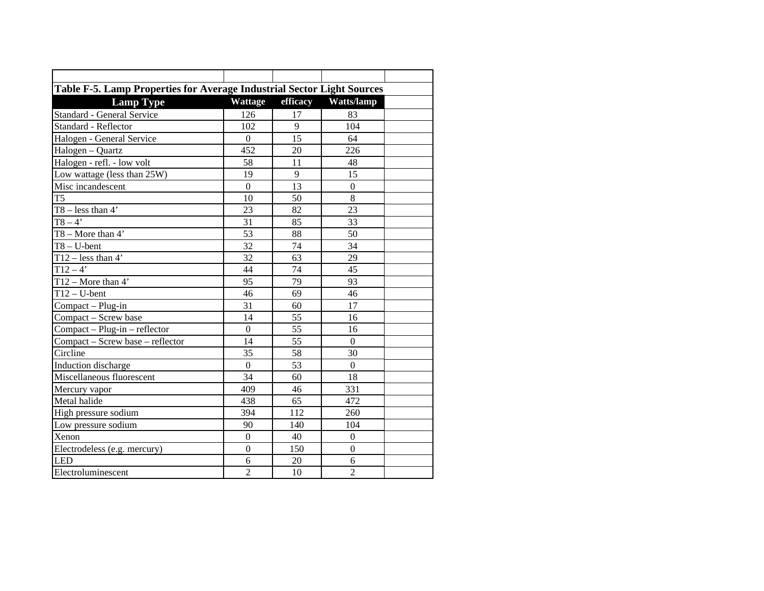| Table F-5. Lamp Properties for Average Industrial Sector Light Sources |                  |                 |                  |
|------------------------------------------------------------------------|------------------|-----------------|------------------|
| <b>Lamp Type</b>                                                       | <b>Wattage</b>   | efficacy        | Watts/lamp       |
| Standard - General Service                                             | 126              | 17              | 83               |
| Standard - Reflector                                                   | 102              | 9               | 104              |
| Halogen - General Service                                              | $\mathbf{0}$     | 15              | 64               |
| Halogen - Quartz                                                       | 452              | 20              | 226              |
| Halogen - refl. - low volt                                             | 58               | 11              | 48               |
| Low wattage (less than 25W)                                            | 19               | 9               | 15               |
| Misc incandescent                                                      | $\theta$         | 13              | $\boldsymbol{0}$ |
| T <sub>5</sub>                                                         | 10               | 50              | $8\,$            |
| $T8 - less than 4'$                                                    | 23               | 82              | 23               |
| $T8 - 4'$                                                              | 31               | 85              | 33               |
| $T8 - More than 4'$                                                    | 53               | 88              | 50               |
| $T8 - U$ -bent                                                         | 32               | 74              | 34               |
| $\overline{T12}$ – less than 4'                                        | 32               | 63              | 29               |
| $T12 - 4'$                                                             | 44               | 74              | 45               |
| T12 – More than $4'$                                                   | 95               | 79              | 93               |
| $T12-U-bent$                                                           | 46               | 69              | 46               |
| Compact - Plug-in                                                      | 31               | 60              | 17               |
| Compact - Screw base                                                   | 14               | 55              | 16               |
| $Compat - Plug-in - reflector$                                         | $\mathbf{0}$     | $\overline{55}$ | 16               |
| Compact - Screw base - reflector                                       | 14               | 55              | $\boldsymbol{0}$ |
| Circline                                                               | 35               | $\overline{58}$ | 30               |
| Induction discharge                                                    | $\boldsymbol{0}$ | 53              | $\boldsymbol{0}$ |
| Miscellaneous fluorescent                                              | 34               | 60              | 18               |
| Mercury vapor                                                          | 409              | 46              | 331              |
| Metal halide                                                           | 438              | 65              | 472              |
| High pressure sodium                                                   | 394              | 112             | 260              |
| Low pressure sodium                                                    | 90               | 140             | 104              |
| Xenon                                                                  | $\mathbf{0}$     | 40              | $\boldsymbol{0}$ |
| Electrodeless (e.g. mercury)                                           | $\boldsymbol{0}$ | 150             | $\boldsymbol{0}$ |
| LED                                                                    | 6                | 20              | 6                |
| Electroluminescent                                                     | $\overline{2}$   | 10              | $\overline{2}$   |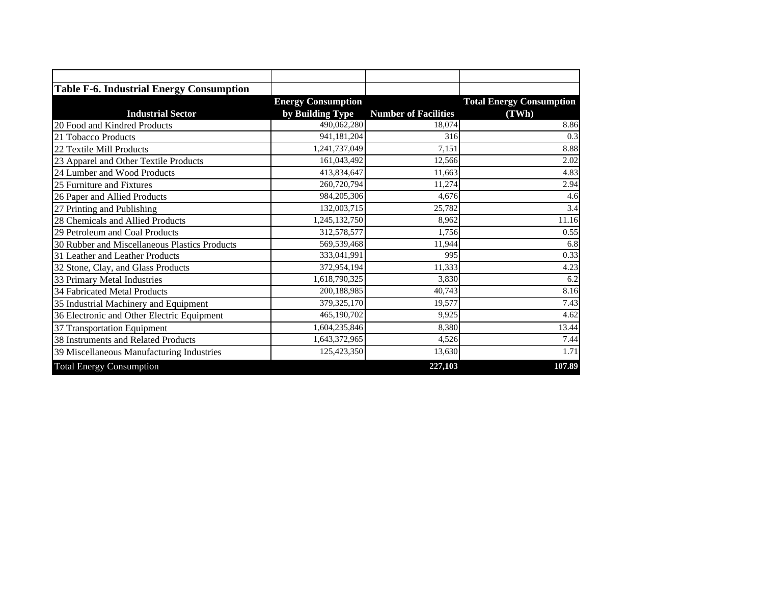| <b>Table F-6. Industrial Energy Consumption</b> |                           |                             |                                 |
|-------------------------------------------------|---------------------------|-----------------------------|---------------------------------|
|                                                 | <b>Energy Consumption</b> |                             | <b>Total Energy Consumption</b> |
| <b>Industrial Sector</b>                        | by Building Type          | <b>Number of Facilities</b> | (TWh)                           |
| 20 Food and Kindred Products                    | 490,062,280               | 18,074                      | 8.86                            |
| 21 Tobacco Products                             | 941,181,204               | 316                         | 0.3                             |
| 22 Textile Mill Products                        | 1,241,737,049             | 7,151                       | 8.88                            |
| 23 Apparel and Other Textile Products           | 161,043,492               | 12,566                      | 2.02                            |
| 24 Lumber and Wood Products                     | 413,834,647               | 11,663                      | 4.83                            |
| 25 Furniture and Fixtures                       | 260,720,794               | 11,274                      | 2.94                            |
| 26 Paper and Allied Products                    | 984,205,306               | 4.676                       | 4.6                             |
| 27 Printing and Publishing                      | 132,003,715               | 25,782                      | 3.4                             |
| 28 Chemicals and Allied Products                | 1,245,132,750             | 8,962                       | 11.16                           |
| 29 Petroleum and Coal Products                  | 312,578,577               | 1,756                       | 0.55                            |
| 30 Rubber and Miscellaneous Plastics Products   | 569,539,468               | 11,944                      | 6.8                             |
| 31 Leather and Leather Products                 | 333,041,991               | 995                         | 0.33                            |
| 32 Stone, Clay, and Glass Products              | 372,954,194               | 11,333                      | 4.23                            |
| 33 Primary Metal Industries                     | 1,618,790,325             | 3,830                       | 6.2                             |
| 34 Fabricated Metal Products                    | 200,188,985               | 40,743                      | 8.16                            |
| 35 Industrial Machinery and Equipment           | 379,325,170               | 19,577                      | 7.43                            |
| 36 Electronic and Other Electric Equipment      | 465,190,702               | 9,925                       | 4.62                            |
| 37 Transportation Equipment                     | 1,604,235,846             | 8,380                       | 13.44                           |
| 38 Instruments and Related Products             | 1,643,372,965             | 4,526                       | 7.44                            |
| 39 Miscellaneous Manufacturing Industries       | 125,423,350               | 13,630                      | 1.71                            |
| <b>Total Energy Consumption</b>                 |                           | 227,103                     | 107.89                          |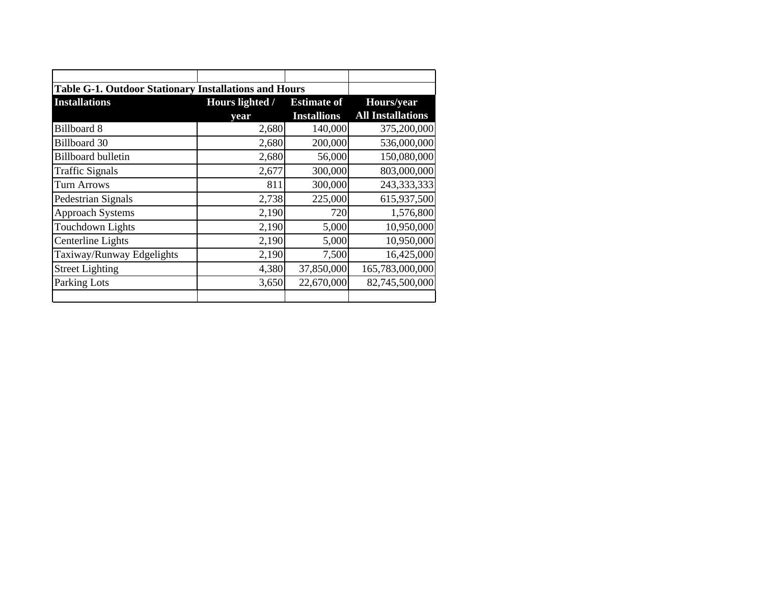| Table G-1. Outdoor Stationary Installations and Hours |                 |                    |                          |
|-------------------------------------------------------|-----------------|--------------------|--------------------------|
| <b>Installations</b>                                  | Hours lighted / | <b>Estimate of</b> | Hours/year               |
|                                                       | year            | <b>Installions</b> | <b>All Installations</b> |
| <b>Billboard 8</b>                                    | 2,680           | 140,000            | 375,200,000              |
| <b>Billboard 30</b>                                   | 2,680           | 200,000            | 536,000,000              |
| <b>Billboard bulletin</b>                             | 2,680           | 56,000             | 150,080,000              |
| <b>Traffic Signals</b>                                | 2,677           | 300,000            | 803,000,000              |
| <b>Turn Arrows</b>                                    | 811             | 300,000            | 243,333,333              |
| Pedestrian Signals                                    | 2,738           | 225,000            | 615,937,500              |
| <b>Approach Systems</b>                               | 2,190           | 720                | 1,576,800                |
| <b>Touchdown Lights</b>                               | 2,190           | 5,000              | 10,950,000               |
| Centerline Lights                                     | 2,190           | 5,000              | 10,950,000               |
| Taxiway/Runway Edgelights                             | 2,190           | 7,500              | 16,425,000               |
| <b>Street Lighting</b>                                | 4,380           | 37,850,000         | 165,783,000,000          |
| Parking Lots                                          | 3,650           | 22,670,000         | 82,745,500,000           |
|                                                       |                 |                    |                          |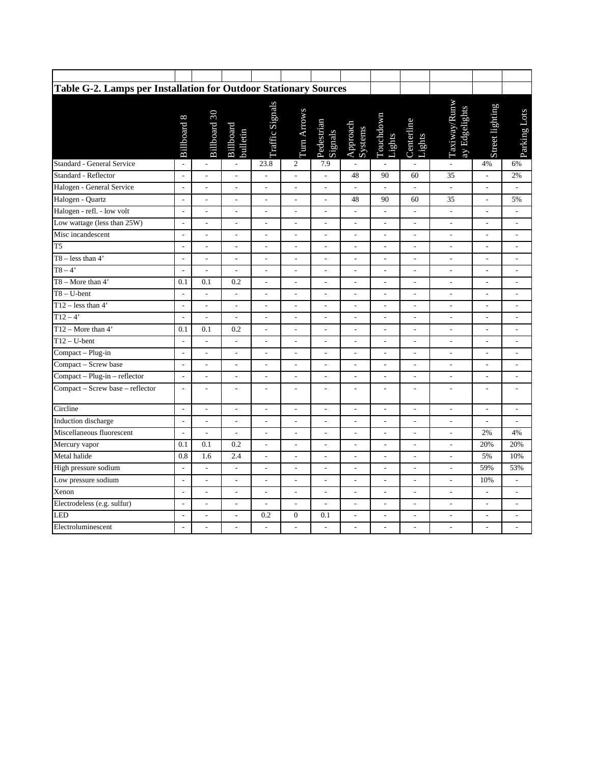| Table G-2. Lamps per Installation for Outdoor Stationary Sources |                          |                          |                          |                          |                          |                          |                              |                          |                          |                               |                          |                          |
|------------------------------------------------------------------|--------------------------|--------------------------|--------------------------|--------------------------|--------------------------|--------------------------|------------------------------|--------------------------|--------------------------|-------------------------------|--------------------------|--------------------------|
|                                                                  | <b>Billboard 8</b>       | Billboard 30             | Billboard<br>bulletin    | Traffic Signals          | Turn Arrows              | Pedestrian<br>Signals    | Approach<br>Systems          | Touchdown<br>Lights      | Centerline<br>Lights     | Taxiway/Runw<br>ay Edgelights | Street lighting          | Parking Lots             |
| Standard - General Service                                       | $\overline{\phantom{a}}$ | $\overline{\phantom{a}}$ | $\bar{\phantom{a}}$      | 23.8                     | $\mathfrak{2}$           | 7.9                      |                              |                          | $\overline{\phantom{a}}$ | $\overline{\phantom{a}}$      | 4%                       | 6%                       |
| Standard - Reflector                                             | $\overline{\phantom{a}}$ | $\overline{a}$           | $\overline{a}$           | $\overline{a}$           | $\frac{1}{2}$            | L,                       | 48                           | 90                       | 60                       | 35                            | $\overline{\phantom{a}}$ | 2%                       |
| Halogen - General Service                                        | $\overline{a}$           | $\overline{a}$           | $\overline{a}$           | $\overline{a}$           | L,                       | L,                       | $\overline{a}$               | $\overline{a}$           | $\overline{a}$           | $\overline{a}$                | L,                       |                          |
| Halogen - Quartz                                                 | $\overline{\phantom{a}}$ | $\overline{a}$           | $\overline{\phantom{a}}$ | $\overline{a}$           | $\overline{a}$           | $\overline{a}$           | 48                           | 90                       | 60                       | 35                            | L,                       | 5%                       |
| Halogen - refl. - low volt                                       | $\overline{\phantom{a}}$ | $\blacksquare$           | $\overline{\phantom{a}}$ | $\overline{\phantom{a}}$ | $\overline{\phantom{a}}$ | $\overline{\phantom{a}}$ | $\overline{\phantom{a}}$     | $\overline{\phantom{a}}$ | $\overline{\phantom{a}}$ | $\overline{\phantom{a}}$      | $\overline{\phantom{a}}$ | $\overline{\phantom{a}}$ |
| Low wattage (less than 25W)                                      | $\overline{\phantom{a}}$ | $\frac{1}{2}$            | $\overline{\phantom{a}}$ | $\overline{a}$           | $\frac{1}{2}$            | $\overline{a}$           | $\overline{\phantom{a}}$     | ÷,                       | $\overline{\phantom{a}}$ | $\frac{1}{2}$                 | ÷,                       | $\frac{1}{2}$            |
| Misc incandescent                                                | $\overline{a}$           | $\overline{\phantom{a}}$ | $\overline{\phantom{a}}$ | $\overline{\phantom{a}}$ | $\overline{\phantom{a}}$ | $\frac{1}{2}$            | $\overline{\phantom{a}}$     | $\frac{1}{2}$            | $\sim$                   | $\overline{a}$                | $\overline{\phantom{a}}$ | $\overline{a}$           |
| T <sub>5</sub>                                                   | $\overline{\phantom{a}}$ | $\overline{a}$           | $\overline{a}$           | $\overline{a}$           | $\overline{a}$           | $\overline{a}$           | $\frac{1}{2}$                | $\overline{a}$           | $\frac{1}{2}$            | $\frac{1}{2}$                 | L,                       | $\overline{a}$           |
| $T8 - less than 4'$                                              | $\overline{\phantom{a}}$ | $\overline{a}$           | ÷,                       | $\overline{a}$           | $\overline{a}$           | $\overline{a}$           | $\overline{a}$               | $\overline{\phantom{a}}$ | $\overline{\phantom{a}}$ | $\overline{\phantom{a}}$      | $\overline{a}$           | $\overline{\phantom{a}}$ |
| $\overline{TS-4'}$                                               | $\overline{\phantom{a}}$ | $\overline{\phantom{a}}$ | $\overline{a}$           | $\overline{\phantom{a}}$ | $\overline{\phantom{a}}$ | $\overline{a}$           | $\qquad \qquad \blacksquare$ | $\overline{\phantom{a}}$ | $\overline{\phantom{a}}$ | $\overline{\phantom{a}}$      | $\overline{a}$           | $\frac{1}{2}$            |
| $T8 - More than 4'$                                              | 0.1                      | 0.1                      | 0.2                      | $\overline{a}$           | $\overline{a}$           | $\frac{1}{2}$            | $\overline{a}$               | $\overline{a}$           | $\overline{\phantom{a}}$ | $\frac{1}{2}$                 | ÷,                       | ÷,                       |
| $T8 - U$ -bent                                                   | $\overline{\phantom{a}}$ | ÷,                       | $\overline{a}$           | $\overline{a}$           | ÷,                       | $\overline{a}$           | $\overline{\phantom{a}}$     | ÷,                       | $\overline{\phantom{a}}$ | $\overline{\phantom{a}}$      | ÷,                       | $\overline{\phantom{a}}$ |
| T12 – less than $4'$                                             | $\overline{\phantom{a}}$ | ÷,                       | $\overline{a}$           | $\overline{\phantom{a}}$ | $\overline{a}$           | $\overline{a}$           | $\overline{a}$               | $\overline{\phantom{a}}$ | ÷,                       | $\overline{a}$                | $\overline{a}$           | $\overline{\phantom{a}}$ |
| $T12 - 4'$                                                       | $\overline{a}$           | $\overline{a}$           | $\overline{a}$           | $\overline{a}$           | $\overline{a}$           | $\overline{a}$           | $\overline{a}$               | ÷,                       | $\overline{a}$           | $\overline{a}$                | L                        | $\overline{a}$           |
| T12 - More than $4'$                                             | 0.1                      | 0.1                      | 0.2                      | $\frac{1}{2}$            | $\overline{a}$           | $\overline{a}$           | $\sim$                       | $\overline{\phantom{0}}$ | $\overline{a}$           | $\overline{a}$                | $\overline{a}$           | $\overline{a}$           |
| $T12-U-bent$                                                     | $\overline{a}$           | $\overline{a}$           | $\overline{a}$           | $\overline{a}$           | $\overline{a}$           | $\overline{a}$           | $\overline{\phantom{a}}$     | $\overline{\phantom{a}}$ | $\overline{\phantom{a}}$ | $\overline{a}$                | ÷,                       | $\frac{1}{2}$            |
| Compact - Plug-in                                                | $\overline{\phantom{a}}$ | $\overline{\phantom{a}}$ | $\overline{\phantom{a}}$ | $\overline{\phantom{a}}$ | $\overline{\phantom{a}}$ | $\overline{\phantom{a}}$ | $\Box$                       | $\overline{\phantom{a}}$ | $\overline{\phantom{a}}$ | $\overline{a}$                | $\overline{\phantom{a}}$ | $\overline{\phantom{a}}$ |
| Compact - Screw base                                             | $\overline{\phantom{a}}$ | $\overline{a}$           | $\overline{a}$           | $\overline{a}$           | ÷,                       | ÷,                       | $\overline{\phantom{a}}$     | $\overline{\phantom{a}}$ | $\overline{\phantom{a}}$ | $\frac{1}{2}$                 | $\overline{a}$           | ÷,                       |
| Compact - Plug-in - reflector                                    | $\overline{\phantom{a}}$ | $\frac{1}{2}$            | $\overline{\phantom{a}}$ | $\frac{1}{2}$            | $\overline{a}$           | $\overline{a}$           | $\blacksquare$               | $\overline{a}$           | $\overline{\phantom{a}}$ | $\overline{\phantom{0}}$      | ÷                        | $\overline{\phantom{0}}$ |
| Compact - Screw base - reflector                                 | $\overline{\phantom{a}}$ | $\overline{a}$           | $\overline{a}$           | $\frac{1}{2}$            | $\overline{\phantom{a}}$ | ÷,                       | $\overline{\phantom{a}}$     | $\overline{a}$           | $\overline{\phantom{a}}$ | $\overline{a}$                | ÷,                       | $\frac{1}{2}$            |
| Circline                                                         | $\overline{\phantom{a}}$ | ÷,                       | $\overline{\phantom{a}}$ | $\frac{1}{2}$            | $\overline{\phantom{a}}$ | $\overline{a}$           | $\mathbb{L}$                 | $\overline{\phantom{a}}$ | $\overline{\phantom{a}}$ | $\overline{\phantom{a}}$      | L,                       | $\frac{1}{2}$            |
| Induction discharge                                              | $\overline{a}$           | $\overline{a}$           | $\frac{1}{2}$            | $\overline{a}$           | $\overline{a}$           | $\overline{a}$           | $\overline{\phantom{a}}$     | $\overline{a}$           | $\overline{\phantom{0}}$ | $\overline{a}$                | L,                       | $\overline{a}$           |
| Miscellaneous fluorescent                                        | $\overline{a}$           | $\overline{a}$           | $\overline{a}$           | $\overline{a}$           | $\overline{a}$           | $\overline{a}$           | $\frac{1}{2}$                | $\overline{\phantom{a}}$ | $\overline{\phantom{a}}$ | $\frac{1}{2}$                 | 2%                       | 4%                       |
| Mercury vapor                                                    | 0.1                      | 0.1                      | 0.2                      | $\overline{\phantom{a}}$ | $\overline{\phantom{a}}$ | $\overline{a}$           | $\overline{\phantom{a}}$     | $\overline{\phantom{a}}$ | $\overline{\phantom{a}}$ | $\overline{\phantom{a}}$      | 20%                      | 20%                      |
| Metal halide                                                     | 0.8                      | 1.6                      | 2.4                      | $\overline{a}$           | $\overline{\phantom{a}}$ | $\overline{a}$           | $\overline{\phantom{a}}$     | $\overline{a}$           | $\overline{\phantom{a}}$ | $\overline{\phantom{a}}$      | 5%                       | 10%                      |
| High pressure sodium                                             | $\overline{a}$           | $\overline{a}$           | $\overline{a}$           | $\overline{a}$           | $\overline{a}$           | $\overline{a}$           | $\overline{\phantom{a}}$     | $\overline{a}$           | $\overline{\phantom{a}}$ | $\frac{1}{2}$                 | 59%                      | 53%                      |
| Low pressure sodium                                              | $\overline{\phantom{a}}$ | $\overline{a}$           | $\overline{a}$           | ÷,                       | L,                       | ÷,                       | $\overline{a}$               | $\overline{a}$           | $\overline{a}$           | $\overline{a}$                | 10%                      | ÷,                       |
| Xenon                                                            | $\overline{\phantom{a}}$ | ÷,                       | $\overline{\phantom{a}}$ | $\overline{a}$           | $\overline{a}$           | ÷,                       | L,                           | $\overline{\phantom{a}}$ | $\overline{\phantom{a}}$ | $\overline{a}$                |                          | ٠                        |
| Electrodeless (e.g. sulfur)                                      | $\overline{\phantom{a}}$ | $\overline{a}$           | $\overline{\phantom{a}}$ | $\frac{1}{2}$            | $\overline{\phantom{a}}$ | $\overline{a}$           | $\overline{\phantom{a}}$     | $\overline{a}$           | $\overline{\phantom{a}}$ | $\overline{\phantom{a}}$      | $\overline{a}$           | $\overline{a}$           |
| LED                                                              | $\overline{\phantom{a}}$ | $\overline{\phantom{a}}$ | $\overline{a}$           | 0.2                      | $\boldsymbol{0}$         | 0.1                      | $\overline{\phantom{a}}$     | $\overline{\phantom{a}}$ | $\overline{\phantom{a}}$ | $\frac{1}{2}$                 | L,                       | $\overline{\phantom{a}}$ |
| Electroluminescent                                               | $\overline{\phantom{a}}$ | ÷,                       | $\overline{a}$           | $\overline{a}$           | $\overline{a}$           | ÷,                       | $\overline{\phantom{a}}$     | $\overline{a}$           | $\overline{a}$           | $\overline{a}$                | $\overline{\phantom{a}}$ | $\overline{a}$           |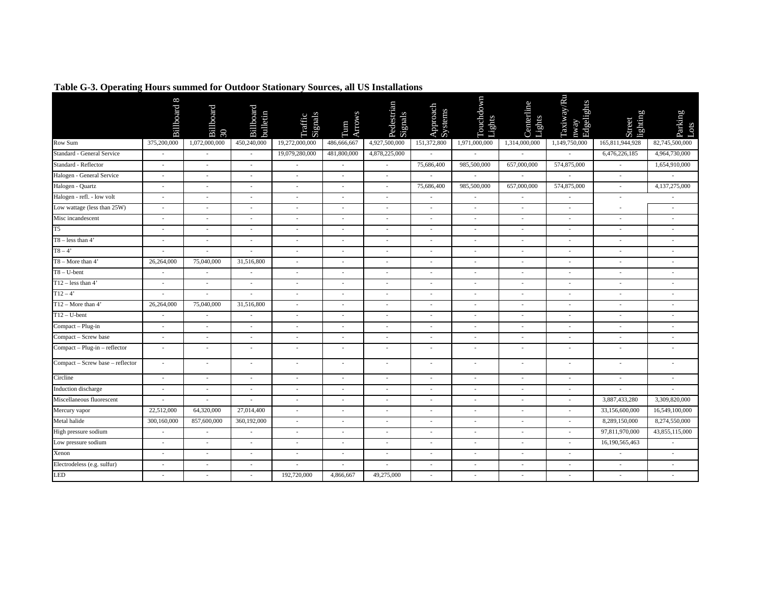|                                  | <b>Billboard 8</b>       | Billboard<br>$30\,$      | Billboard<br>bulletin       | Signals<br>Traffic       | Arrows<br>É                 | Pedestrian<br>Signals    | Approach<br>Systems      | Touchdown<br>Lights      | Centerline<br>Lights     | Taxiway/Ru<br>Edgelights<br>nway | lighting<br>Street       | Parking<br>Dots          |
|----------------------------------|--------------------------|--------------------------|-----------------------------|--------------------------|-----------------------------|--------------------------|--------------------------|--------------------------|--------------------------|----------------------------------|--------------------------|--------------------------|
| Row Sum                          | 375,200,000              | 1,072,000,000            | 450,240,000                 | 19,272,000,000           | 486,666,667                 | 4,927,500,000            | 151,372,800              | 1,971,000,000            | 1,314,000,000            | 1,149,750,000                    | 165,811,944,928          | 82,745,500,000           |
| Standard - General Service       |                          | ٠                        | $\sim$                      | 19,079,280,000           | 481,800,000                 | 4,878,225,000            |                          |                          |                          |                                  | 6,476,226,185            | 4,964,730,000            |
| Standard - Reflector             | $\sim$                   | $\overline{\phantom{a}}$ | $\sim$                      |                          | $\overline{a}$              |                          | 75,686,400               | 985,500,000              | 657,000,000              | 574,875,000                      |                          | 1,654,910,000            |
| Halogen - General Service        | $\sim$                   | $\frac{1}{2}$            |                             | $\overline{\phantom{a}}$ | $\overline{a}$              | $\sim$                   |                          |                          |                          |                                  | $\overline{\phantom{a}}$ |                          |
| Halogen - Quartz                 | ۰.                       | $\overline{\phantom{a}}$ | $\sim$                      | $\sim$                   | $\overline{\phantom{a}}$    | $\sim$                   | 75,686,400               | 985,500,000              | 657,000,000              | 574,875,000                      | ٠                        | 4,137,275,000            |
| Halogen - refl. - low volt       | $\overline{\phantom{a}}$ | $\overline{\phantom{a}}$ | $\overline{\phantom{a}}$    | $\overline{\phantom{a}}$ | $\overline{a}$              | $\sim$                   | $\overline{\phantom{a}}$ | $\overline{\phantom{a}}$ | $\sim$                   | $\overline{\phantom{a}}$         | $\overline{\phantom{a}}$ | $\overline{\phantom{a}}$ |
| Low wattage (less than 25W)      | $\sim$                   | $\overline{\phantom{a}}$ | $\overline{\phantom{a}}$    | $\sim$                   | $\overline{\phantom{a}}$    | $\sim$                   | $\overline{a}$           | $\overline{\phantom{a}}$ | $\overline{\phantom{a}}$ | $\overline{\phantom{a}}$         | ٠                        | $\overline{\phantom{a}}$ |
| Misc incandescent                | $\overline{\phantom{a}}$ | $\overline{\phantom{a}}$ | $\overline{\phantom{a}}$    | $\sim$                   | ٠                           | $\sim$                   | $\overline{\phantom{a}}$ | $\overline{\phantom{a}}$ | $\sim$                   | $\overline{\phantom{a}}$         | $\sim$                   | ٠                        |
| T <sub>5</sub>                   | $\sim$                   | $\overline{\phantom{a}}$ | $\sim$                      | $\sim$                   | ٠                           | $\sim$                   | ٠                        | $\sim$                   | $\sim$                   | $\sim$                           | ×.                       | ٠                        |
| $T8 - less than 4'$              | $\sim$                   | $\overline{a}$           | $\sim$                      | $\overline{\phantom{a}}$ | ÷,                          | $\sim$                   | ä,                       |                          | $\overline{\phantom{a}}$ | $\overline{\phantom{a}}$         | $\overline{\phantom{a}}$ |                          |
| $T8 - 4'$                        | $\overline{\phantom{a}}$ | ä,                       | $\sim$                      | $\overline{\phantom{a}}$ | $\overline{\phantom{a}}$    |                          | $\overline{\phantom{a}}$ |                          | $\overline{\phantom{a}}$ | $\overline{\phantom{a}}$         | ٠                        | ٠                        |
| $T8 - More than 4'$              | 26,264,000               | 75,040,000               | 31,516,800                  | $\sim$                   | $\overline{\phantom{a}}$    | $\sim$                   | i,                       | $\sim$                   | $\overline{\phantom{a}}$ | $\mathcal{L}_{\mathcal{A}}$      | $\sim$                   | $\sim$                   |
| $T8 - U$ -bent                   | $\overline{\phantom{a}}$ | $\overline{\phantom{a}}$ | $\overline{\phantom{a}}$    | $\sim$                   | $\overline{a}$              | $\sim$                   | $\overline{a}$           | $\overline{\phantom{a}}$ | $\overline{\phantom{a}}$ | $\overline{\phantom{a}}$         | $\overline{\phantom{a}}$ | $\overline{\phantom{a}}$ |
| $T12 - less than 4'$             | $\sim$                   | $\overline{a}$           | $\mathcal{L}_{\mathcal{A}}$ | $\sim$                   | $\mathcal{L}_{\mathcal{A}}$ | $\sim$                   | ÷,                       | $\sim$                   | $\sim$                   | ٠                                | $\sim$                   | ٠                        |
| $T12 - 4'$                       | $\overline{\phantom{a}}$ | $\overline{\phantom{a}}$ | $\sim$                      | $\sim$                   | $\overline{\phantom{a}}$    |                          | $\overline{\phantom{a}}$ | $\overline{\phantom{a}}$ | $\overline{\phantom{a}}$ | $\overline{\phantom{a}}$         | $\overline{\phantom{a}}$ | ٠                        |
| $T12 - \text{More than } 4'$     | 26,264,000               | 75,040,000               | 31,516,800                  | ÷.                       | $\overline{\phantom{a}}$    |                          | ٠                        | ٠                        | $\sim$                   | $\overline{\phantom{a}}$         | ٠                        | ٠                        |
| $T12 - U-bent$                   |                          |                          |                             | ÷.                       | ٠                           |                          | ä,                       |                          |                          |                                  | ٠                        |                          |
| Compact - Plug-in                | $\overline{\phantom{a}}$ | ÷,                       | $\overline{\phantom{a}}$    | $\sim$                   | $\overline{\phantom{a}}$    |                          | ٠                        |                          | $\overline{\phantom{a}}$ | $\overline{\phantom{a}}$         | $\overline{\phantom{a}}$ |                          |
| Compact - Screw base             | $\sim$                   | $\sim$                   | $\overline{\phantom{a}}$    | $\sim$                   | $\overline{a}$              | $\overline{\phantom{a}}$ | $\overline{a}$           | $\overline{\phantom{a}}$ | $\overline{\phantom{a}}$ | $\overline{\phantom{a}}$         | $\overline{\phantom{a}}$ | $\overline{\phantom{a}}$ |
| Compact - Plug-in - reflector    | $\overline{\phantom{a}}$ | $\overline{\phantom{a}}$ | $\overline{\phantom{a}}$    | $\overline{\phantom{a}}$ | $\overline{a}$              |                          | $\overline{a}$           | $\sim$                   | $\overline{\phantom{a}}$ | $\overline{\phantom{a}}$         | $\overline{\phantom{a}}$ | ٠                        |
| Compact - Screw base - reflector | $\overline{a}$           | $\overline{\phantom{a}}$ | $\overline{\phantom{a}}$    | $\sim$                   | $\overline{\phantom{a}}$    | $\sim$                   | $\overline{\phantom{a}}$ | $\sim$                   | $\overline{\phantom{a}}$ | $\overline{\phantom{a}}$         | $\sim$                   | $\overline{\phantom{a}}$ |
| Circline                         | $\sim$                   | $\sim$                   | $\sim$                      | $\sim$                   | ٠                           | $\overline{\phantom{a}}$ | $\overline{\phantom{a}}$ | $\sim$                   | $\overline{\phantom{a}}$ | $\overline{\phantom{a}}$         | ×.                       | ٠                        |
| Induction discharge              | $\sim$                   | $\overline{\phantom{a}}$ | $\sim$                      | $\overline{\phantom{a}}$ | $\overline{a}$              | $\overline{\phantom{a}}$ | $\overline{a}$           | $\overline{\phantom{a}}$ | $\overline{\phantom{a}}$ | $\overline{\phantom{a}}$         | $\overline{\phantom{a}}$ | L,                       |
| Miscellaneous fluorescent        |                          | $\overline{\phantom{a}}$ | $\overline{\phantom{a}}$    | $\overline{\phantom{a}}$ | $\overline{a}$              | $\sim$                   | $\overline{\phantom{a}}$ | $\sim$                   | $\overline{\phantom{a}}$ | $\overline{\phantom{a}}$         | 3,887,433,280            | 3,309,820,000            |
| Mercury vapor                    | 22,512,000               | 64,320,000               | 27,014,400                  | $\sim$                   | $\overline{\phantom{a}}$    | $\overline{\phantom{a}}$ | $\overline{\phantom{a}}$ | $\overline{\phantom{a}}$ | $\sim$                   | $\overline{\phantom{a}}$         | 33,156,600,000           | 16,549,100,000           |
| Metal halide                     | 300,160,000              | 857,600,000              | 360,192,000                 | $\sim$                   | ÷,                          | $\sim$                   | ٠                        | $\sim$                   | ÷.                       | ٠                                | 8,289,150,000            | 8,274,550,000            |
| High pressure sodium             | $\overline{\phantom{a}}$ | $\overline{\phantom{a}}$ | $\overline{\phantom{a}}$    | $\overline{\phantom{a}}$ | $\overline{a}$              | $\sim$                   | $\overline{a}$           |                          | $\overline{\phantom{a}}$ |                                  | 97,811,970,000           | 43,855,115,000           |
| Low pressure sodium              | $\sim$                   | $\sim$                   | $\sim$                      | ÷.                       | ÷,                          | $\sim$                   | ä,                       | $\sim$                   | $\sim$                   | $\overline{\phantom{a}}$         | 16,190,565,463           |                          |
| Xenon                            | $\sim$                   | $\sim$                   | $\sim$                      | $\overline{\phantom{a}}$ | $\overline{\phantom{a}}$    | $\overline{\phantom{a}}$ | $\overline{\phantom{a}}$ | $\sim$                   | $\sim$                   | $\overline{\phantom{a}}$         | $\sim$                   | ٠                        |
| Electrodeless (e.g. sulfur)      | $\sim$                   | $\sim$                   | $\sim$                      | $\overline{\phantom{a}}$ | $\sim$                      | $\overline{\phantom{a}}$ | $\sim$                   | $\sim$                   | $\overline{\phantom{a}}$ | $\sim$                           | $\sim$                   | $\sim$                   |
| LED                              |                          |                          |                             | 192,720,000              | 4,866,667                   | 49,275,000               |                          |                          |                          |                                  |                          |                          |

## Table G-3. Operating Hours summed for Outdoor Stationary Sources, all US Installations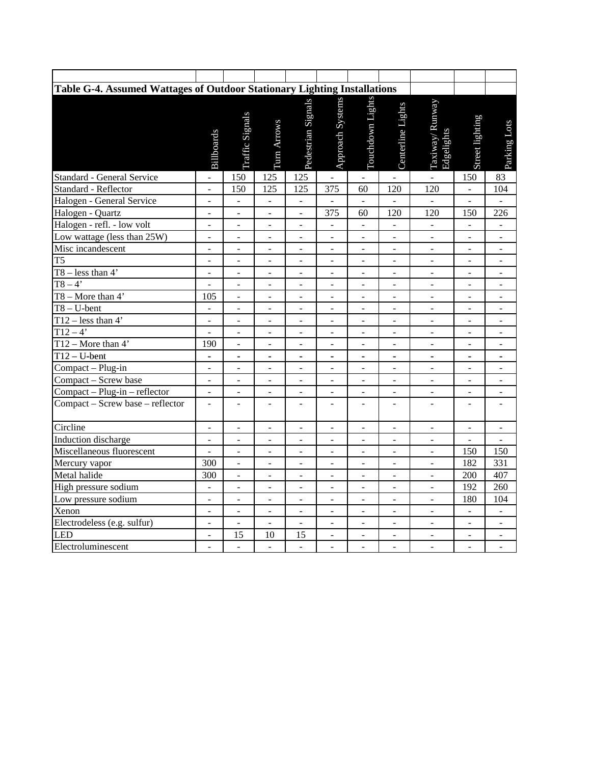| Table G-4. Assumed Wattages of Outdoor Stationary Lighting Installations |                              |                          |                              |                              |                              |                              |                          |                              |                          |                          |  |
|--------------------------------------------------------------------------|------------------------------|--------------------------|------------------------------|------------------------------|------------------------------|------------------------------|--------------------------|------------------------------|--------------------------|--------------------------|--|
|                                                                          | <b>Billboards</b>            | Traffic Signals          | Turn Arrows                  | Pedestrian Signals           | Approach Systems             | Touchdown Lights             | Centerline Lights        | Taxiway/Runway<br>Edgelights | Street lighting          | Parking Lots             |  |
| <b>Standard - General Service</b>                                        | L,                           | 150                      | 125                          | 125                          | $\overline{a}$               | $\overline{\phantom{a}}$     | $\overline{a}$           | $\overline{a}$               | 150                      | 83                       |  |
| Standard - Reflector                                                     | $\frac{1}{2}$                | 150                      | 125                          | 125                          | 375                          | 60                           | 120                      | 120                          | $\mathbf{r}$             | 104                      |  |
| Halogen - General Service                                                | $\overline{\phantom{a}}$     | $\Box$                   | $\Box$                       | $\blacksquare$               | $\overline{\phantom{a}}$     | $\frac{1}{2}$                | $\overline{\phantom{a}}$ | $\overline{\phantom{a}}$     | $\Box$                   | $\overline{\phantom{0}}$ |  |
| Halogen - Quartz                                                         | $\overline{\phantom{a}}$     | $\blacksquare$           | $\blacksquare$               | $\blacksquare$               | 375                          | 60                           | 120                      | 120                          | 150                      | 226                      |  |
| Halogen - refl. - low volt                                               | $\overline{\phantom{a}}$     | ÷,                       | $\overline{\phantom{a}}$     | $\overline{\phantom{0}}$     | $\overline{\phantom{a}}$     | $\blacksquare$               | $\overline{\phantom{a}}$ | $\blacksquare$               | $\blacksquare$           | $\blacksquare$           |  |
| Low wattage (less than 25W)                                              | $\Box$                       | $\blacksquare$           | $\overline{\phantom{a}}$     | $\overline{\phantom{a}}$     | $\frac{1}{2}$                | $\blacksquare$               | $\blacksquare$           | $\overline{a}$               | $\overline{\phantom{a}}$ | $\overline{\phantom{a}}$ |  |
| Misc incandescent                                                        | $\qquad \qquad \blacksquare$ |                          |                              |                              | ÷                            |                              | $\overline{a}$           | $\overline{\phantom{0}}$     | $\overline{a}$           |                          |  |
| T <sub>5</sub>                                                           | $\frac{1}{2}$                | $\overline{a}$           | $\mathbb{L}$                 | $\overline{a}$               | $\overline{a}$               | $\overline{a}$               | $\overline{a}$           | $\overline{a}$               | $\overline{a}$           | $\sim$                   |  |
| $T8 - less than 4'$                                                      | $\omega$                     | $\omega$                 | $\omega$                     | $\overline{\phantom{a}}$     | $\omega$                     | $\overline{a}$               | $\bar{\phantom{a}}$      | $\blacksquare$               | $\Box$                   | $\blacksquare$           |  |
| $T8 - 4'$                                                                | $\qquad \qquad \blacksquare$ | $\blacksquare$           | $\overline{\phantom{0}}$     | $\overline{\phantom{0}}$     | $\qquad \qquad \blacksquare$ | $\overline{\phantom{0}}$     | $\overline{\phantom{0}}$ | $\overline{\phantom{a}}$     | $\overline{\phantom{a}}$ | $\overline{\phantom{a}}$ |  |
| T8 – More than $4'$                                                      | 105                          | $\qquad \qquad \Box$     | $\overline{\phantom{a}}$     | $\overline{\phantom{0}}$     | ÷,                           | $\overline{\phantom{0}}$     | $\overline{a}$           | $\blacksquare$               | ÷,                       | $\overline{a}$           |  |
| $T8 - U$ -bent                                                           | $\blacksquare$               | $\overline{\phantom{a}}$ | $\overline{\phantom{a}}$     | $\frac{1}{2}$                | ÷,                           | $\frac{1}{2}$                | $\frac{1}{2}$            | $\blacksquare$               | $\overline{\phantom{a}}$ | $\overline{\phantom{a}}$ |  |
| T12 – less than $4'$                                                     | $\overline{\phantom{a}}$     | $\overline{\phantom{a}}$ | $\overline{\phantom{a}}$     | $\overline{\phantom{a}}$     | $\overline{a}$               | ÷,                           | $\overline{a}$           | $\blacksquare$               | $\blacksquare$           | $\sim$                   |  |
| $\overline{T12-4}$                                                       | $\overline{a}$               | $\overline{a}$           | $\overline{a}$               | $\overline{a}$               | $\overline{a}$               | $\overline{a}$               | $\overline{a}$           | $\overline{a}$               | $\overline{a}$           | $\overline{a}$           |  |
| T12 – More than $4'$                                                     | 190                          | $\overline{\phantom{a}}$ | $\overline{\phantom{a}}$     | ÷,                           | $\overline{\phantom{a}}$     | $\overline{a}$               | $\overline{\phantom{a}}$ | $\equiv$                     | $\overline{a}$           | $\overline{a}$           |  |
| $T12-U-bent$                                                             | $\blacksquare$               | $\overline{\phantom{a}}$ | $\blacksquare$               | ÷,                           | ÷,                           | ÷,                           | $\blacksquare$           | $\blacksquare$               | $\blacksquare$           | $\blacksquare$           |  |
| Compact - Plug-in                                                        | $\blacksquare$               | $\overline{\phantom{a}}$ | $\qquad \qquad \blacksquare$ | $\qquad \qquad \blacksquare$ | $\qquad \qquad \blacksquare$ | $\overline{\phantom{0}}$     | $\overline{\phantom{0}}$ | $\blacksquare$               | $\overline{\phantom{a}}$ | $\overline{\phantom{a}}$ |  |
| Compact - Screw base                                                     | $\overline{\phantom{a}}$     | $\overline{\phantom{a}}$ | $\overline{\phantom{a}}$     | ÷,                           | $\overline{a}$               | $\overline{a}$               | $\overline{a}$           | $\blacksquare$               | ÷,                       | $\overline{a}$           |  |
| Compact - Plug-in - reflector                                            | $\mathbb{Z}^2$               | $\bar{\mathcal{L}}$      | $\bar{\phantom{a}}$          | $\frac{1}{2}$                | $\bar{\phantom{a}}$          | ÷,                           | $\overline{a}$           | $\overline{\phantom{a}}$     | $\overline{a}$           | $\blacksquare$           |  |
| Compact - Screw base - reflector                                         | $\overline{\phantom{a}}$     | $\overline{a}$           | $\qquad \qquad \blacksquare$ | $\overline{a}$               | $\qquad \qquad \blacksquare$ | $\overline{a}$               | $\overline{a}$           | $\overline{a}$               | $\overline{a}$           |                          |  |
| Circline                                                                 | $\overline{a}$               | $\frac{1}{2}$            | $\frac{1}{2}$                | $\overline{a}$               | $\overline{a}$               | $\overline{a}$               | $\overline{a}$           | $\frac{1}{2}$                | $\overline{a}$           | $\overline{a}$           |  |
| Induction discharge                                                      | $\blacksquare$               | $\blacksquare$           | $\blacksquare$               | ÷                            | ÷                            | $\qquad \qquad \blacksquare$ | $\blacksquare$           | $\overline{\phantom{a}}$     | $\overline{\phantom{a}}$ | $\overline{\phantom{a}}$ |  |
| Miscellaneous fluorescent                                                | $\frac{1}{2}$                | $\Box$                   | $\blacksquare$               | $\blacksquare$               | $\blacksquare$               | $\frac{1}{2}$                | $\overline{\phantom{0}}$ | $\frac{1}{2}$                | 150                      | 150                      |  |
| Mercury vapor                                                            | 300                          |                          | $\qquad \qquad \blacksquare$ | $\overline{a}$               | ÷,                           | $\overline{a}$               | $\overline{a}$           | $\frac{1}{2}$                | 182                      | 331                      |  |
| Metal halide                                                             | 300                          | $\overline{\phantom{a}}$ | $\blacksquare$               | $\overline{\phantom{a}}$     | $\overline{\phantom{a}}$     | $\overline{\phantom{a}}$     | $\overline{\phantom{a}}$ | $\blacksquare$               | 200                      | 407                      |  |
| High pressure sodium                                                     | $\overline{a}$               |                          | ÷,                           |                              | ÷,                           |                              | $\overline{a}$           | $\overline{a}$               | 192                      | 260                      |  |
| Low pressure sodium                                                      | $\equiv$                     | $\overline{\phantom{a}}$ | $\overline{\phantom{a}}$     | ÷,                           | ÷,                           | $\overline{a}$               | ÷,                       | $\overline{a}$               | 180                      | 104                      |  |
| Xenon                                                                    | $\blacksquare$               | $\blacksquare$           | $\blacksquare$               | $\blacksquare$               | $\blacksquare$               | $\blacksquare$               | $\overline{\phantom{a}}$ | $\overline{\phantom{a}}$     | $\blacksquare$           | $\blacksquare$           |  |
| Electrodeless (e.g. sulfur)                                              | $\blacksquare$               | $\blacksquare$           | $\overline{\phantom{a}}$     | $\overline{\phantom{a}}$     | $\qquad \qquad \blacksquare$ | $\qquad \qquad \blacksquare$ | $\overline{\phantom{a}}$ | $\blacksquare$               | $\overline{\phantom{a}}$ | $\overline{\phantom{a}}$ |  |
| LED                                                                      | $\overline{\phantom{a}}$     | 15                       | 10                           | 15                           | $\blacksquare$               | $\overline{\phantom{a}}$     | $\overline{\phantom{0}}$ | $\qquad \qquad \blacksquare$ | $\overline{\phantom{a}}$ | $\blacksquare$           |  |
| Electroluminescent                                                       | ä,                           | $\overline{a}$           | $\overline{a}$               | $\overline{a}$               | ÷,                           | ÷,                           | ÷,                       | $\overline{a}$               | $\overline{a}$           | $\overline{a}$           |  |